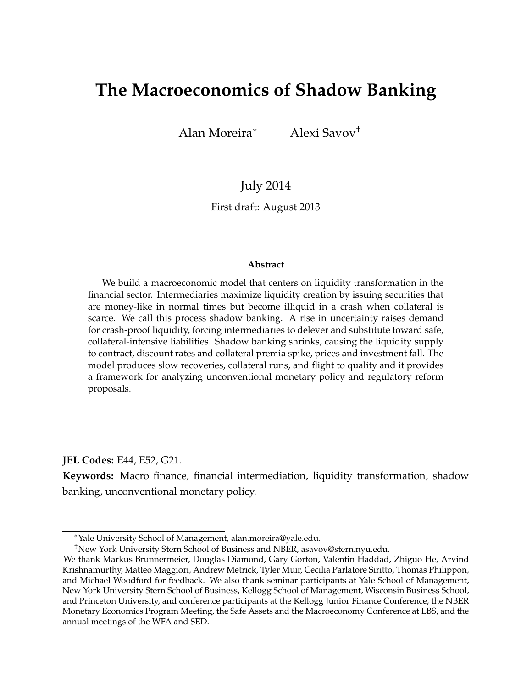# **The Macroeconomics of Shadow Banking**

Alan Moreira<sup>∗</sup> Alexi Savov†

July 2014

First draft: August 2013

#### **Abstract**

We build a macroeconomic model that centers on liquidity transformation in the financial sector. Intermediaries maximize liquidity creation by issuing securities that are money-like in normal times but become illiquid in a crash when collateral is scarce. We call this process shadow banking. A rise in uncertainty raises demand for crash-proof liquidity, forcing intermediaries to delever and substitute toward safe, collateral-intensive liabilities. Shadow banking shrinks, causing the liquidity supply to contract, discount rates and collateral premia spike, prices and investment fall. The model produces slow recoveries, collateral runs, and flight to quality and it provides a framework for analyzing unconventional monetary policy and regulatory reform proposals.

**JEL Codes:** E44, E52, G21.

**Keywords:** Macro finance, financial intermediation, liquidity transformation, shadow banking, unconventional monetary policy.

<sup>∗</sup>Yale University School of Management, [alan.moreira@yale.edu.](mailto:alan.moreira@yale.edu)

<sup>†</sup>New York University Stern School of Business and NBER, [asavov@stern.nyu.edu.](mailto:asavov@stern.nyu.edu)

We thank Markus Brunnermeier, Douglas Diamond, Gary Gorton, Valentin Haddad, Zhiguo He, Arvind Krishnamurthy, Matteo Maggiori, Andrew Metrick, Tyler Muir, Cecilia Parlatore Siritto, Thomas Philippon, and Michael Woodford for feedback. We also thank seminar participants at Yale School of Management, New York University Stern School of Business, Kellogg School of Management, Wisconsin Business School, and Princeton University, and conference participants at the Kellogg Junior Finance Conference, the NBER Monetary Economics Program Meeting, the Safe Assets and the Macroeconomy Conference at LBS, and the annual meetings of the WFA and SED.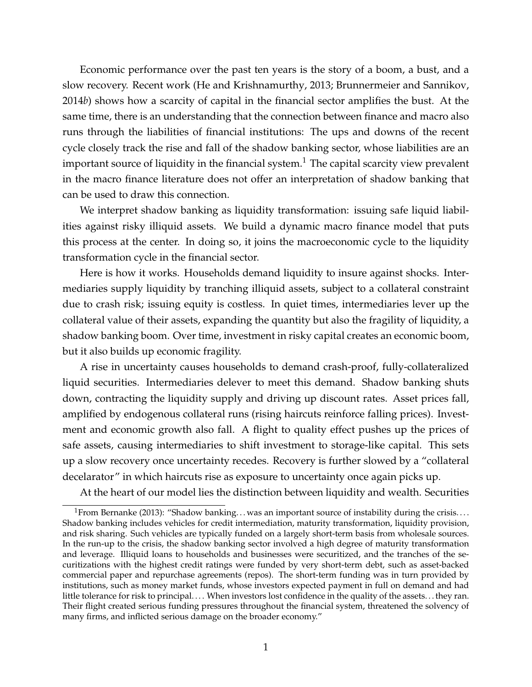Economic performance over the past ten years is the story of a boom, a bust, and a slow recovery. Recent work [\(He and Krishnamurthy,](#page-34-0) [2013;](#page-34-0) [Brunnermeier and Sannikov,](#page-32-0) [2014](#page-32-0)*b*) shows how a scarcity of capital in the financial sector amplifies the bust. At the same time, there is an understanding that the connection between finance and macro also runs through the liabilities of financial institutions: The ups and downs of the recent cycle closely track the rise and fall of the shadow banking sector, whose liabilities are an important source of liquidity in the financial system.<sup>[1](#page-1-0)</sup> The capital scarcity view prevalent in the macro finance literature does not offer an interpretation of shadow banking that can be used to draw this connection.

We interpret shadow banking as liquidity transformation: issuing safe liquid liabilities against risky illiquid assets. We build a dynamic macro finance model that puts this process at the center. In doing so, it joins the macroeconomic cycle to the liquidity transformation cycle in the financial sector.

Here is how it works. Households demand liquidity to insure against shocks. Intermediaries supply liquidity by tranching illiquid assets, subject to a collateral constraint due to crash risk; issuing equity is costless. In quiet times, intermediaries lever up the collateral value of their assets, expanding the quantity but also the fragility of liquidity, a shadow banking boom. Over time, investment in risky capital creates an economic boom, but it also builds up economic fragility.

A rise in uncertainty causes households to demand crash-proof, fully-collateralized liquid securities. Intermediaries delever to meet this demand. Shadow banking shuts down, contracting the liquidity supply and driving up discount rates. Asset prices fall, amplified by endogenous collateral runs (rising haircuts reinforce falling prices). Investment and economic growth also fall. A flight to quality effect pushes up the prices of safe assets, causing intermediaries to shift investment to storage-like capital. This sets up a slow recovery once uncertainty recedes. Recovery is further slowed by a "collateral decelarator" in which haircuts rise as exposure to uncertainty once again picks up.

At the heart of our model lies the distinction between liquidity and wealth. Securities

<span id="page-1-0"></span><sup>&</sup>lt;sup>1</sup> From [Bernanke](#page-32-1) [\(2013\)](#page-32-1): "Shadow banking... was an important source of instability during the crisis.... Shadow banking includes vehicles for credit intermediation, maturity transformation, liquidity provision, and risk sharing. Such vehicles are typically funded on a largely short-term basis from wholesale sources. In the run-up to the crisis, the shadow banking sector involved a high degree of maturity transformation and leverage. Illiquid loans to households and businesses were securitized, and the tranches of the securitizations with the highest credit ratings were funded by very short-term debt, such as asset-backed commercial paper and repurchase agreements (repos). The short-term funding was in turn provided by institutions, such as money market funds, whose investors expected payment in full on demand and had little tolerance for risk to principal.... When investors lost confidence in the quality of the assets...they ran. Their flight created serious funding pressures throughout the financial system, threatened the solvency of many firms, and inflicted serious damage on the broader economy."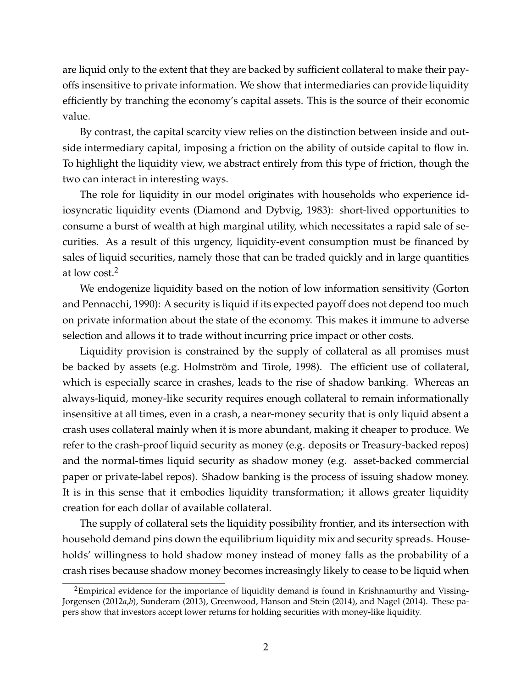are liquid only to the extent that they are backed by sufficient collateral to make their payoffs insensitive to private information. We show that intermediaries can provide liquidity efficiently by tranching the economy's capital assets. This is the source of their economic value.

By contrast, the capital scarcity view relies on the distinction between inside and outside intermediary capital, imposing a friction on the ability of outside capital to flow in. To highlight the liquidity view, we abstract entirely from this type of friction, though the two can interact in interesting ways.

The role for liquidity in our model originates with households who experience idiosyncratic liquidity events [\(Diamond and Dybvig,](#page-33-0) [1983\)](#page-33-0): short-lived opportunities to consume a burst of wealth at high marginal utility, which necessitates a rapid sale of securities. As a result of this urgency, liquidity-event consumption must be financed by sales of liquid securities, namely those that can be traded quickly and in large quantities at low cost.[2](#page-2-0)

We endogenize liquidity based on the notion of low information sensitivity [\(Gorton](#page-34-1) [and Pennacchi,](#page-34-1) [1990\)](#page-34-1): A security is liquid if its expected payoff does not depend too much on private information about the state of the economy. This makes it immune to adverse selection and allows it to trade without incurring price impact or other costs.

Liquidity provision is constrained by the supply of collateral as all promises must be backed by assets (e.g. [Holmström and Tirole,](#page-34-2) [1998\)](#page-34-2). The efficient use of collateral, which is especially scarce in crashes, leads to the rise of shadow banking. Whereas an always-liquid, money-like security requires enough collateral to remain informationally insensitive at all times, even in a crash, a near-money security that is only liquid absent a crash uses collateral mainly when it is more abundant, making it cheaper to produce. We refer to the crash-proof liquid security as money (e.g. deposits or Treasury-backed repos) and the normal-times liquid security as shadow money (e.g. asset-backed commercial paper or private-label repos). Shadow banking is the process of issuing shadow money. It is in this sense that it embodies liquidity transformation; it allows greater liquidity creation for each dollar of available collateral.

The supply of collateral sets the liquidity possibility frontier, and its intersection with household demand pins down the equilibrium liquidity mix and security spreads. Households' willingness to hold shadow money instead of money falls as the probability of a crash rises because shadow money becomes increasingly likely to cease to be liquid when

<span id="page-2-0"></span><sup>&</sup>lt;sup>2</sup>Empirical evidence for the importance of liquidity demand is found in [Krishnamurthy and Vissing-](#page-34-3)[Jorgensen](#page-34-3) [\(2012](#page-34-3)*a*,*[b](#page-34-4)*), [Sunderam](#page-35-0) [\(2013\)](#page-35-0), [Greenwood, Hanson and Stein](#page-34-5) [\(2014\)](#page-34-5), and [Nagel](#page-35-1) [\(2014\)](#page-35-1). These papers show that investors accept lower returns for holding securities with money-like liquidity.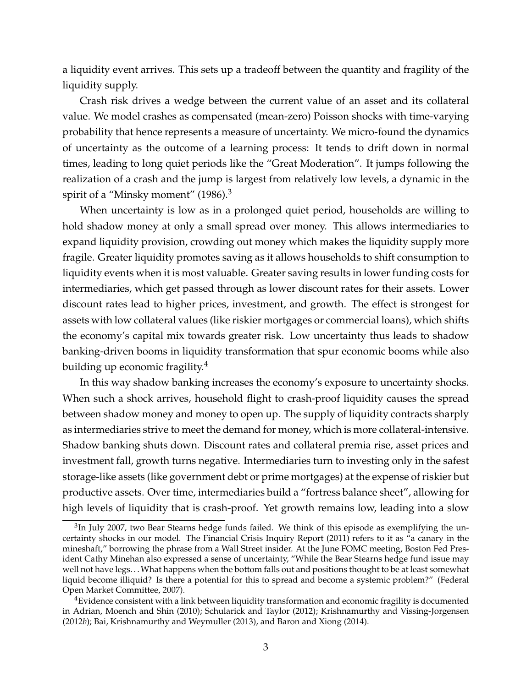a liquidity event arrives. This sets up a tradeoff between the quantity and fragility of the liquidity supply.

Crash risk drives a wedge between the current value of an asset and its collateral value. We model crashes as compensated (mean-zero) Poisson shocks with time-varying probability that hence represents a measure of uncertainty. We micro-found the dynamics of uncertainty as the outcome of a learning process: It tends to drift down in normal times, leading to long quiet periods like the "Great Moderation". It jumps following the realization of a crash and the jump is largest from relatively low levels, a dynamic in the spirit of a "Minsky moment"  $(1986)^3$  $(1986)^3$  $(1986)^3$ 

When uncertainty is low as in a prolonged quiet period, households are willing to hold shadow money at only a small spread over money. This allows intermediaries to expand liquidity provision, crowding out money which makes the liquidity supply more fragile. Greater liquidity promotes saving as it allows households to shift consumption to liquidity events when it is most valuable. Greater saving results in lower funding costs for intermediaries, which get passed through as lower discount rates for their assets. Lower discount rates lead to higher prices, investment, and growth. The effect is strongest for assets with low collateral values (like riskier mortgages or commercial loans), which shifts the economy's capital mix towards greater risk. Low uncertainty thus leads to shadow banking-driven booms in liquidity transformation that spur economic booms while also building up economic fragility.<sup>[4](#page-3-1)</sup>

In this way shadow banking increases the economy's exposure to uncertainty shocks. When such a shock arrives, household flight to crash-proof liquidity causes the spread between shadow money and money to open up. The supply of liquidity contracts sharply as intermediaries strive to meet the demand for money, which is more collateral-intensive. Shadow banking shuts down. Discount rates and collateral premia rise, asset prices and investment fall, growth turns negative. Intermediaries turn to investing only in the safest storage-like assets (like government debt or prime mortgages) at the expense of riskier but productive assets. Over time, intermediaries build a "fortress balance sheet", allowing for high levels of liquidity that is crash-proof. Yet growth remains low, leading into a slow

<span id="page-3-0"></span> ${}^{3}$ In July 2007, two Bear Stearns hedge funds failed. We think of this episode as exemplifying the uncertainty shocks in our model. The Financial Crisis Inquiry Report [\(2011\)](#page-33-1) refers to it as "a canary in the mineshaft," borrowing the phrase from a Wall Street insider. At the June FOMC meeting, Boston Fed President Cathy Minehan also expressed a sense of uncertainty, "While the Bear Stearns hedge fund issue may well not have legs. . .What happens when the bottom falls out and positions thought to be at least somewhat liquid become illiquid? Is there a potential for this to spread and become a systemic problem?" [\(Federal](#page-33-2) [Open Market Committee,](#page-33-2) [2007\)](#page-33-2).

<span id="page-3-1"></span><sup>&</sup>lt;sup>4</sup>Evidence consistent with a link between liquidity transformation and economic fragility is documented in [Adrian, Moench and Shin](#page-32-2) [\(2010\)](#page-32-2); [Schularick and Taylor](#page-35-3) [\(2012\)](#page-35-3); [Krishnamurthy and Vissing-Jorgensen](#page-34-4) [\(2012](#page-34-4)*b*); [Bai, Krishnamurthy and Weymuller](#page-32-3) [\(2013\)](#page-32-3), and [Baron and Xiong](#page-32-4) [\(2014\)](#page-32-4).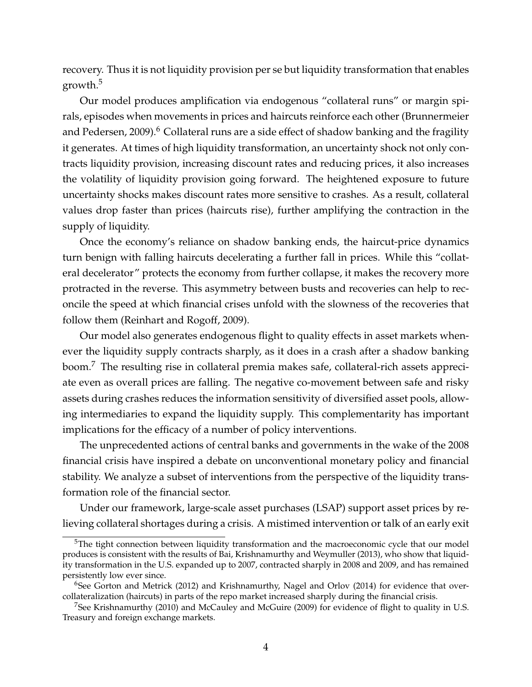recovery. Thus it is not liquidity provision per se but liquidity transformation that enables growth.[5](#page-4-0)

Our model produces amplification via endogenous "collateral runs" or margin spirals, episodes when movements in prices and haircuts reinforce each other [\(Brunnermeier](#page-32-5) [and Pedersen,](#page-32-5) [2009\)](#page-32-5).<sup>[6](#page-4-1)</sup> Collateral runs are a side effect of shadow banking and the fragility it generates. At times of high liquidity transformation, an uncertainty shock not only contracts liquidity provision, increasing discount rates and reducing prices, it also increases the volatility of liquidity provision going forward. The heightened exposure to future uncertainty shocks makes discount rates more sensitive to crashes. As a result, collateral values drop faster than prices (haircuts rise), further amplifying the contraction in the supply of liquidity.

Once the economy's reliance on shadow banking ends, the haircut-price dynamics turn benign with falling haircuts decelerating a further fall in prices. While this "collateral decelerator" protects the economy from further collapse, it makes the recovery more protracted in the reverse. This asymmetry between busts and recoveries can help to reconcile the speed at which financial crises unfold with the slowness of the recoveries that follow them [\(Reinhart and Rogoff,](#page-35-4) [2009\)](#page-35-4).

Our model also generates endogenous flight to quality effects in asset markets whenever the liquidity supply contracts sharply, as it does in a crash after a shadow banking boom.[7](#page-4-2) The resulting rise in collateral premia makes safe, collateral-rich assets appreciate even as overall prices are falling. The negative co-movement between safe and risky assets during crashes reduces the information sensitivity of diversified asset pools, allowing intermediaries to expand the liquidity supply. This complementarity has important implications for the efficacy of a number of policy interventions.

The unprecedented actions of central banks and governments in the wake of the 2008 financial crisis have inspired a debate on unconventional monetary policy and financial stability. We analyze a subset of interventions from the perspective of the liquidity transformation role of the financial sector.

Under our framework, large-scale asset purchases (LSAP) support asset prices by relieving collateral shortages during a crisis. A mistimed intervention or talk of an early exit

<span id="page-4-0"></span><sup>&</sup>lt;sup>5</sup>The tight connection between liquidity transformation and the macroeconomic cycle that our model produces is consistent with the results of [Bai, Krishnamurthy and Weymuller](#page-32-3) [\(2013\)](#page-32-3), who show that liquidity transformation in the U.S. expanded up to 2007, contracted sharply in 2008 and 2009, and has remained persistently low ever since.

<span id="page-4-1"></span> $6$ See [Gorton and Metrick](#page-33-3) [\(2012\)](#page-33-3) and [Krishnamurthy, Nagel and Orlov](#page-34-6) [\(2014\)](#page-34-6) for evidence that overcollateralization (haircuts) in parts of the repo market increased sharply during the financial crisis.

<span id="page-4-2"></span><sup>&</sup>lt;sup>7</sup>See [Krishnamurthy](#page-34-7) [\(2010\)](#page-34-7) and [McCauley and McGuire](#page-35-5) [\(2009\)](#page-35-5) for evidence of flight to quality in U.S. Treasury and foreign exchange markets.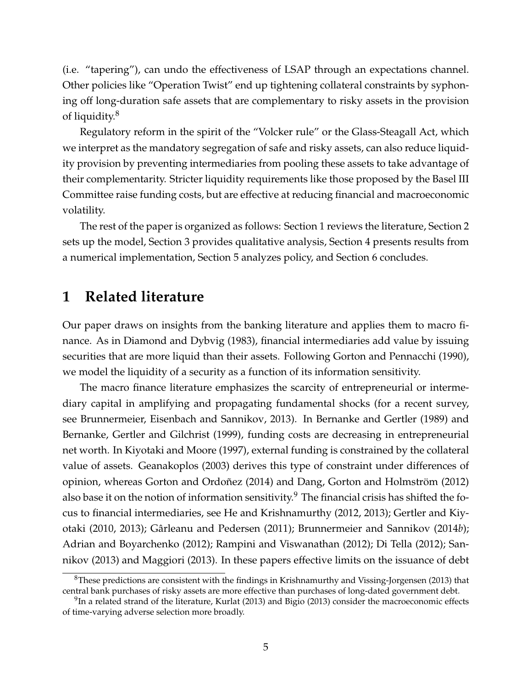(i.e. "tapering"), can undo the effectiveness of LSAP through an expectations channel. Other policies like "Operation Twist" end up tightening collateral constraints by syphoning off long-duration safe assets that are complementary to risky assets in the provision of liquidity.[8](#page-5-0)

Regulatory reform in the spirit of the "Volcker rule" or the Glass-Steagall Act, which we interpret as the mandatory segregation of safe and risky assets, can also reduce liquidity provision by preventing intermediaries from pooling these assets to take advantage of their complementarity. Stricter liquidity requirements like those proposed by the Basel III Committee raise funding costs, but are effective at reducing financial and macroeconomic volatility.

The rest of the paper is organized as follows: Section [1](#page-5-1) reviews the literature, Section [2](#page-6-0) sets up the model, Section [3](#page-14-0) provides qualitative analysis, Section [4](#page-19-0) presents results from a numerical implementation, Section [5](#page-25-0) analyzes policy, and Section [6](#page-31-0) concludes.

# <span id="page-5-1"></span>**1 Related literature**

Our paper draws on insights from the banking literature and applies them to macro finance. As in [Diamond and Dybvig](#page-33-0) [\(1983\)](#page-33-0), financial intermediaries add value by issuing securities that are more liquid than their assets. Following [Gorton and Pennacchi](#page-34-1) [\(1990\)](#page-34-1), we model the liquidity of a security as a function of its information sensitivity.

The macro finance literature emphasizes the scarcity of entrepreneurial or intermediary capital in amplifying and propagating fundamental shocks (for a recent survey, see [Brunnermeier, Eisenbach and Sannikov,](#page-32-6) [2013\)](#page-32-6). In [Bernanke and Gertler](#page-32-7) [\(1989\)](#page-32-7) and [Bernanke, Gertler and Gilchrist](#page-32-8) [\(1999\)](#page-32-8), funding costs are decreasing in entrepreneurial net worth. In [Kiyotaki and Moore](#page-34-8) [\(1997\)](#page-34-8), external funding is constrained by the collateral value of assets. [Geanakoplos](#page-33-4) [\(2003\)](#page-33-4) derives this type of constraint under differences of opinion, whereas [Gorton and Ordoñez](#page-34-9) [\(2014\)](#page-34-9) and [Dang, Gorton and Holmström](#page-33-5) [\(2012\)](#page-33-5) also base it on the notion of information sensitivity.<sup>[9](#page-5-2)</sup> The financial crisis has shifted the focus to financial intermediaries, see [He and Krishnamurthy](#page-34-10) [\(2012,](#page-34-10) [2013\)](#page-34-0); [Gertler and Kiy](#page-33-6)[otaki](#page-33-6) [\(2010,](#page-33-6) [2013\)](#page-33-7); [Gârleanu and Pedersen](#page-33-8) [\(2011\)](#page-33-8); [Brunnermeier and Sannikov](#page-32-0) [\(2014](#page-32-0)*b*); [Adrian and Boyarchenko](#page-32-9) [\(2012\)](#page-32-9); [Rampini and Viswanathan](#page-35-6) [\(2012\)](#page-35-6); [Di Tella](#page-33-9) [\(2012\)](#page-33-9); [San](#page-35-7)[nikov](#page-35-7) [\(2013\)](#page-35-7) and [Maggiori](#page-34-11) [\(2013\)](#page-34-11). In these papers effective limits on the issuance of debt

<span id="page-5-0"></span> ${}^{8}$ These predictions are consistent with the findings in [Krishnamurthy and Vissing-Jorgensen](#page-34-12) [\(2013\)](#page-34-12) that central bank purchases of risky assets are more effective than purchases of long-dated government debt.

<span id="page-5-2"></span> $^{9}$ In a related strand of the literature, [Kurlat](#page-34-13) [\(2013\)](#page-32-10) and [Bigio](#page-32-10) (2013) consider the macroeconomic effects of time-varying adverse selection more broadly.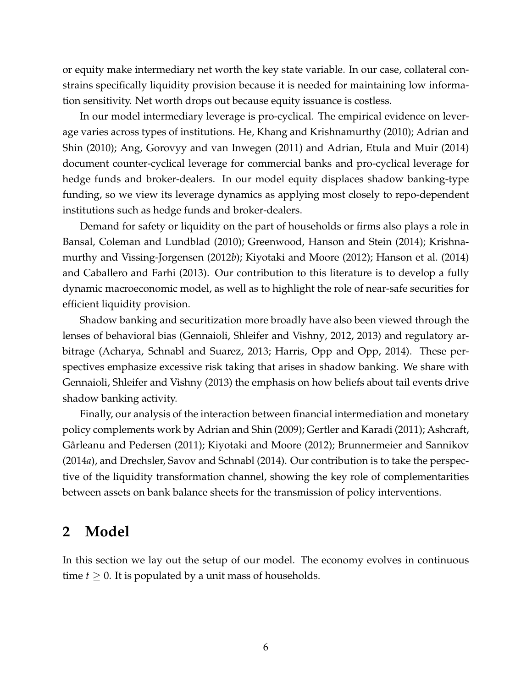or equity make intermediary net worth the key state variable. In our case, collateral constrains specifically liquidity provision because it is needed for maintaining low information sensitivity. Net worth drops out because equity issuance is costless.

In our model intermediary leverage is pro-cyclical. The empirical evidence on leverage varies across types of institutions. [He, Khang and Krishnamurthy](#page-34-14) [\(2010\)](#page-34-14); [Adrian and](#page-32-11) [Shin](#page-32-11) [\(2010\)](#page-32-11); [Ang, Gorovyy and van Inwegen](#page-32-12) [\(2011\)](#page-32-12) and [Adrian, Etula and Muir](#page-32-13) [\(2014\)](#page-32-13) document counter-cyclical leverage for commercial banks and pro-cyclical leverage for hedge funds and broker-dealers. In our model equity displaces shadow banking-type funding, so we view its leverage dynamics as applying most closely to repo-dependent institutions such as hedge funds and broker-dealers.

Demand for safety or liquidity on the part of households or firms also plays a role in [Bansal, Coleman and Lundblad](#page-32-14) [\(2010\)](#page-32-14); [Greenwood, Hanson and Stein](#page-34-5) [\(2014\)](#page-34-5); [Krishna](#page-34-4)[murthy and Vissing-Jorgensen](#page-34-4) [\(2012](#page-34-4)*b*); [Kiyotaki and Moore](#page-34-15) [\(2012\)](#page-34-15); [Hanson et al.](#page-34-16) [\(2014\)](#page-34-16) and [Caballero and Farhi](#page-33-10) [\(2013\)](#page-33-10). Our contribution to this literature is to develop a fully dynamic macroeconomic model, as well as to highlight the role of near-safe securities for efficient liquidity provision.

Shadow banking and securitization more broadly have also been viewed through the lenses of behavioral bias [\(Gennaioli, Shleifer and Vishny,](#page-33-11) [2012,](#page-33-11) [2013\)](#page-33-12) and regulatory arbitrage [\(Acharya, Schnabl and Suarez,](#page-32-15) [2013;](#page-32-15) [Harris, Opp and Opp,](#page-34-17) [2014\)](#page-34-17). These perspectives emphasize excessive risk taking that arises in shadow banking. We share with [Gennaioli, Shleifer and Vishny](#page-33-12) [\(2013\)](#page-33-12) the emphasis on how beliefs about tail events drive shadow banking activity.

Finally, our analysis of the interaction between financial intermediation and monetary policy complements work by [Adrian and Shin](#page-32-16) [\(2009\)](#page-32-16); [Gertler and Karadi](#page-33-13) [\(2011\)](#page-33-13); [Ashcraft,](#page-32-17) [Gârleanu and Pedersen](#page-32-17) [\(2011\)](#page-32-17); [Kiyotaki and Moore](#page-34-15) [\(2012\)](#page-34-15); [Brunnermeier and Sannikov](#page-32-18) [\(2014](#page-32-18)*a*), and [Drechsler, Savov and Schnabl](#page-33-14) [\(2014\)](#page-33-14). Our contribution is to take the perspective of the liquidity transformation channel, showing the key role of complementarities between assets on bank balance sheets for the transmission of policy interventions.

# <span id="page-6-0"></span>**2 Model**

In this section we lay out the setup of our model. The economy evolves in continuous time  $t \geq 0$ . It is populated by a unit mass of households.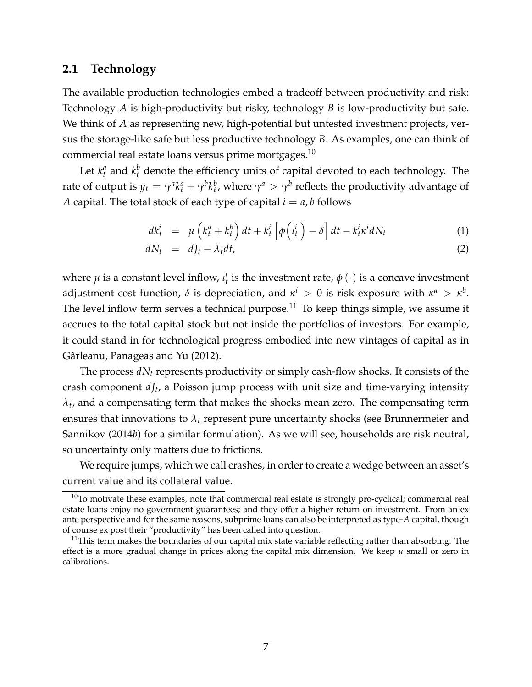# **2.1 Technology**

The available production technologies embed a tradeoff between productivity and risk: Technology *A* is high-productivity but risky, technology *B* is low-productivity but safe. We think of *A* as representing new, high-potential but untested investment projects, versus the storage-like safe but less productive technology *B*. As examples, one can think of commercial real estate loans versus prime mortgages.[10](#page-7-0)

Let  $k_t^a$  and  $k_t^b$  denote the efficiency units of capital devoted to each technology. The rate of output is  $y_t = \gamma^a k^a_t + \gamma^b k^b_t$ , where  $\gamma^a > \gamma^b$  reflects the productivity advantage of *A* capital. The total stock of each type of capital  $i = a$ , *b* follows

$$
dk_t^i = \mu \left( k_t^a + k_t^b \right) dt + k_t^i \left[ \phi \left( \iota_t^i \right) - \delta \right] dt - k_t^i \kappa^i dN_t \tag{1}
$$

<span id="page-7-2"></span>
$$
dN_t = dJ_t - \lambda_t dt, \qquad (2)
$$

where  $\mu$  is a constant level inflow,  $\iota_t^i$  is the investment rate,  $\phi$   $(\cdot)$  is a concave investment adjustment cost function,  $\delta$  is depreciation, and  $\kappa^i > 0$  is risk exposure with  $\kappa^a > \kappa^b$ . The level inflow term serves a technical purpose.<sup>[11](#page-7-1)</sup> To keep things simple, we assume it accrues to the total capital stock but not inside the portfolios of investors. For example, it could stand in for technological progress embodied into new vintages of capital as in [Gârleanu, Panageas and Yu](#page-33-15) [\(2012\)](#page-33-15).

The process *dN<sup>t</sup>* represents productivity or simply cash-flow shocks. It consists of the crash component  $dJ_t$ , a Poisson jump process with unit size and time-varying intensity  $\lambda_t$ , and a compensating term that makes the shocks mean zero. The compensating term ensures that innovations to  $\lambda_t$  represent pure uncertainty shocks (see [Brunnermeier and](#page-32-0) [Sannikov](#page-32-0) [\(2014](#page-32-0)*b*) for a similar formulation). As we will see, households are risk neutral, so uncertainty only matters due to frictions.

We require jumps, which we call crashes, in order to create a wedge between an asset's current value and its collateral value.

<span id="page-7-0"></span> $10$ To motivate these examples, note that commercial real estate is strongly pro-cyclical; commercial real estate loans enjoy no government guarantees; and they offer a higher return on investment. From an ex ante perspective and for the same reasons, subprime loans can also be interpreted as type-*A* capital, though of course ex post their "productivity" has been called into question.

<span id="page-7-1"></span> $11$ This term makes the boundaries of our capital mix state variable reflecting rather than absorbing. The effect is a more gradual change in prices along the capital mix dimension. We keep  $\mu$  small or zero in calibrations.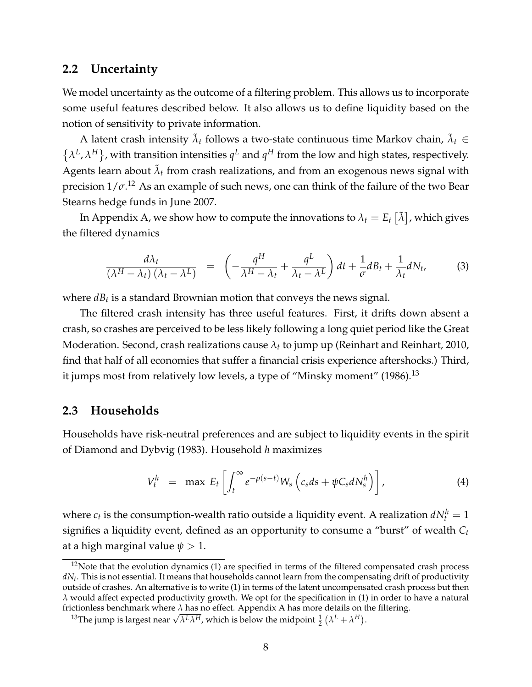## **2.2 Uncertainty**

We model uncertainty as the outcome of a filtering problem. This allows us to incorporate some useful features described below. It also allows us to define liquidity based on the notion of sensitivity to private information.

A latent crash intensity  $\tilde{\lambda}_t$  follows a two-state continuous time Markov chain,  $\tilde{\lambda}_t \in$  $\{\lambda^L, \lambda^H\}$ , with transition intensities  $q^L$  and  $q^H$  from the low and high states, respectively. Agents learn about  $\tilde{\lambda}_t$  from crash realizations, and from an exogenous news signal with precision 1/*σ*. [12](#page-8-0) As an example of such news, one can think of the failure of the two Bear Stearns hedge funds in June 2007.

In Appendix [A,](#page-44-0) we show how to compute the innovations to  $\lambda_t = E_t\left[ \tilde{\lambda} \right]$ , which gives the filtered dynamics

<span id="page-8-3"></span>
$$
\frac{d\lambda_t}{(\lambda^H - \lambda_t)(\lambda_t - \lambda^L)} = \left(-\frac{q^H}{\lambda^H - \lambda_t} + \frac{q^L}{\lambda_t - \lambda^L}\right)dt + \frac{1}{\sigma}dB_t + \frac{1}{\lambda_t}dN_t, \tag{3}
$$

where  $dB_t$  is a standard Brownian motion that conveys the news signal.

The filtered crash intensity has three useful features. First, it drifts down absent a crash, so crashes are perceived to be less likely following a long quiet period like the Great Moderation. Second, crash realizations cause *λ<sup>t</sup>* to jump up [\(Reinhart and Reinhart,](#page-35-8) [2010,](#page-35-8) find that half of all economies that suffer a financial crisis experience aftershocks.) Third, it jumps most from relatively low levels, a type of "Minsky moment"  $(1986).^{13}$  $(1986).^{13}$  $(1986).^{13}$  $(1986).^{13}$ 

### **2.3 Households**

Households have risk-neutral preferences and are subject to liquidity events in the spirit of [Diamond and Dybvig](#page-33-0) [\(1983\)](#page-33-0). Household *h* maximizes

<span id="page-8-2"></span>
$$
V_t^h = \max E_t \left[ \int_t^\infty e^{-\rho(s-t)} W_s \left( c_s ds + \psi C_s dN_s^h \right) \right], \tag{4}
$$

where  $c_t$  is the consumption-wealth ratio outside a liquidity event. A realization  $dN_t^h=1$ signifies a liquidity event, defined as an opportunity to consume a "burst" of wealth *C<sup>t</sup>* at a high marginal value  $\psi > 1$ .

<span id="page-8-0"></span> $12$ Note that the evolution dynamics [\(1\)](#page-7-2) are specified in terms of the filtered compensated crash process *dN<sup>t</sup>* . This is not essential. It means that households cannot learn from the compensating drift of productivity outside of crashes. An alternative is to write [\(1\)](#page-7-2) in terms of the latent uncompensated crash process but then *λ* would affect expected productivity growth. We opt for the specification in [\(1\)](#page-7-2) in order to have a natural frictionless benchmark where *λ* has no effect. Appendix [A](#page-44-0) has more details on the filtering.

<span id="page-8-1"></span>ctioniess benchmark where *λ* has no effect. Appendix A has more details on t<br><sup>13</sup>The jump is largest near  $\sqrt{\lambda^L \lambda^H}$ , which is below the midpoint  $\frac{1}{2}(\lambda^L + \lambda^H)$ .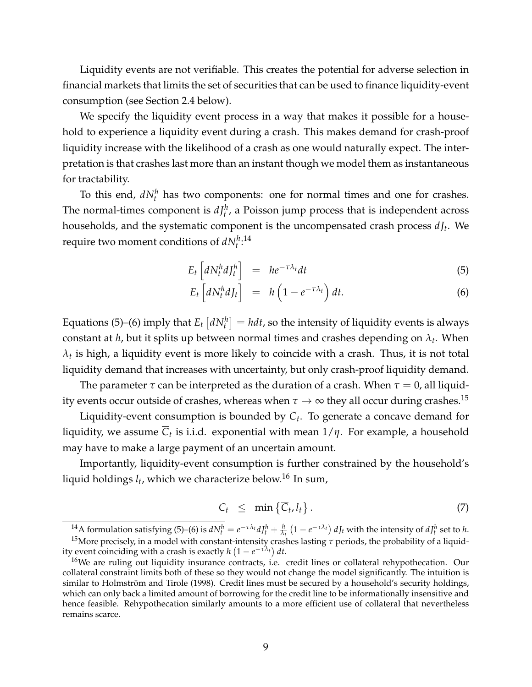Liquidity events are not verifiable. This creates the potential for adverse selection in financial markets that limits the set of securities that can be used to finance liquidity-event consumption (see Section [2.4](#page-10-0) below).

We specify the liquidity event process in a way that makes it possible for a household to experience a liquidity event during a crash. This makes demand for crash-proof liquidity increase with the likelihood of a crash as one would naturally expect. The interpretation is that crashes last more than an instant though we model them as instantaneous for tractability.

To this end,  $dN_t^h$  has two components: one for normal times and one for crashes. The normal-times component is  $dJ_t^h$ , a Poisson jump process that is independent across households, and the systematic component is the uncompensated crash process *d J<sup>t</sup>* . We require two moment conditions of  $dN_t^{h,14}$  $dN_t^{h,14}$  $dN_t^{h,14}$ 

$$
E_t \left[ dN_t^h dJ_t^h \right] = h e^{-\tau \lambda_t} dt \tag{5}
$$

<span id="page-9-1"></span>
$$
E_t \left[ dN_t^h dJ_t \right] = h \left( 1 - e^{-\tau \lambda_t} \right) dt. \tag{6}
$$

Equations [\(5\)](#page-9-1)–[\(6\)](#page-9-1) imply that  $E_t \left[ dN_t^h \right] = h dt$ , so the intensity of liquidity events is always constant at *h*, but it splits up between normal times and crashes depending on *λ<sup>t</sup>* . When  $\lambda_t$  is high, a liquidity event is more likely to coincide with a crash. Thus, it is not total liquidity demand that increases with uncertainty, but only crash-proof liquidity demand.

The parameter  $\tau$  can be interpreted as the duration of a crash. When  $\tau = 0$ , all liquidity events occur outside of crashes, whereas when  $\tau \to \infty$  they all occur during crashes.<sup>[15](#page-9-2)</sup>

Liquidity-event consumption is bounded by *C<sup>t</sup>* . To generate a concave demand for liquidity, we assume *C<sup>t</sup>* is i.i.d. exponential with mean 1/*η*. For example, a household may have to make a large payment of an uncertain amount.

Importantly, liquidity-event consumption is further constrained by the household's liquid holdings *l<sup>t</sup>* , which we characterize below.[16](#page-9-3) In sum,

$$
C_t \leq \min \left\{ \overline{C}_t, l_t \right\}. \tag{7}
$$

<span id="page-9-2"></span><span id="page-9-0"></span><sup>14</sup>A formulation satisfying [\(5\)](#page-9-1)–[\(6\)](#page-9-1) is  $dN_t^h=e^{-\tau\lambda_t}dJ_t^h+\frac{h}{\lambda_t}\left(1-e^{-\tau\lambda_t}\right) dJ_t$  with the intensity of  $dJ_t^h$  set to  $h$ . <sup>15</sup>More precisely, in a model with constant-intensity crashes lasting *τ* periods, the probability of a liquidity event coinciding with a crash is exactly  $h(1-e^{-\tau\lambda_t}) dt$ .

<span id="page-9-3"></span><sup>&</sup>lt;sup>16</sup>We are ruling out liquidity insurance contracts, i.e. credit lines or collateral rehypothecation. Our collateral constraint limits both of these so they would not change the model significantly. The intuition is similar to [Holmström and Tirole](#page-34-2) [\(1998\)](#page-34-2). Credit lines must be secured by a household's security holdings, which can only back a limited amount of borrowing for the credit line to be informationally insensitive and hence feasible. Rehypothecation similarly amounts to a more efficient use of collateral that nevertheless remains scarce.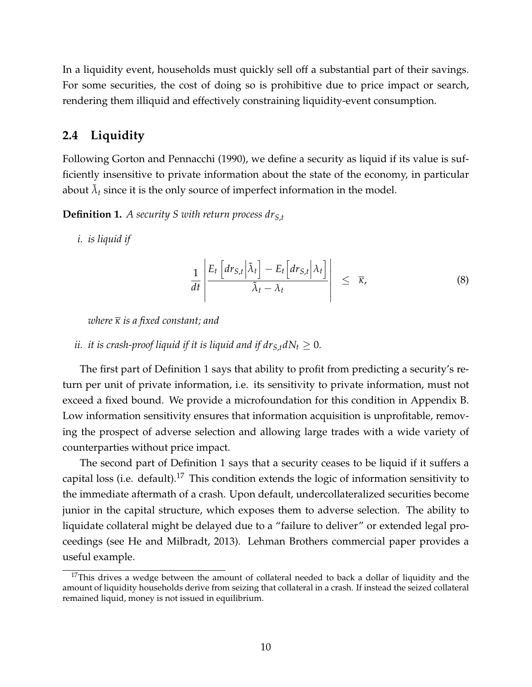In a liquidity event, households must quickly sell off a substantial part of their savings. For some securities, the cost of doing so is prohibitive due to price impact or search, rendering them illiquid and effectively constraining liquidity-event consumption.

# <span id="page-10-0"></span>**2.4 Liquidity**

Following [Gorton and Pennacchi](#page-34-1) [\(1990\)](#page-34-1), we define a security as liquid if its value is sufficiently insensitive to private information about the state of the economy, in particular about  $\tilde{\lambda}_t$  since it is the only source of imperfect information in the model.

<span id="page-10-1"></span>**Definition 1.** *A security S with return process drS*,*<sup>t</sup>*

*i. is liquid if*

$$
\frac{1}{dt} \left| \frac{E_t \left[ dr_{S,t} \Big| \tilde{\lambda}_t \right] - E_t \left[ dr_{S,t} \Big| \lambda_t \right]}{\tilde{\lambda}_t - \lambda_t} \right| \leq \overline{\kappa}, \tag{8}
$$

*where κ is a fixed constant; and*

#### *ii. it is crash-proof liquid if it is liquid and if*  $dr_{S,t}dN_t \geq 0$ *.*

The first part of Definition [1](#page-10-1) says that ability to profit from predicting a security's return per unit of private information, i.e. its sensitivity to private information, must not exceed a fixed bound. We provide a microfoundation for this condition in Appendix [B.](#page-45-0) Low information sensitivity ensures that information acquisition is unprofitable, removing the prospect of adverse selection and allowing large trades with a wide variety of counterparties without price impact.

The second part of Definition [1](#page-10-1) says that a security ceases to be liquid if it suffers a capital loss (i.e. default).<sup>[17](#page-10-2)</sup> This condition extends the logic of information sensitivity to the immediate aftermath of a crash. Upon default, undercollateralized securities become junior in the capital structure, which exposes them to adverse selection. The ability to liquidate collateral might be delayed due to a "failure to deliver" or extended legal proceedings (see [He and Milbradt,](#page-34-18) [2013\)](#page-34-18). Lehman Brothers commercial paper provides a useful example.

<span id="page-10-2"></span> $17$ This drives a wedge between the amount of collateral needed to back a dollar of liquidity and the amount of liquidity households derive from seizing that collateral in a crash. If instead the seized collateral remained liquid, money is not issued in equilibrium.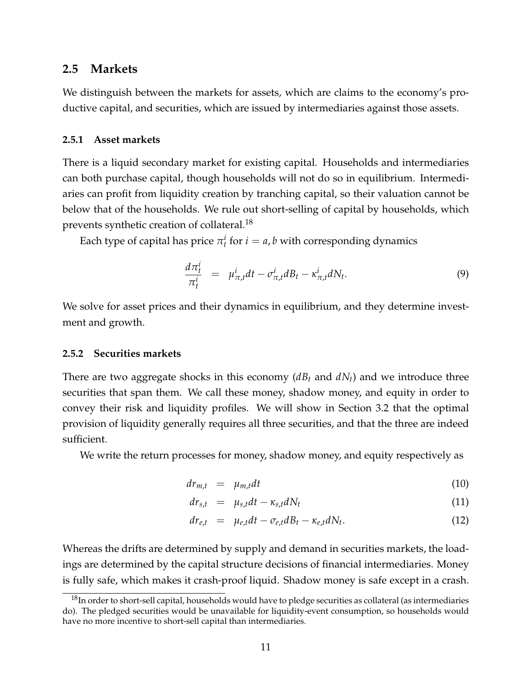#### **2.5 Markets**

We distinguish between the markets for assets, which are claims to the economy's productive capital, and securities, which are issued by intermediaries against those assets.

#### **2.5.1 Asset markets**

There is a liquid secondary market for existing capital. Households and intermediaries can both purchase capital, though households will not do so in equilibrium. Intermediaries can profit from liquidity creation by tranching capital, so their valuation cannot be below that of the households. We rule out short-selling of capital by households, which prevents synthetic creation of collateral.[18](#page-11-0)

Each type of capital has price  $\pi_t^i$  for  $i = a$ , *b* with corresponding dynamics

$$
\frac{d\pi_t^i}{\pi_t^i} = \mu_{\pi,t}^i dt - \sigma_{\pi,t}^i dB_t - \kappa_{\pi,t}^i dN_t.
$$
\n(9)

We solve for asset prices and their dynamics in equilibrium, and they determine investment and growth.

#### **2.5.2 Securities markets**

There are two aggregate shocks in this economy (*dB<sup>t</sup>* and *dNt*) and we introduce three securities that span them. We call these money, shadow money, and equity in order to convey their risk and liquidity profiles. We will show in Section [3.2](#page-15-0) that the optimal provision of liquidity generally requires all three securities, and that the three are indeed sufficient.

We write the return processes for money, shadow money, and equity respectively as

<span id="page-11-1"></span>
$$
dr_{m,t} = \mu_{m,t} dt \tag{10}
$$

$$
dr_{s,t} = \mu_{s,t}dt - \kappa_{s,t}dN_t \qquad (11)
$$

$$
dr_{e,t} = \mu_{e,t}dt - \sigma_{e,t}dB_t - \kappa_{e,t}dN_t.
$$
 (12)

Whereas the drifts are determined by supply and demand in securities markets, the loadings are determined by the capital structure decisions of financial intermediaries. Money is fully safe, which makes it crash-proof liquid. Shadow money is safe except in a crash.

<span id="page-11-0"></span><sup>&</sup>lt;sup>18</sup>In order to short-sell capital, households would have to pledge securities as collateral (as intermediaries do). The pledged securities would be unavailable for liquidity-event consumption, so households would have no more incentive to short-sell capital than intermediaries.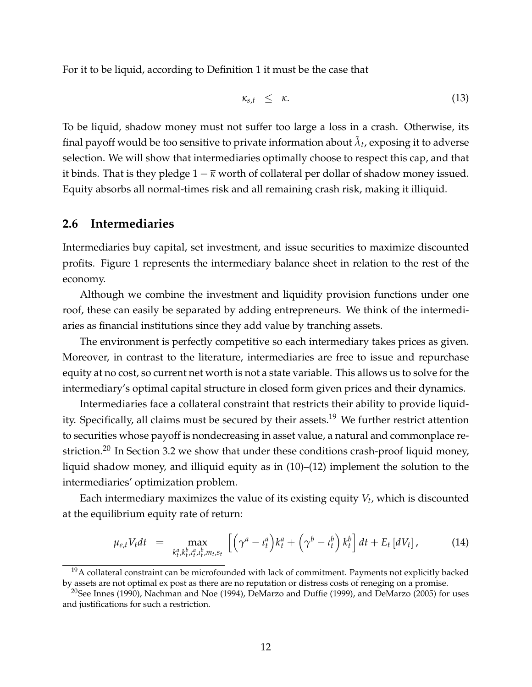For it to be liquid, according to Definition [1](#page-10-1) it must be the case that

$$
\kappa_{s,t} \leq \overline{\kappa}.\tag{13}
$$

To be liquid, shadow money must not suffer too large a loss in a crash. Otherwise, its final payoff would be too sensitive to private information about  $\tilde{\lambda}_t$ , exposing it to adverse selection. We will show that intermediaries optimally choose to respect this cap, and that it binds. That is they pledge  $1 - \overline{\kappa}$  worth of collateral per dollar of shadow money issued. Equity absorbs all normal-times risk and all remaining crash risk, making it illiquid.

#### <span id="page-12-3"></span>**2.6 Intermediaries**

Intermediaries buy capital, set investment, and issue securities to maximize discounted profits. Figure [1](#page-13-0) represents the intermediary balance sheet in relation to the rest of the economy.

Although we combine the investment and liquidity provision functions under one roof, these can easily be separated by adding entrepreneurs. We think of the intermediaries as financial institutions since they add value by tranching assets.

The environment is perfectly competitive so each intermediary takes prices as given. Moreover, in contrast to the literature, intermediaries are free to issue and repurchase equity at no cost, so current net worth is not a state variable. This allows us to solve for the intermediary's optimal capital structure in closed form given prices and their dynamics.

Intermediaries face a collateral constraint that restricts their ability to provide liquid-ity. Specifically, all claims must be secured by their assets.<sup>[19](#page-12-0)</sup> We further restrict attention to securities whose payoff is nondecreasing in asset value, a natural and commonplace re-striction.<sup>[20](#page-12-1)</sup> In Section [3.2](#page-15-0) we show that under these conditions crash-proof liquid money, liquid shadow money, and illiquid equity as in [\(10\)](#page-11-1)–[\(12\)](#page-11-1) implement the solution to the intermediaries' optimization problem.

Each intermediary maximizes the value of its existing equity *V<sup>t</sup>* , which is discounted at the equilibrium equity rate of return:

<span id="page-12-2"></span>
$$
\mu_{e,t} V_t dt = \max_{k_t^a, k_t^b, \mu_t^a, \mu_t^b, m_t, s_t} \left[ \left( \gamma^a - \iota_t^a \right) k_t^a + \left( \gamma^b - \iota_t^b \right) k_t^b \right] dt + E_t \left[ dV_t \right], \tag{14}
$$

<span id="page-12-0"></span> $19A$  collateral constraint can be microfounded with lack of commitment. Payments not explicitly backed by assets are not optimal ex post as there are no reputation or distress costs of reneging on a promise.

<span id="page-12-1"></span><sup>&</sup>lt;sup>20</sup>See [Innes](#page-34-19) [\(1990\)](#page-34-19), [Nachman and Noe](#page-35-9) [\(1994\)](#page-35-9), [DeMarzo and Duffie](#page-33-16) [\(1999\)](#page-33-16), and [DeMarzo](#page-33-17) [\(2005\)](#page-33-17) for uses and justifications for such a restriction.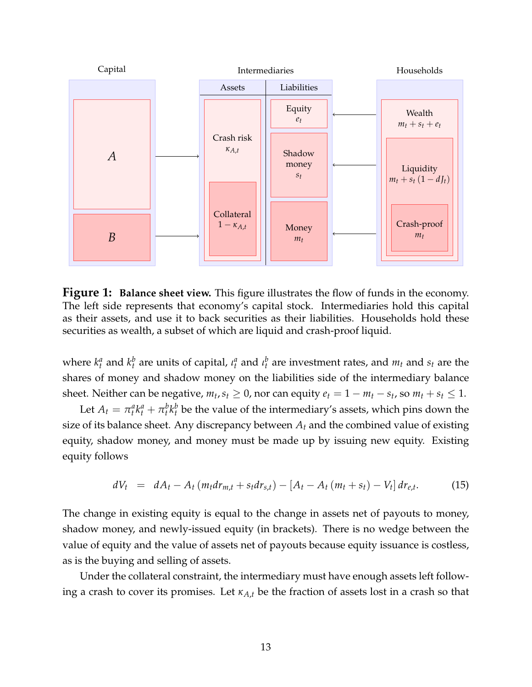<span id="page-13-0"></span>

**Figure 1: Balance sheet view.** This figure illustrates the flow of funds in the economy. The left side represents that economy's capital stock. Intermediaries hold this capital as their assets, and use it to back securities as their liabilities. Households hold these securities as wealth, a subset of which are liquid and crash-proof liquid.

where  $k_t^a$  and  $k_t^b$  are units of capital,  $\iota_t^a$  and  $\iota_t^b$  are investment rates, and  $m_t$  and  $s_t$  are the shares of money and shadow money on the liabilities side of the intermediary balance sheet. Neither can be negative,  $m_t$ ,  $s_t \geq 0$ , nor can equity  $e_t = 1 - m_t - s_t$ , so  $m_t + s_t \leq 1$ .

Let  $A_t = \pi_t^a k_t^a + \pi_t^b k_t^b$  be the value of the intermediary's assets, which pins down the size of its balance sheet. Any discrepancy between  $A_t$  and the combined value of existing equity, shadow money, and money must be made up by issuing new equity. Existing equity follows

<span id="page-13-1"></span>
$$
dV_t = dA_t - A_t (m_t dr_{m,t} + s_t dr_{s,t}) - [A_t - A_t (m_t + s_t) - V_t] dr_{e,t}.
$$
 (15)

The change in existing equity is equal to the change in assets net of payouts to money, shadow money, and newly-issued equity (in brackets). There is no wedge between the value of equity and the value of assets net of payouts because equity issuance is costless, as is the buying and selling of assets.

Under the collateral constraint, the intermediary must have enough assets left following a crash to cover its promises. Let *κA*,*<sup>t</sup>* be the fraction of assets lost in a crash so that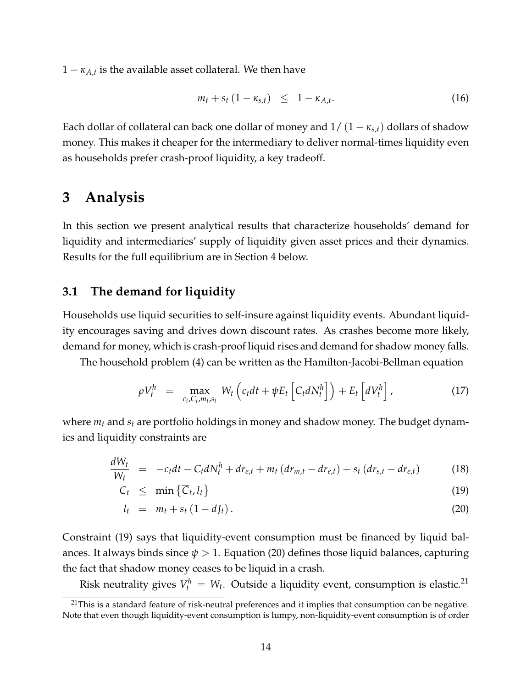$1 - \kappa_{A,t}$  is the available asset collateral. We then have

<span id="page-14-3"></span>
$$
m_t + s_t (1 - \kappa_{s,t}) \leq 1 - \kappa_{A,t}.
$$

Each dollar of collateral can back one dollar of money and  $1/(1 - \kappa_{s,t})$  dollars of shadow money. This makes it cheaper for the intermediary to deliver normal-times liquidity even as households prefer crash-proof liquidity, a key tradeoff.

# <span id="page-14-0"></span>**3 Analysis**

In this section we present analytical results that characterize households' demand for liquidity and intermediaries' supply of liquidity given asset prices and their dynamics. Results for the full equilibrium are in Section [4](#page-19-0) below.

# **3.1 The demand for liquidity**

Households use liquid securities to self-insure against liquidity events. Abundant liquidity encourages saving and drives down discount rates. As crashes become more likely, demand for money, which is crash-proof liquid rises and demand for shadow money falls.

The household problem [\(4\)](#page-8-2) can be written as the Hamilton-Jacobi-Bellman equation

<span id="page-14-4"></span>
$$
\rho V_t^h = \max_{c_t, C_t, m_t, s_t} W_t \left( c_t dt + \psi E_t \left[ C_t dN_t^h \right] \right) + E_t \left[ dV_t^h \right], \qquad (17)
$$

where *m<sup>t</sup>* and *s<sup>t</sup>* are portfolio holdings in money and shadow money. The budget dynamics and liquidity constraints are

$$
\frac{dW_t}{W_t} = -c_t dt - C_t dN_t^h + dr_{e,t} + m_t (dr_{m,t} - dr_{e,t}) + s_t (dr_{s,t} - dr_{e,t})
$$
\n(18)

<span id="page-14-1"></span>
$$
C_t \leq \min \left\{ \overline{C}_t, l_t \right\} \tag{19}
$$

$$
l_t = m_t + s_t (1 - dJ_t). \tag{20}
$$

Constraint [\(19\)](#page-14-1) says that liquidity-event consumption must be financed by liquid balances. It always binds since  $\psi > 1$ . Equation [\(20\)](#page-14-1) defines those liquid balances, capturing the fact that shadow money ceases to be liquid in a crash.

Risk neutrality gives  $V_t^h = W_t$ . Outside a liquidity event, consumption is elastic.<sup>[21](#page-14-2)</sup>

<span id="page-14-2"></span><sup>&</sup>lt;sup>21</sup>This is a standard feature of risk-neutral preferences and it implies that consumption can be negative. Note that even though liquidity-event consumption is lumpy, non-liquidity-event consumption is of order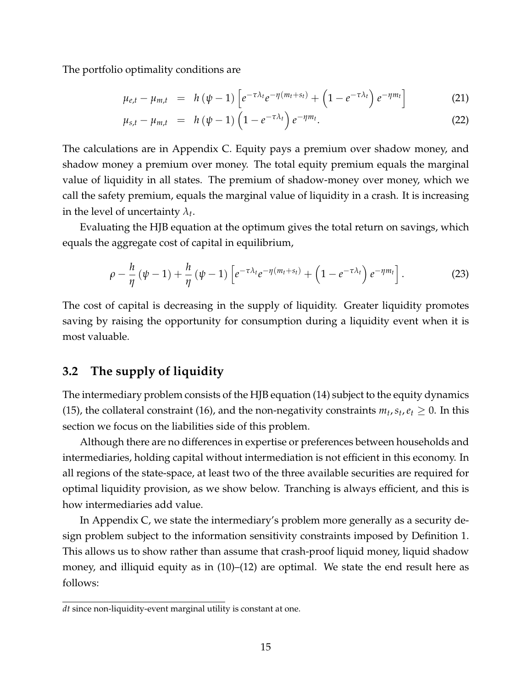The portfolio optimality conditions are

$$
\mu_{e,t} - \mu_{m,t} = h(\psi - 1) \left[ e^{-\tau \lambda_t} e^{-\eta (m_t + s_t)} + \left( 1 - e^{-\tau \lambda_t} \right) e^{-\eta m_t} \right]
$$
(21)

<span id="page-15-1"></span>
$$
\mu_{s,t} - \mu_{m,t} = h(\psi - 1) \left( 1 - e^{-\tau \lambda_t} \right) e^{-\eta m_t}.
$$
\n(22)

The calculations are in Appendix [C.](#page-47-0) Equity pays a premium over shadow money, and shadow money a premium over money. The total equity premium equals the marginal value of liquidity in all states. The premium of shadow-money over money, which we call the safety premium, equals the marginal value of liquidity in a crash. It is increasing in the level of uncertainty  $\lambda_t$ .

Evaluating the HJB equation at the optimum gives the total return on savings, which equals the aggregate cost of capital in equilibrium,

$$
\rho - \frac{h}{\eta} \left( \psi - 1 \right) + \frac{h}{\eta} \left( \psi - 1 \right) \left[ e^{-\tau \lambda_t} e^{-\eta \left( m_t + s_t \right)} + \left( 1 - e^{-\tau \lambda_t} \right) e^{-\eta m_t} \right]. \tag{23}
$$

The cost of capital is decreasing in the supply of liquidity. Greater liquidity promotes saving by raising the opportunity for consumption during a liquidity event when it is most valuable.

# <span id="page-15-0"></span>**3.2 The supply of liquidity**

The intermediary problem consists of the HJB equation [\(14\)](#page-12-2) subject to the equity dynamics [\(15\)](#page-13-1), the collateral constraint [\(16\)](#page-14-3), and the non-negativity constraints  $m_t$ ,  $s_t$ ,  $e_t \geq 0$ . In this section we focus on the liabilities side of this problem.

Although there are no differences in expertise or preferences between households and intermediaries, holding capital without intermediation is not efficient in this economy. In all regions of the state-space, at least two of the three available securities are required for optimal liquidity provision, as we show below. Tranching is always efficient, and this is how intermediaries add value.

In Appendix [C,](#page-47-0) we state the intermediary's problem more generally as a security design problem subject to the information sensitivity constraints imposed by Definition [1.](#page-10-1) This allows us to show rather than assume that crash-proof liquid money, liquid shadow money, and illiquid equity as in [\(10\)](#page-11-1)–[\(12\)](#page-11-1) are optimal. We state the end result here as follows:

*dt* since non-liquidity-event marginal utility is constant at one.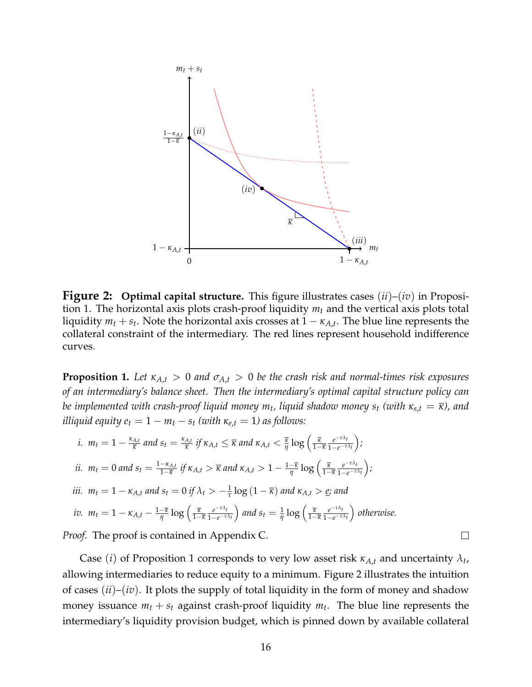<span id="page-16-1"></span>

**Figure 2: Optimal capital structure.** This figure illustrates cases (*ii*)–(*iv*) in Proposition [1.](#page-16-0) The horizontal axis plots crash-proof liquidity *m<sup>t</sup>* and the vertical axis plots total liquidity  $m_t + s_t$ . Note the horizontal axis crosses at  $1 - \kappa_{A,t}$ . The blue line represents the collateral constraint of the intermediary. The red lines represent household indifference curves.

<span id="page-16-0"></span>**Proposition 1.** Let  $\kappa_{A,t} > 0$  and  $\sigma_{A,t} > 0$  be the crash risk and normal-times risk exposures *of an intermediary's balance sheet. Then the intermediary's optimal capital structure policy can be implemented with crash-proof liquid money*  $m_t$ *, liquid shadow money*  $s_t$  *(with*  $\kappa_{s,t} = \overline{\kappa}$ *), and illiquid equity*  $e_t = 1 - m_t - s_t$  *(with*  $\kappa_{e,t} = 1$ ) *as follows:* 

*i.* 
$$
m_t = 1 - \frac{\kappa_{A,t}}{\overline{\kappa}}
$$
 and  $s_t = \frac{\kappa_{A,t}}{\overline{\kappa}}$  if  $\kappa_{A,t} \leq \overline{\kappa}$  and  $\kappa_{A,t} < \frac{\overline{\kappa}}{\eta} \log \left( \frac{\overline{\kappa}}{1 - \overline{\kappa}} \frac{e^{-\tau \lambda_t}}{1 - e^{-\tau \lambda_t}} \right)$ ;  
\n*ii.*  $m_t = 0$  and  $s_t = \frac{1 - \kappa_{A,t}}{1 - \overline{\kappa}}$  if  $\kappa_{A,t} > \overline{\kappa}$  and  $\kappa_{A,t} > 1 - \frac{1 - \overline{\kappa}}{\eta} \log \left( \frac{\overline{\kappa}}{1 - \overline{\kappa}} \frac{e^{-\tau \lambda_t}}{1 - e^{-\tau \lambda_t}} \right)$ ;  
\n*iii.*  $m_t = 1 - \kappa_{A,t}$  and  $s_t = 0$  if  $\lambda_t > -\frac{1}{\tau} \log (1 - \overline{\kappa})$  and  $\kappa_{A,t} > \underline{e}$ ; and  
\n*iv.*  $m_t = 1 - \kappa_{A,t} - \frac{1 - \overline{\kappa}}{\eta} \log \left( \frac{\overline{\kappa}}{1 - \overline{\kappa}} \frac{e^{-\tau \lambda_t}}{1 - e^{-\tau \lambda_t}} \right)$  and  $s_t = \frac{1}{\eta} \log \left( \frac{\overline{\kappa}}{1 - \overline{\kappa}} \frac{e^{-\tau \lambda_t}}{1 - e^{-\tau \lambda_t}} \right)$  otherwise.

*Proof.* The proof is contained in Appendix [C.](#page-47-0)

Case (*i*) of Proposition [1](#page-16-0) corresponds to very low asset risk  $\kappa_{A,t}$  and uncertainty  $\lambda_t$ , allowing intermediaries to reduce equity to a minimum. Figure [2](#page-16-1) illustrates the intuition of cases (*ii*)–(*iv*). It plots the supply of total liquidity in the form of money and shadow money issuance  $m_t + s_t$  against crash-proof liquidity  $m_t$ . The blue line represents the intermediary's liquidity provision budget, which is pinned down by available collateral

 $\Box$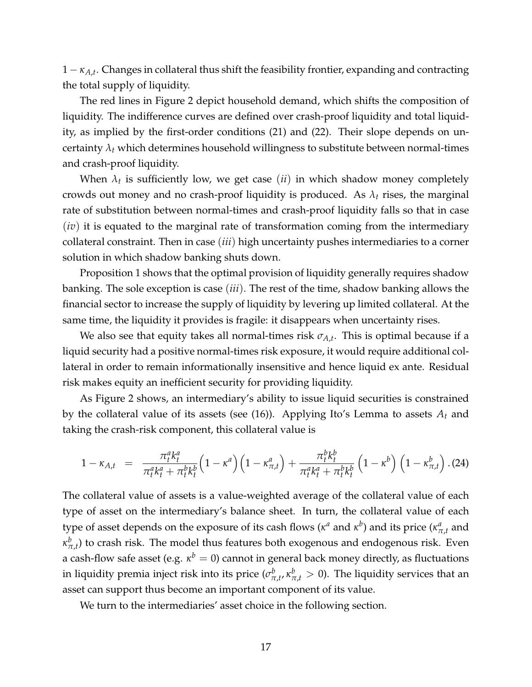1 − *κA*,*<sup>t</sup>* . Changes in collateral thus shift the feasibility frontier, expanding and contracting the total supply of liquidity.

The red lines in Figure [2](#page-16-1) depict household demand, which shifts the composition of liquidity. The indifference curves are defined over crash-proof liquidity and total liquidity, as implied by the first-order conditions [\(21\)](#page-15-1) and [\(22\)](#page-15-1). Their slope depends on uncertainty  $\lambda_t$  which determines household willingness to substitute between normal-times and crash-proof liquidity.

When  $\lambda_t$  is sufficiently low, we get case  $(ii)$  in which shadow money completely crowds out money and no crash-proof liquidity is produced. As  $\lambda_t$  rises, the marginal rate of substitution between normal-times and crash-proof liquidity falls so that in case (*iv*) it is equated to the marginal rate of transformation coming from the intermediary collateral constraint. Then in case (*iii*) high uncertainty pushes intermediaries to a corner solution in which shadow banking shuts down.

Proposition [1](#page-16-0) shows that the optimal provision of liquidity generally requires shadow banking. The sole exception is case (*iii*). The rest of the time, shadow banking allows the financial sector to increase the supply of liquidity by levering up limited collateral. At the same time, the liquidity it provides is fragile: it disappears when uncertainty rises.

We also see that equity takes all normal-times risk  $\sigma_{A,t}.$  This is optimal because if a liquid security had a positive normal-times risk exposure, it would require additional collateral in order to remain informationally insensitive and hence liquid ex ante. Residual risk makes equity an inefficient security for providing liquidity.

As Figure [2](#page-16-1) shows, an intermediary's ability to issue liquid securities is constrained by the collateral value of its assets (see [\(16\)](#page-14-3)). Applying Ito's Lemma to assets *A<sup>t</sup>* and taking the crash-risk component, this collateral value is

<span id="page-17-0"></span>
$$
1 - \kappa_{A,t} = \frac{\pi_t^a k_t^a}{\pi_t^a k_t^a + \pi_t^b k_t^b} \left(1 - \kappa^a\right) \left(1 - \kappa_{\pi,t}^a\right) + \frac{\pi_t^b k_t^b}{\pi_t^a k_t^a + \pi_t^b k_t^b} \left(1 - \kappa^b\right) \left(1 - \kappa_{\pi,t}^b\right). (24)
$$

The collateral value of assets is a value-weighted average of the collateral value of each type of asset on the intermediary's balance sheet. In turn, the collateral value of each type of asset depends on the exposure of its cash flows ( $\kappa^a$  and  $\kappa^b$ ) and its price ( $\kappa^a_{\pi,t}$  and  $\kappa^b_{\pi,t}$ ) to crash risk. The model thus features both exogenous and endogenous risk. Even a cash-flow safe asset (e.g. *κ <sup>b</sup>* = 0) cannot in general back money directly, as fluctuations in liquidity premia inject risk into its price ( $\sigma^b_{\pi,t}$ ,  $\kappa^b_{\pi,t} > 0$ ). The liquidity services that an asset can support thus become an important component of its value.

We turn to the intermediaries' asset choice in the following section.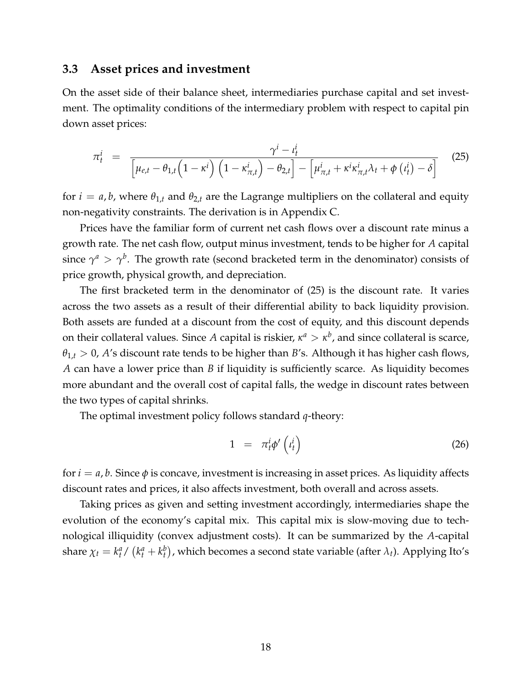### <span id="page-18-2"></span>**3.3 Asset prices and investment**

On the asset side of their balance sheet, intermediaries purchase capital and set investment. The optimality conditions of the intermediary problem with respect to capital pin down asset prices:

<span id="page-18-0"></span>
$$
\pi_t^i = \frac{\gamma^i - \iota_t^i}{\left[\mu_{e,t} - \theta_{1,t} \left(1 - \kappa^i\right) \left(1 - \kappa_{\pi,t}^i\right) - \theta_{2,t}\right] - \left[\mu_{\pi,t}^i + \kappa^i \kappa_{\pi,t}^i \lambda_t + \phi\left(\iota_t^i\right) - \delta\right]}
$$
(25)

for  $i = a, b$ , where  $\theta_{1,t}$  and  $\theta_{2,t}$  are the Lagrange multipliers on the collateral and equity non-negativity constraints. The derivation is in Appendix [C.](#page-47-0)

Prices have the familiar form of current net cash flows over a discount rate minus a growth rate. The net cash flow, output minus investment, tends to be higher for *A* capital since  $\gamma^a > \gamma^b$ . The growth rate (second bracketed term in the denominator) consists of price growth, physical growth, and depreciation.

The first bracketed term in the denominator of [\(25\)](#page-18-0) is the discount rate. It varies across the two assets as a result of their differential ability to back liquidity provision. Both assets are funded at a discount from the cost of equity, and this discount depends on their collateral values. Since A capital is riskier,  $\kappa^a > \kappa^b$ , and since collateral is scarce,  $\theta_{1,t} > 0$ , *A*'s discount rate tends to be higher than *B*'s. Although it has higher cash flows, *A* can have a lower price than *B* if liquidity is sufficiently scarce. As liquidity becomes more abundant and the overall cost of capital falls, the wedge in discount rates between the two types of capital shrinks.

The optimal investment policy follows standard *q*-theory:

<span id="page-18-1"></span>
$$
1 = \pi_t^i \phi' \left( t_t^i \right) \tag{26}
$$

for  $i = a, b$ . Since  $\phi$  is concave, investment is increasing in asset prices. As liquidity affects discount rates and prices, it also affects investment, both overall and across assets.

Taking prices as given and setting investment accordingly, intermediaries shape the evolution of the economy's capital mix. This capital mix is slow-moving due to technological illiquidity (convex adjustment costs). It can be summarized by the *A*-capital share  $\chi_t = k_t^a / (k_t^a + k_t^b)$ , which becomes a second state variable (after  $\lambda_t$ ). Applying Ito's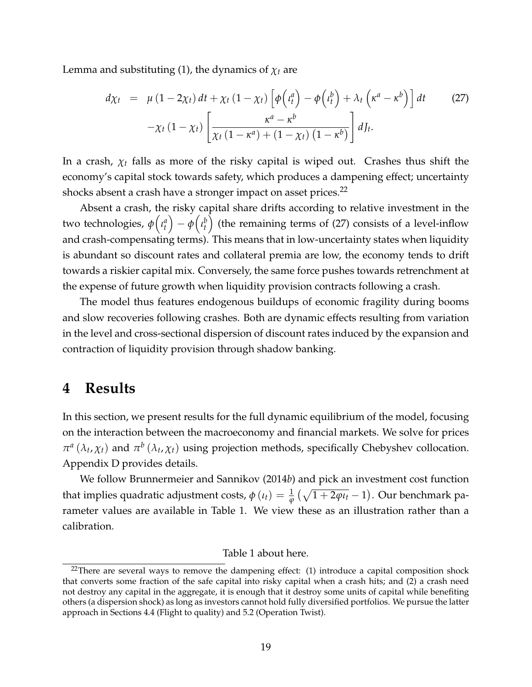Lemma and substituting [\(1\)](#page-7-2), the dynamics of  $\chi_t$  are

<span id="page-19-2"></span>
$$
d\chi_t = \mu (1 - 2\chi_t) dt + \chi_t (1 - \chi_t) \left[ \phi \left( t_t^a \right) - \phi \left( t_t^b \right) + \lambda_t \left( \kappa^a - \kappa^b \right) \right] dt \qquad (27)
$$

$$
-\chi_t (1 - \chi_t) \left[ \frac{\kappa^a - \kappa^b}{\chi_t (1 - \kappa^a) + (1 - \chi_t) (1 - \kappa^b)} \right] dJ_t.
$$

In a crash,  $\chi_t$  falls as more of the risky capital is wiped out. Crashes thus shift the economy's capital stock towards safety, which produces a dampening effect; uncertainty shocks absent a crash have a stronger impact on asset prices.<sup>[22](#page-19-1)</sup>

Absent a crash, the risky capital share drifts according to relative investment in the two technologies,  $\phi\left(\iota_t^a\right)-\phi\left(\iota_t^b\right)$  (the remaining terms of [\(27\)](#page-19-2) consists of a level-inflow and crash-compensating terms). This means that in low-uncertainty states when liquidity is abundant so discount rates and collateral premia are low, the economy tends to drift towards a riskier capital mix. Conversely, the same force pushes towards retrenchment at the expense of future growth when liquidity provision contracts following a crash.

The model thus features endogenous buildups of economic fragility during booms and slow recoveries following crashes. Both are dynamic effects resulting from variation in the level and cross-sectional dispersion of discount rates induced by the expansion and contraction of liquidity provision through shadow banking.

# <span id="page-19-0"></span>**4 Results**

In this section, we present results for the full dynamic equilibrium of the model, focusing on the interaction between the macroeconomy and financial markets. We solve for prices  $\pi^a(\lambda_t, \chi_t)$  and  $\pi^b(\lambda_t, \chi_t)$  using projection methods, specifically Chebyshev collocation. Appendix [D](#page-50-0) provides details.

We follow [Brunnermeier and Sannikov](#page-32-0) [\(2014](#page-32-0)*b*) and pick an investment cost function that implies quadratic adjustment costs,  $\phi\left(\iota_{t}\right)=\frac{1}{\phi}\left(\sqrt{1+2\phi\iota_{t}}-1\right)$ . Our benchmark parameter values are available in Table [1.](#page-36-0) We view these as an illustration rather than a calibration.

#### Table [1](#page-36-0) about here.

<span id="page-19-1"></span><sup>&</sup>lt;sup>22</sup>There are several ways to remove the dampening effect:  $(1)$  introduce a capital composition shock that converts some fraction of the safe capital into risky capital when a crash hits; and (2) a crash need not destroy any capital in the aggregate, it is enough that it destroy some units of capital while benefiting others (a dispersion shock) as long as investors cannot hold fully diversified portfolios. We pursue the latter approach in Sections [4.4](#page-23-0) (Flight to quality) and [5.2](#page-27-0) (Operation Twist).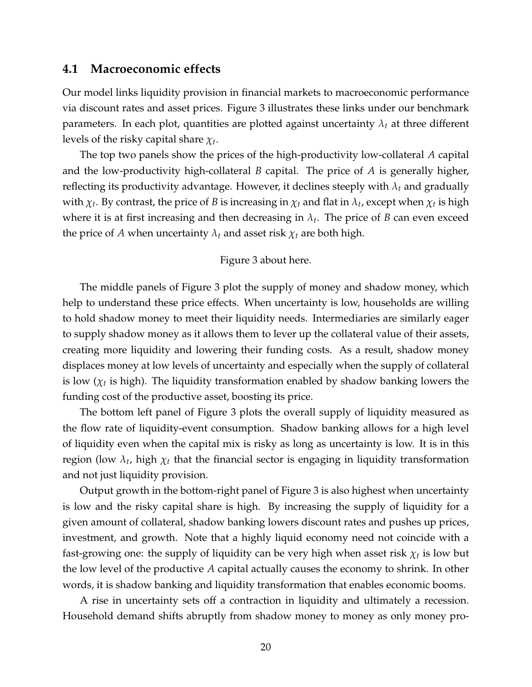### **4.1 Macroeconomic effects**

Our model links liquidity provision in financial markets to macroeconomic performance via discount rates and asset prices. Figure [3](#page-37-0) illustrates these links under our benchmark parameters. In each plot, quantities are plotted against uncertainty  $\lambda_t$  at three different levels of the risky capital share *χ<sup>t</sup>* .

The top two panels show the prices of the high-productivity low-collateral *A* capital and the low-productivity high-collateral *B* capital. The price of *A* is generally higher, reflecting its productivity advantage. However, it declines steeply with *λ<sup>t</sup>* and gradually with  $\chi_t$ . By contrast, the price of *B* is increasing in  $\chi_t$  and flat in  $\lambda_t$ , except when  $\chi_t$  is high where it is at first increasing and then decreasing in *λ<sup>t</sup>* . The price of *B* can even exceed the price of *A* when uncertainty  $\lambda_t$  and asset risk  $\chi_t$  are both high.

#### Figure [3](#page-37-0) about here.

The middle panels of Figure [3](#page-37-0) plot the supply of money and shadow money, which help to understand these price effects. When uncertainty is low, households are willing to hold shadow money to meet their liquidity needs. Intermediaries are similarly eager to supply shadow money as it allows them to lever up the collateral value of their assets, creating more liquidity and lowering their funding costs. As a result, shadow money displaces money at low levels of uncertainty and especially when the supply of collateral is low ( $\chi_t$  is high). The liquidity transformation enabled by shadow banking lowers the funding cost of the productive asset, boosting its price.

The bottom left panel of Figure [3](#page-37-0) plots the overall supply of liquidity measured as the flow rate of liquidity-event consumption. Shadow banking allows for a high level of liquidity even when the capital mix is risky as long as uncertainty is low. It is in this region (low *λ<sup>t</sup>* , high *χ<sup>t</sup>* that the financial sector is engaging in liquidity transformation and not just liquidity provision.

Output growth in the bottom-right panel of Figure [3](#page-37-0) is also highest when uncertainty is low and the risky capital share is high. By increasing the supply of liquidity for a given amount of collateral, shadow banking lowers discount rates and pushes up prices, investment, and growth. Note that a highly liquid economy need not coincide with a fast-growing one: the supply of liquidity can be very high when asset risk  $\chi_t$  is low but the low level of the productive *A* capital actually causes the economy to shrink. In other words, it is shadow banking and liquidity transformation that enables economic booms.

A rise in uncertainty sets off a contraction in liquidity and ultimately a recession. Household demand shifts abruptly from shadow money to money as only money pro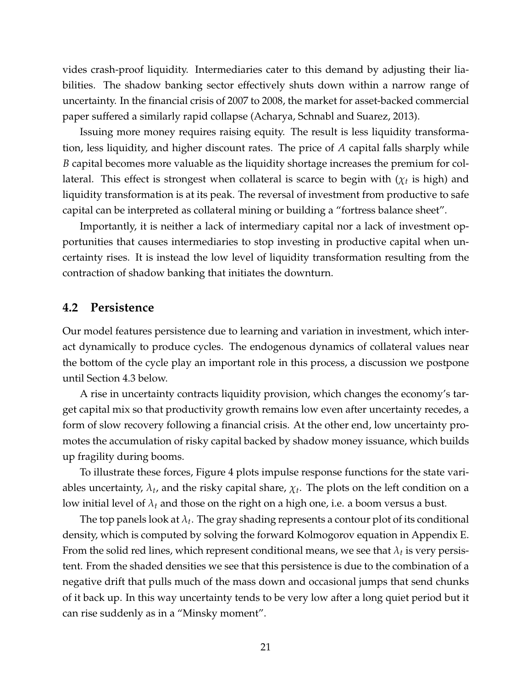vides crash-proof liquidity. Intermediaries cater to this demand by adjusting their liabilities. The shadow banking sector effectively shuts down within a narrow range of uncertainty. In the financial crisis of 2007 to 2008, the market for asset-backed commercial paper suffered a similarly rapid collapse [\(Acharya, Schnabl and Suarez,](#page-32-15) [2013\)](#page-32-15).

Issuing more money requires raising equity. The result is less liquidity transformation, less liquidity, and higher discount rates. The price of *A* capital falls sharply while *B* capital becomes more valuable as the liquidity shortage increases the premium for collateral. This effect is strongest when collateral is scarce to begin with  $(\chi_t$  is high) and liquidity transformation is at its peak. The reversal of investment from productive to safe capital can be interpreted as collateral mining or building a "fortress balance sheet".

Importantly, it is neither a lack of intermediary capital nor a lack of investment opportunities that causes intermediaries to stop investing in productive capital when uncertainty rises. It is instead the low level of liquidity transformation resulting from the contraction of shadow banking that initiates the downturn.

### **4.2 Persistence**

Our model features persistence due to learning and variation in investment, which interact dynamically to produce cycles. The endogenous dynamics of collateral values near the bottom of the cycle play an important role in this process, a discussion we postpone until Section [4.3](#page-22-0) below.

A rise in uncertainty contracts liquidity provision, which changes the economy's target capital mix so that productivity growth remains low even after uncertainty recedes, a form of slow recovery following a financial crisis. At the other end, low uncertainty promotes the accumulation of risky capital backed by shadow money issuance, which builds up fragility during booms.

To illustrate these forces, Figure [4](#page-38-0) plots impulse response functions for the state variables uncertainty,  $\lambda_t$ , and the risky capital share,  $\chi_t$ . The plots on the left condition on a low initial level of *λ<sup>t</sup>* and those on the right on a high one, i.e. a boom versus a bust.

The top panels look at  $\lambda_t$ . The gray shading represents a contour plot of its conditional density, which is computed by solving the forward Kolmogorov equation in Appendix [E.](#page-51-0) From the solid red lines, which represent conditional means, we see that  $\lambda_t$  is very persistent. From the shaded densities we see that this persistence is due to the combination of a negative drift that pulls much of the mass down and occasional jumps that send chunks of it back up. In this way uncertainty tends to be very low after a long quiet period but it can rise suddenly as in a "Minsky moment".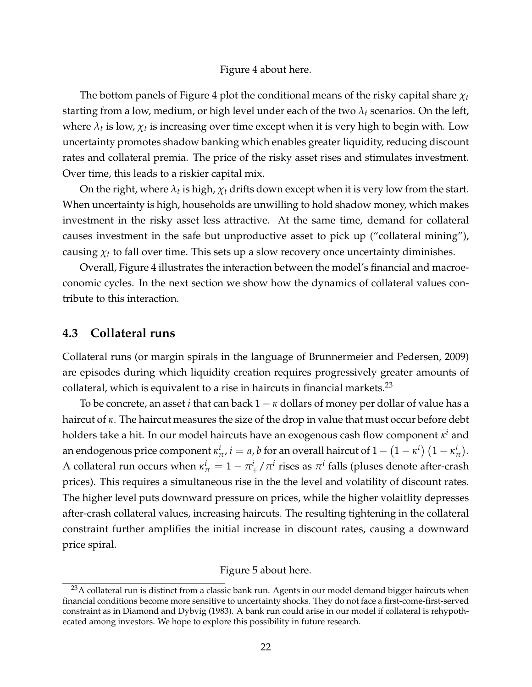#### Figure [4](#page-38-0) about here.

The bottom panels of Figure [4](#page-38-0) plot the conditional means of the risky capital share  $\chi_t$ starting from a low, medium, or high level under each of the two  $\lambda_t$  scenarios. On the left, where  $\lambda_t$  is low,  $\chi_t$  is increasing over time except when it is very high to begin with. Low uncertainty promotes shadow banking which enables greater liquidity, reducing discount rates and collateral premia. The price of the risky asset rises and stimulates investment. Over time, this leads to a riskier capital mix.

On the right, where  $\lambda_t$  is high,  $\chi_t$  drifts down except when it is very low from the start. When uncertainty is high, households are unwilling to hold shadow money, which makes investment in the risky asset less attractive. At the same time, demand for collateral causes investment in the safe but unproductive asset to pick up ("collateral mining"), causing  $\chi_t$  to fall over time. This sets up a slow recovery once uncertainty diminishes.

Overall, Figure [4](#page-38-0) illustrates the interaction between the model's financial and macroeconomic cycles. In the next section we show how the dynamics of collateral values contribute to this interaction.

### <span id="page-22-0"></span>**4.3 Collateral runs**

Collateral runs (or margin spirals in the language of [Brunnermeier and Pedersen,](#page-32-5) [2009\)](#page-32-5) are episodes during which liquidity creation requires progressively greater amounts of collateral, which is equivalent to a rise in haircuts in financial markets.<sup>[23](#page-22-1)</sup>

To be concrete, an asset *i* that can back  $1 - \kappa$  dollars of money per dollar of value has a haircut of *κ*. The haircut measures the size of the drop in value that must occur before debt holders take a hit. In our model haircuts have an exogenous cash flow component *κ <sup>i</sup>* and an endogenous price component  $\kappa^i_{\pi}$ ,  $i=a$ ,  $b$  for an overall haircut of  $1-\left(1-\kappa^i\right)\left(1-\kappa^i_{\pi} \right)$  $^i_\pi$ ). A collateral run occurs when  $\kappa^i_\pi = 1 - \pi^i_+ / \pi^i$  rises as  $\pi^i$  falls (pluses denote after-crash prices). This requires a simultaneous rise in the the level and volatility of discount rates. The higher level puts downward pressure on prices, while the higher volaitlity depresses after-crash collateral values, increasing haircuts. The resulting tightening in the collateral constraint further amplifies the initial increase in discount rates, causing a downward price spiral.

#### Figure [5](#page-39-0) about here.

<span id="page-22-1"></span><sup>&</sup>lt;sup>23</sup>A collateral run is distinct from a classic bank run. Agents in our model demand bigger haircuts when financial conditions become more sensitive to uncertainty shocks. They do not face a first-come-first-served constraint as in [Diamond and Dybvig](#page-33-0) [\(1983\)](#page-33-0). A bank run could arise in our model if collateral is rehypothecated among investors. We hope to explore this possibility in future research.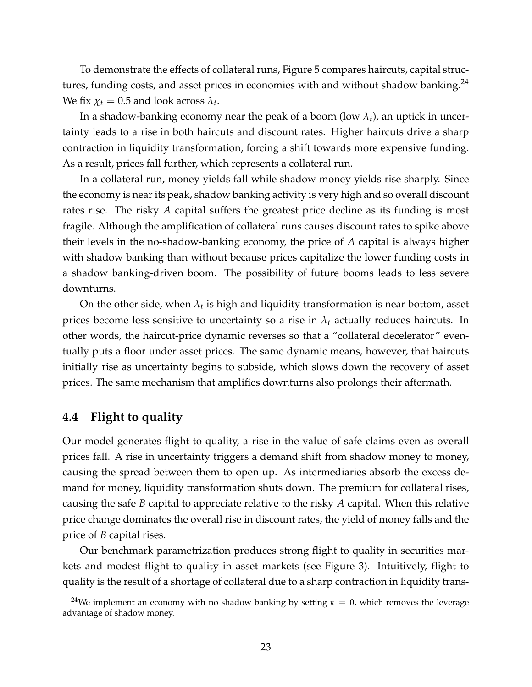To demonstrate the effects of collateral runs, Figure [5](#page-39-0) compares haircuts, capital structures, funding costs, and asset prices in economies with and without shadow banking. $^{24}$  $^{24}$  $^{24}$ We fix  $\chi_t = 0.5$  and look across  $\lambda_t$ .

In a shadow-banking economy near the peak of a boom (low  $\lambda_t$ ), an uptick in uncertainty leads to a rise in both haircuts and discount rates. Higher haircuts drive a sharp contraction in liquidity transformation, forcing a shift towards more expensive funding. As a result, prices fall further, which represents a collateral run.

In a collateral run, money yields fall while shadow money yields rise sharply. Since the economy is near its peak, shadow banking activity is very high and so overall discount rates rise. The risky *A* capital suffers the greatest price decline as its funding is most fragile. Although the amplification of collateral runs causes discount rates to spike above their levels in the no-shadow-banking economy, the price of *A* capital is always higher with shadow banking than without because prices capitalize the lower funding costs in a shadow banking-driven boom. The possibility of future booms leads to less severe downturns.

On the other side, when  $\lambda_t$  is high and liquidity transformation is near bottom, asset prices become less sensitive to uncertainty so a rise in  $\lambda_t$  actually reduces haircuts. In other words, the haircut-price dynamic reverses so that a "collateral decelerator" eventually puts a floor under asset prices. The same dynamic means, however, that haircuts initially rise as uncertainty begins to subside, which slows down the recovery of asset prices. The same mechanism that amplifies downturns also prolongs their aftermath.

# <span id="page-23-0"></span>**4.4 Flight to quality**

Our model generates flight to quality, a rise in the value of safe claims even as overall prices fall. A rise in uncertainty triggers a demand shift from shadow money to money, causing the spread between them to open up. As intermediaries absorb the excess demand for money, liquidity transformation shuts down. The premium for collateral rises, causing the safe *B* capital to appreciate relative to the risky *A* capital. When this relative price change dominates the overall rise in discount rates, the yield of money falls and the price of *B* capital rises.

Our benchmark parametrization produces strong flight to quality in securities markets and modest flight to quality in asset markets (see Figure [3\)](#page-37-0). Intuitively, flight to quality is the result of a shortage of collateral due to a sharp contraction in liquidity trans-

<span id="page-23-1"></span><sup>&</sup>lt;sup>24</sup>We implement an economy with no shadow banking by setting  $\bar{\kappa} = 0$ , which removes the leverage advantage of shadow money.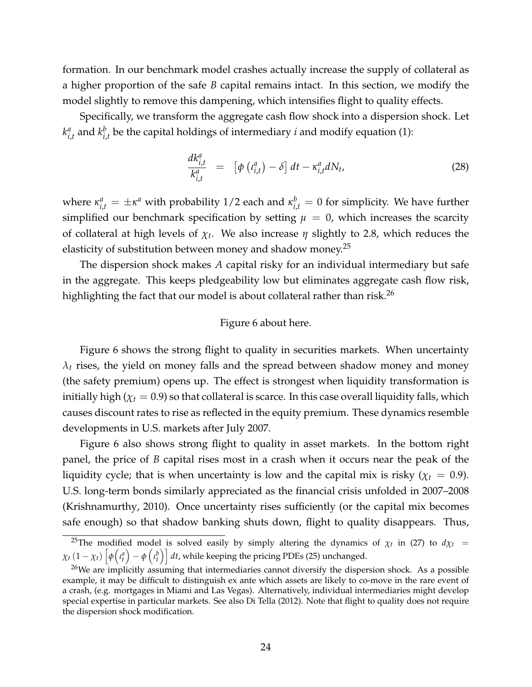formation. In our benchmark model crashes actually increase the supply of collateral as a higher proportion of the safe *B* capital remains intact. In this section, we modify the model slightly to remove this dampening, which intensifies flight to quality effects.

Specifically, we transform the aggregate cash flow shock into a dispersion shock. Let *k a*  $_{i,t}^a$  and  $k_{i,b}^b$  $\int_{i,t}^{b}$  be the capital holdings of intermediary *i* and modify equation [\(1\)](#page-7-2):

$$
\frac{dk_{i,t}^a}{k_{i,t}^a} = \left[ \phi\left(\iota_{i,t}^a\right) - \delta \right] dt - \kappa_{i,t}^a dN_t, \tag{28}
$$

where  $\kappa_{i,t}^a = \pm \kappa^a$  with probability 1/2 each and  $\kappa_{i,t}^b = 0$  for simplicity. We have further simplified our benchmark specification by setting  $\mu = 0$ , which increases the scarcity of collateral at high levels of *χ<sup>t</sup>* . We also increase *η* slightly to 2.8, which reduces the elasticity of substitution between money and shadow money.<sup>[25](#page-24-0)</sup>

The dispersion shock makes *A* capital risky for an individual intermediary but safe in the aggregate. This keeps pledgeability low but eliminates aggregate cash flow risk, highlighting the fact that our model is about collateral rather than risk.<sup>[26](#page-24-1)</sup>

#### Figure [6](#page-40-0) about here.

Figure [6](#page-40-0) shows the strong flight to quality in securities markets. When uncertainty  $\lambda_t$  rises, the yield on money falls and the spread between shadow money and money (the safety premium) opens up. The effect is strongest when liquidity transformation is initially high ( $\chi_t$  = 0.9) so that collateral is scarce. In this case overall liquidity falls, which causes discount rates to rise as reflected in the equity premium. These dynamics resemble developments in U.S. markets after July 2007.

Figure [6](#page-40-0) also shows strong flight to quality in asset markets. In the bottom right panel, the price of *B* capital rises most in a crash when it occurs near the peak of the liquidity cycle; that is when uncertainty is low and the capital mix is risky ( $\chi_t = 0.9$ ). U.S. long-term bonds similarly appreciated as the financial crisis unfolded in 2007–2008 [\(Krishnamurthy,](#page-34-7) [2010\)](#page-34-7). Once uncertainty rises sufficiently (or the capital mix becomes safe enough) so that shadow banking shuts down, flight to quality disappears. Thus,

<span id="page-24-0"></span><sup>&</sup>lt;sup>25</sup>The modified model is solved easily by simply altering the dynamics of  $\chi_t$  in [\(27\)](#page-19-2) to  $d\chi_t$  =  $\chi_t\left(1-\chi_t\right)\left[\phi\!\left(\iota_t^a\right)-\phi\left(\iota_t^b\right)\right]dt$ , while keeping the pricing PDEs [\(25\)](#page-18-0) unchanged.

<span id="page-24-1"></span><sup>&</sup>lt;sup>26</sup>We are implicitly assuming that intermediaries cannot diversify the dispersion shock. As a possible example, it may be difficult to distinguish ex ante which assets are likely to co-move in the rare event of a crash, (e.g. mortgages in Miami and Las Vegas). Alternatively, individual intermediaries might develop special expertise in particular markets. See also [Di Tella](#page-33-9) [\(2012\)](#page-33-9). Note that flight to quality does not require the dispersion shock modification.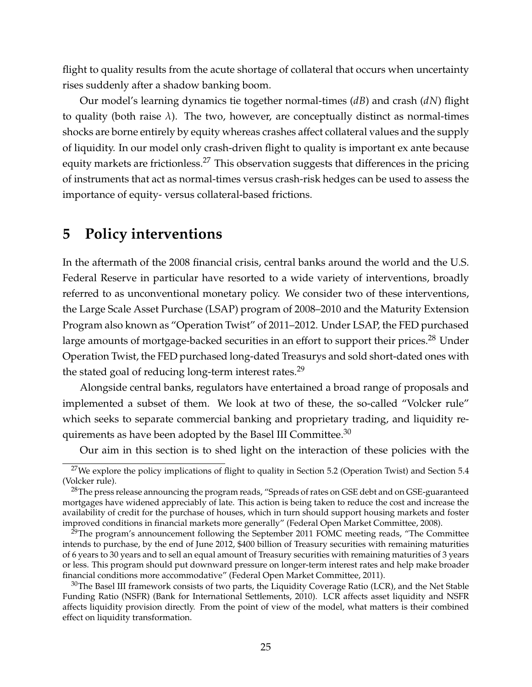flight to quality results from the acute shortage of collateral that occurs when uncertainty rises suddenly after a shadow banking boom.

Our model's learning dynamics tie together normal-times (*dB*) and crash (*dN*) flight to quality (both raise  $\lambda$ ). The two, however, are conceptually distinct as normal-times shocks are borne entirely by equity whereas crashes affect collateral values and the supply of liquidity. In our model only crash-driven flight to quality is important ex ante because equity markets are frictionless.<sup>[27](#page-25-1)</sup> This observation suggests that differences in the pricing of instruments that act as normal-times versus crash-risk hedges can be used to assess the importance of equity- versus collateral-based frictions.

# <span id="page-25-0"></span>**5 Policy interventions**

In the aftermath of the 2008 financial crisis, central banks around the world and the U.S. Federal Reserve in particular have resorted to a wide variety of interventions, broadly referred to as unconventional monetary policy. We consider two of these interventions, the Large Scale Asset Purchase (LSAP) program of 2008–2010 and the Maturity Extension Program also known as "Operation Twist" of 2011–2012. Under LSAP, the FED purchased large amounts of mortgage-backed securities in an effort to support their prices.<sup>[28](#page-25-2)</sup> Under Operation Twist, the FED purchased long-dated Treasurys and sold short-dated ones with the stated goal of reducing long-term interest rates.<sup>[29](#page-25-3)</sup>

Alongside central banks, regulators have entertained a broad range of proposals and implemented a subset of them. We look at two of these, the so-called "Volcker rule" which seeks to separate commercial banking and proprietary trading, and liquidity requirements as have been adopted by the Basel III Committee. $30$ 

Our aim in this section is to shed light on the interaction of these policies with the

<span id="page-25-1"></span><sup>&</sup>lt;sup>27</sup>We explore the policy implications of flight to quality in Section [5.2](#page-27-0) (Operation Twist) and Section [5.4](#page-29-0) (Volcker rule).

<span id="page-25-2"></span><sup>&</sup>lt;sup>28</sup>The press release announcing the program reads, "Spreads of rates on GSE debt and on GSE-guaranteed mortgages have widened appreciably of late. This action is being taken to reduce the cost and increase the availability of credit for the purchase of houses, which in turn should support housing markets and foster improved conditions in financial markets more generally" [\(Federal Open Market Committee,](#page-33-18) [2008\)](#page-33-18).

<span id="page-25-3"></span> $29$ The program's announcement following the September 2011 FOMC meeting reads, "The Committee intends to purchase, by the end of June 2012, \$400 billion of Treasury securities with remaining maturities of 6 years to 30 years and to sell an equal amount of Treasury securities with remaining maturities of 3 years or less. This program should put downward pressure on longer-term interest rates and help make broader financial conditions more accommodative" [\(Federal Open Market Committee,](#page-33-19) [2011\)](#page-33-19).

<span id="page-25-4"></span> $30$ The Basel III framework consists of two parts, the Liquidity Coverage Ratio (LCR), and the Net Stable Funding Ratio (NSFR) [\(Bank for International Settlements,](#page-32-19) [2010\)](#page-32-19). LCR affects asset liquidity and NSFR affects liquidity provision directly. From the point of view of the model, what matters is their combined effect on liquidity transformation.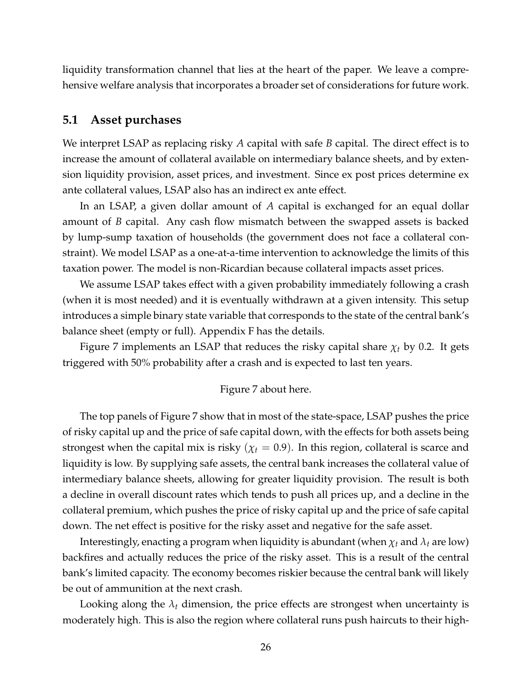liquidity transformation channel that lies at the heart of the paper. We leave a comprehensive welfare analysis that incorporates a broader set of considerations for future work.

### **5.1 Asset purchases**

We interpret LSAP as replacing risky *A* capital with safe *B* capital. The direct effect is to increase the amount of collateral available on intermediary balance sheets, and by extension liquidity provision, asset prices, and investment. Since ex post prices determine ex ante collateral values, LSAP also has an indirect ex ante effect.

In an LSAP, a given dollar amount of *A* capital is exchanged for an equal dollar amount of *B* capital. Any cash flow mismatch between the swapped assets is backed by lump-sump taxation of households (the government does not face a collateral constraint). We model LSAP as a one-at-a-time intervention to acknowledge the limits of this taxation power. The model is non-Ricardian because collateral impacts asset prices.

We assume LSAP takes effect with a given probability immediately following a crash (when it is most needed) and it is eventually withdrawn at a given intensity. This setup introduces a simple binary state variable that corresponds to the state of the central bank's balance sheet (empty or full). Appendix [F](#page-52-0) has the details.

Figure [7](#page-41-0) implements an LSAP that reduces the risky capital share  $\chi_t$  by 0.2. It gets triggered with 50% probability after a crash and is expected to last ten years.

#### Figure [7](#page-41-0) about here.

The top panels of Figure [7](#page-41-0) show that in most of the state-space, LSAP pushes the price of risky capital up and the price of safe capital down, with the effects for both assets being strongest when the capital mix is risky ( $\chi$ <sup>*t*</sup> = 0.9). In this region, collateral is scarce and liquidity is low. By supplying safe assets, the central bank increases the collateral value of intermediary balance sheets, allowing for greater liquidity provision. The result is both a decline in overall discount rates which tends to push all prices up, and a decline in the collateral premium, which pushes the price of risky capital up and the price of safe capital down. The net effect is positive for the risky asset and negative for the safe asset.

Interestingly, enacting a program when liquidity is abundant (when  $\chi_t$  and  $\lambda_t$  are low) backfires and actually reduces the price of the risky asset. This is a result of the central bank's limited capacity. The economy becomes riskier because the central bank will likely be out of ammunition at the next crash.

Looking along the *λ<sup>t</sup>* dimension, the price effects are strongest when uncertainty is moderately high. This is also the region where collateral runs push haircuts to their high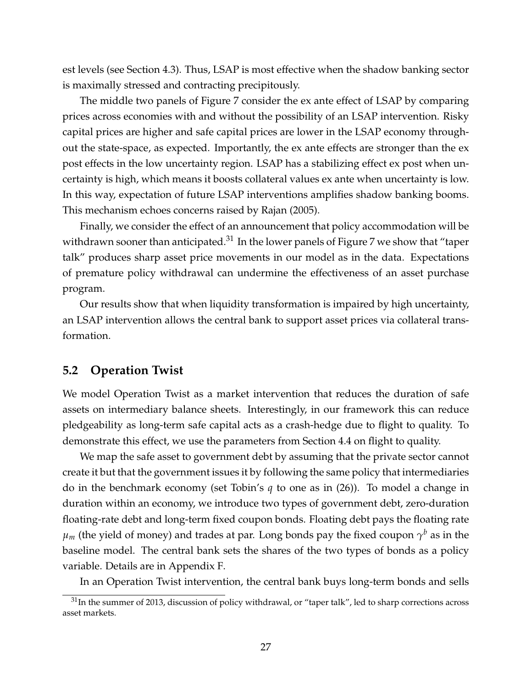est levels (see Section [4.3\)](#page-22-0). Thus, LSAP is most effective when the shadow banking sector is maximally stressed and contracting precipitously.

The middle two panels of Figure [7](#page-41-0) consider the ex ante effect of LSAP by comparing prices across economies with and without the possibility of an LSAP intervention. Risky capital prices are higher and safe capital prices are lower in the LSAP economy throughout the state-space, as expected. Importantly, the ex ante effects are stronger than the ex post effects in the low uncertainty region. LSAP has a stabilizing effect ex post when uncertainty is high, which means it boosts collateral values ex ante when uncertainty is low. In this way, expectation of future LSAP interventions amplifies shadow banking booms. This mechanism echoes concerns raised by [Rajan](#page-35-10) [\(2005\)](#page-35-10).

Finally, we consider the effect of an announcement that policy accommodation will be withdrawn sooner than anticipated. $31$  In the lower panels of Figure [7](#page-41-0) we show that "taper talk" produces sharp asset price movements in our model as in the data. Expectations of premature policy withdrawal can undermine the effectiveness of an asset purchase program.

Our results show that when liquidity transformation is impaired by high uncertainty, an LSAP intervention allows the central bank to support asset prices via collateral transformation.

# <span id="page-27-0"></span>**5.2 Operation Twist**

We model Operation Twist as a market intervention that reduces the duration of safe assets on intermediary balance sheets. Interestingly, in our framework this can reduce pledgeability as long-term safe capital acts as a crash-hedge due to flight to quality. To demonstrate this effect, we use the parameters from Section [4.4](#page-23-0) on flight to quality.

We map the safe asset to government debt by assuming that the private sector cannot create it but that the government issues it by following the same policy that intermediaries do in the benchmark economy (set Tobin's *q* to one as in [\(26\)](#page-18-1)). To model a change in duration within an economy, we introduce two types of government debt, zero-duration floating-rate debt and long-term fixed coupon bonds. Floating debt pays the floating rate  $\mu_m$  (the yield of money) and trades at par. Long bonds pay the fixed coupon  $\gamma^b$  as in the baseline model. The central bank sets the shares of the two types of bonds as a policy variable. Details are in Appendix [F.](#page-52-0)

In an Operation Twist intervention, the central bank buys long-term bonds and sells

<span id="page-27-1"></span> $31$ In the summer of 2013, discussion of policy withdrawal, or "taper talk", led to sharp corrections across asset markets.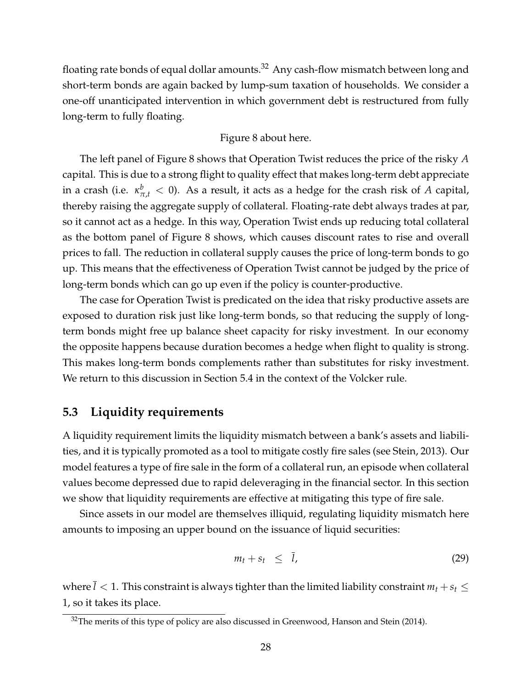floating rate bonds of equal dollar amounts.<sup>[32](#page-28-0)</sup> Any cash-flow mismatch between long and short-term bonds are again backed by lump-sum taxation of households. We consider a one-off unanticipated intervention in which government debt is restructured from fully long-term to fully floating.

#### Figure [8](#page-42-0) about here.

The left panel of Figure [8](#page-42-0) shows that Operation Twist reduces the price of the risky *A* capital. This is due to a strong flight to quality effect that makes long-term debt appreciate in a crash (i.e.  $\kappa^b_{\pi,t} < 0$ ). As a result, it acts as a hedge for the crash risk of *A* capital, thereby raising the aggregate supply of collateral. Floating-rate debt always trades at par, so it cannot act as a hedge. In this way, Operation Twist ends up reducing total collateral as the bottom panel of Figure [8](#page-42-0) shows, which causes discount rates to rise and overall prices to fall. The reduction in collateral supply causes the price of long-term bonds to go up. This means that the effectiveness of Operation Twist cannot be judged by the price of long-term bonds which can go up even if the policy is counter-productive.

The case for Operation Twist is predicated on the idea that risky productive assets are exposed to duration risk just like long-term bonds, so that reducing the supply of longterm bonds might free up balance sheet capacity for risky investment. In our economy the opposite happens because duration becomes a hedge when flight to quality is strong. This makes long-term bonds complements rather than substitutes for risky investment. We return to this discussion in Section [5.4](#page-29-0) in the context of the Volcker rule.

### **5.3 Liquidity requirements**

A liquidity requirement limits the liquidity mismatch between a bank's assets and liabilities, and it is typically promoted as a tool to mitigate costly fire sales (see [Stein,](#page-35-11) [2013\)](#page-35-11). Our model features a type of fire sale in the form of a collateral run, an episode when collateral values become depressed due to rapid deleveraging in the financial sector. In this section we show that liquidity requirements are effective at mitigating this type of fire sale.

Since assets in our model are themselves illiquid, regulating liquidity mismatch here amounts to imposing an upper bound on the issuance of liquid securities:

$$
m_t + s_t \leq \bar{l}, \tag{29}
$$

where  $l < 1$ . This constraint is always tighter than the limited liability constraint  $m_t + s_t \leq$ 1, so it takes its place.

<span id="page-28-0"></span> $32$ The merits of this type of policy are also discussed in [Greenwood, Hanson and Stein](#page-34-5) [\(2014\)](#page-34-5).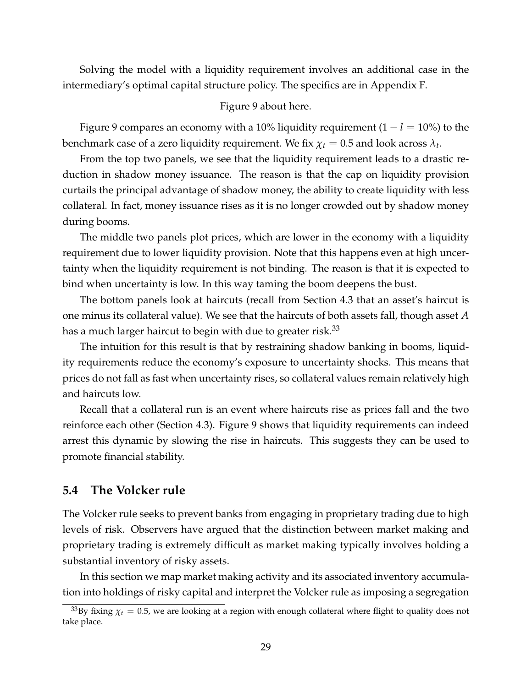Solving the model with a liquidity requirement involves an additional case in the intermediary's optimal capital structure policy. The specifics are in Appendix [F.](#page-52-0)

#### Figure [9](#page-43-0) about here.

Figure [9](#page-43-0) compares an economy with a 10% liquidity requirement (1 − *l* = 10%) to the benchmark case of a zero liquidity requirement. We fix  $\chi_t = 0.5$  and look across  $\lambda_t$ .

From the top two panels, we see that the liquidity requirement leads to a drastic reduction in shadow money issuance. The reason is that the cap on liquidity provision curtails the principal advantage of shadow money, the ability to create liquidity with less collateral. In fact, money issuance rises as it is no longer crowded out by shadow money during booms.

The middle two panels plot prices, which are lower in the economy with a liquidity requirement due to lower liquidity provision. Note that this happens even at high uncertainty when the liquidity requirement is not binding. The reason is that it is expected to bind when uncertainty is low. In this way taming the boom deepens the bust.

The bottom panels look at haircuts (recall from Section [4.3](#page-22-0) that an asset's haircut is one minus its collateral value). We see that the haircuts of both assets fall, though asset *A* has a much larger haircut to begin with due to greater risk. $33$ 

The intuition for this result is that by restraining shadow banking in booms, liquidity requirements reduce the economy's exposure to uncertainty shocks. This means that prices do not fall as fast when uncertainty rises, so collateral values remain relatively high and haircuts low.

Recall that a collateral run is an event where haircuts rise as prices fall and the two reinforce each other (Section [4.3\)](#page-22-0). Figure [9](#page-43-0) shows that liquidity requirements can indeed arrest this dynamic by slowing the rise in haircuts. This suggests they can be used to promote financial stability.

### <span id="page-29-0"></span>**5.4 The Volcker rule**

The Volcker rule seeks to prevent banks from engaging in proprietary trading due to high levels of risk. Observers have argued that the distinction between market making and proprietary trading is extremely difficult as market making typically involves holding a substantial inventory of risky assets.

In this section we map market making activity and its associated inventory accumulation into holdings of risky capital and interpret the Volcker rule as imposing a segregation

<span id="page-29-1"></span><sup>&</sup>lt;sup>33</sup>By fixing  $\chi$ <sup>*t*</sup> = 0.5, we are looking at a region with enough collateral where flight to quality does not take place.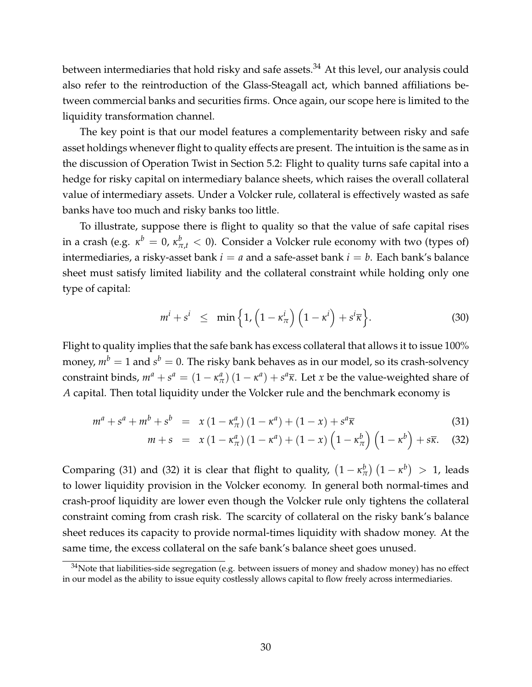between intermediaries that hold risky and safe assets.<sup>[34](#page-30-0)</sup> At this level, our analysis could also refer to the reintroduction of the Glass-Steagall act, which banned affiliations between commercial banks and securities firms. Once again, our scope here is limited to the liquidity transformation channel.

The key point is that our model features a complementarity between risky and safe asset holdings whenever flight to quality effects are present. The intuition is the same as in the discussion of Operation Twist in Section [5.2:](#page-27-0) Flight to quality turns safe capital into a hedge for risky capital on intermediary balance sheets, which raises the overall collateral value of intermediary assets. Under a Volcker rule, collateral is effectively wasted as safe banks have too much and risky banks too little.

To illustrate, suppose there is flight to quality so that the value of safe capital rises in a crash (e.g.  $\kappa^b=0$ ,  $\kappa^b_{\pi,t}< 0$ ). Consider a Volcker rule economy with two (types of) intermediaries, a risky-asset bank  $i = a$  and a safe-asset bank  $i = b$ . Each bank's balance sheet must satisfy limited liability and the collateral constraint while holding only one type of capital:

$$
m^{i} + s^{i} \leq \min\left\{1, \left(1 - \kappa^{i}\right) \left(1 - \kappa^{i}\right) + s^{i}\overline{\kappa}\right\}.
$$
 (30)

Flight to quality implies that the safe bank has excess collateral that allows it to issue 100% money,  $m^b=1$  and  $s^b=0.$  The risky bank behaves as in our model, so its crash-solvency constraint binds,  $m^a + s^a = (1 - \kappa^a) (1 - \kappa^a) + s^a \overline{\kappa}$ . Let *x* be the value-weighted share of *A* capital. Then total liquidity under the Volcker rule and the benchmark economy is

<span id="page-30-1"></span>
$$
m^{a} + s^{a} + m^{b} + s^{b} = x (1 - \kappa^{a}_{\pi})(1 - \kappa^{a}) + (1 - x) + s^{a} \overline{\kappa}
$$
 (31)

$$
m+s = x(1-\kappa_{\pi}^a)(1-\kappa^a) + (1-x)\left(1-\kappa_{\pi}^b\right)\left(1-\kappa^b\right) + s\overline{\kappa}.\tag{32}
$$

Comparing [\(31\)](#page-30-1) and [\(32\)](#page-30-1) it is clear that flight to quality,  $\left(1-\kappa_{\pi}^b\right)$  $\binom{b}{\pi}$   $\left(1-\kappa^{b}\right) > 1$ , leads to lower liquidity provision in the Volcker economy. In general both normal-times and crash-proof liquidity are lower even though the Volcker rule only tightens the collateral constraint coming from crash risk. The scarcity of collateral on the risky bank's balance sheet reduces its capacity to provide normal-times liquidity with shadow money. At the same time, the excess collateral on the safe bank's balance sheet goes unused.

<span id="page-30-0"></span> $34$ Note that liabilities-side segregation (e.g. between issuers of money and shadow money) has no effect in our model as the ability to issue equity costlessly allows capital to flow freely across intermediaries.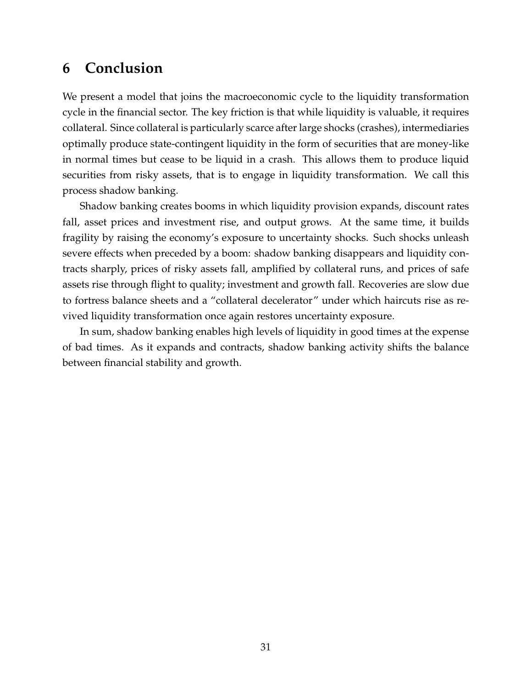# <span id="page-31-0"></span>**6 Conclusion**

We present a model that joins the macroeconomic cycle to the liquidity transformation cycle in the financial sector. The key friction is that while liquidity is valuable, it requires collateral. Since collateral is particularly scarce after large shocks (crashes), intermediaries optimally produce state-contingent liquidity in the form of securities that are money-like in normal times but cease to be liquid in a crash. This allows them to produce liquid securities from risky assets, that is to engage in liquidity transformation. We call this process shadow banking.

Shadow banking creates booms in which liquidity provision expands, discount rates fall, asset prices and investment rise, and output grows. At the same time, it builds fragility by raising the economy's exposure to uncertainty shocks. Such shocks unleash severe effects when preceded by a boom: shadow banking disappears and liquidity contracts sharply, prices of risky assets fall, amplified by collateral runs, and prices of safe assets rise through flight to quality; investment and growth fall. Recoveries are slow due to fortress balance sheets and a "collateral decelerator" under which haircuts rise as revived liquidity transformation once again restores uncertainty exposure.

In sum, shadow banking enables high levels of liquidity in good times at the expense of bad times. As it expands and contracts, shadow banking activity shifts the balance between financial stability and growth.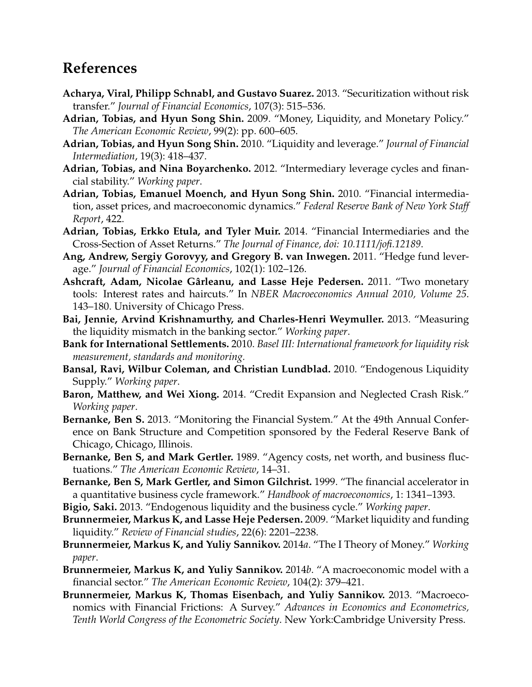# **References**

- <span id="page-32-15"></span>**Acharya, Viral, Philipp Schnabl, and Gustavo Suarez.** 2013. "Securitization without risk transfer." *Journal of Financial Economics*, 107(3): 515–536.
- <span id="page-32-16"></span>**Adrian, Tobias, and Hyun Song Shin.** 2009. "Money, Liquidity, and Monetary Policy." *The American Economic Review*, 99(2): pp. 600–605.
- <span id="page-32-11"></span>**Adrian, Tobias, and Hyun Song Shin.** 2010. "Liquidity and leverage." *Journal of Financial Intermediation*, 19(3): 418–437.
- <span id="page-32-9"></span>**Adrian, Tobias, and Nina Boyarchenko.** 2012. "Intermediary leverage cycles and financial stability." *Working paper*.
- <span id="page-32-2"></span>**Adrian, Tobias, Emanuel Moench, and Hyun Song Shin.** 2010. "Financial intermediation, asset prices, and macroeconomic dynamics." *Federal Reserve Bank of New York Staff Report*, 422.
- <span id="page-32-13"></span>**Adrian, Tobias, Erkko Etula, and Tyler Muir.** 2014. "Financial Intermediaries and the Cross-Section of Asset Returns." *The Journal of Finance, doi: 10.1111/jofi.12189*.
- <span id="page-32-12"></span>**Ang, Andrew, Sergiy Gorovyy, and Gregory B. van Inwegen.** 2011. "Hedge fund leverage." *Journal of Financial Economics*, 102(1): 102–126.
- <span id="page-32-17"></span>**Ashcraft, Adam, Nicolae Gârleanu, and Lasse Heje Pedersen.** 2011. "Two monetary tools: Interest rates and haircuts." In *NBER Macroeconomics Annual 2010, Volume 25*. 143–180. University of Chicago Press.
- <span id="page-32-3"></span>**Bai, Jennie, Arvind Krishnamurthy, and Charles-Henri Weymuller.** 2013. "Measuring the liquidity mismatch in the banking sector." *Working paper*.
- <span id="page-32-19"></span>**Bank for International Settlements.** 2010. *Basel III: International framework for liquidity risk measurement, standards and monitoring.*
- <span id="page-32-14"></span>**Bansal, Ravi, Wilbur Coleman, and Christian Lundblad.** 2010. "Endogenous Liquidity Supply." *Working paper*.
- <span id="page-32-4"></span>**Baron, Matthew, and Wei Xiong.** 2014. "Credit Expansion and Neglected Crash Risk." *Working paper*.
- <span id="page-32-1"></span>**Bernanke, Ben S.** 2013. "Monitoring the Financial System." At the 49th Annual Conference on Bank Structure and Competition sponsored by the Federal Reserve Bank of Chicago, Chicago, Illinois.
- <span id="page-32-7"></span>**Bernanke, Ben S, and Mark Gertler.** 1989. "Agency costs, net worth, and business fluctuations." *The American Economic Review*, 14–31.
- <span id="page-32-8"></span>**Bernanke, Ben S, Mark Gertler, and Simon Gilchrist.** 1999. "The financial accelerator in a quantitative business cycle framework." *Handbook of macroeconomics*, 1: 1341–1393.
- <span id="page-32-10"></span>**Bigio, Saki.** 2013. "Endogenous liquidity and the business cycle." *Working paper*.
- <span id="page-32-5"></span>**Brunnermeier, Markus K, and Lasse Heje Pedersen.** 2009. "Market liquidity and funding liquidity." *Review of Financial studies*, 22(6): 2201–2238.
- <span id="page-32-18"></span>**Brunnermeier, Markus K, and Yuliy Sannikov.** 2014*a*. "The I Theory of Money." *Working paper*.
- <span id="page-32-0"></span>**Brunnermeier, Markus K, and Yuliy Sannikov.** 2014*b*. "A macroeconomic model with a financial sector." *The American Economic Review*, 104(2): 379–421.
- <span id="page-32-6"></span>**Brunnermeier, Markus K, Thomas Eisenbach, and Yuliy Sannikov.** 2013. "Macroeconomics with Financial Frictions: A Survey." *Advances in Economics and Econometrics, Tenth World Congress of the Econometric Society*. New York:Cambridge University Press.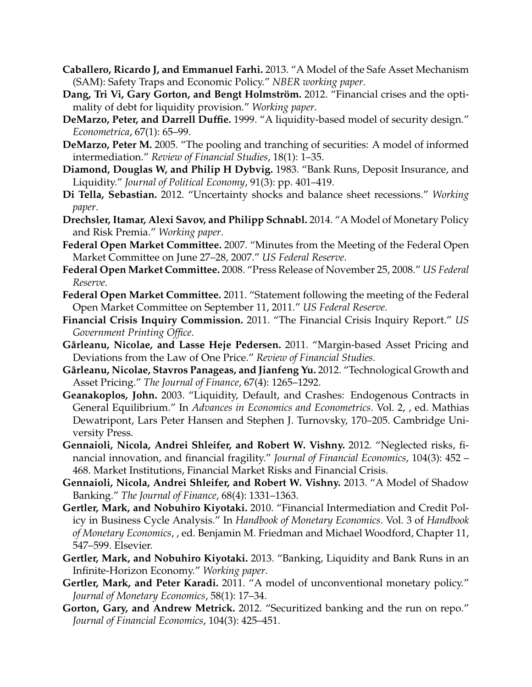- <span id="page-33-10"></span>**Caballero, Ricardo J, and Emmanuel Farhi.** 2013. "A Model of the Safe Asset Mechanism (SAM): Safety Traps and Economic Policy." *NBER working paper*.
- <span id="page-33-5"></span>**Dang, Tri Vi, Gary Gorton, and Bengt Holmström.** 2012. "Financial crises and the optimality of debt for liquidity provision." *Working paper*.
- <span id="page-33-16"></span>**DeMarzo, Peter, and Darrell Duffie.** 1999. "A liquidity-based model of security design." *Econometrica*, 67(1): 65–99.
- <span id="page-33-17"></span>**DeMarzo, Peter M.** 2005. "The pooling and tranching of securities: A model of informed intermediation." *Review of Financial Studies*, 18(1): 1–35.
- <span id="page-33-0"></span>**Diamond, Douglas W, and Philip H Dybvig.** 1983. "Bank Runs, Deposit Insurance, and Liquidity." *Journal of Political Economy*, 91(3): pp. 401–419.
- <span id="page-33-9"></span>**Di Tella, Sebastian.** 2012. "Uncertainty shocks and balance sheet recessions." *Working paper*.
- <span id="page-33-14"></span>**Drechsler, Itamar, Alexi Savov, and Philipp Schnabl.** 2014. "A Model of Monetary Policy and Risk Premia." *Working paper*.
- <span id="page-33-2"></span>**Federal Open Market Committee.** 2007. "Minutes from the Meeting of the Federal Open Market Committee on June 27–28, 2007." *US Federal Reserve*.
- <span id="page-33-18"></span>**Federal Open Market Committee.** 2008. "Press Release of November 25, 2008." *US Federal Reserve*.
- <span id="page-33-19"></span>**Federal Open Market Committee.** 2011. "Statement following the meeting of the Federal Open Market Committee on September 11, 2011." *US Federal Reserve*.
- <span id="page-33-1"></span>**Financial Crisis Inquiry Commission.** 2011. "The Financial Crisis Inquiry Report." *US Government Printing Office*.
- <span id="page-33-8"></span>**Gârleanu, Nicolae, and Lasse Heje Pedersen.** 2011. "Margin-based Asset Pricing and Deviations from the Law of One Price." *Review of Financial Studies*.
- <span id="page-33-15"></span>**Gârleanu, Nicolae, Stavros Panageas, and Jianfeng Yu.** 2012. "Technological Growth and Asset Pricing." *The Journal of Finance*, 67(4): 1265–1292.
- <span id="page-33-4"></span>**Geanakoplos, John.** 2003. "Liquidity, Default, and Crashes: Endogenous Contracts in General Equilibrium." In *Advances in Economics and Econometrics*. Vol. 2, , ed. Mathias Dewatripont, Lars Peter Hansen and Stephen J. Turnovsky, 170–205. Cambridge University Press.
- <span id="page-33-11"></span>**Gennaioli, Nicola, Andrei Shleifer, and Robert W. Vishny.** 2012. "Neglected risks, financial innovation, and financial fragility." *Journal of Financial Economics*, 104(3): 452 – 468. Market Institutions, Financial Market Risks and Financial Crisis.
- <span id="page-33-12"></span>**Gennaioli, Nicola, Andrei Shleifer, and Robert W. Vishny.** 2013. "A Model of Shadow Banking." *The Journal of Finance*, 68(4): 1331–1363.
- <span id="page-33-6"></span>**Gertler, Mark, and Nobuhiro Kiyotaki.** 2010. "Financial Intermediation and Credit Policy in Business Cycle Analysis." In *Handbook of Monetary Economics*. Vol. 3 of *Handbook of Monetary Economics*, , ed. Benjamin M. Friedman and Michael Woodford, Chapter 11, 547–599. Elsevier.
- <span id="page-33-7"></span>**Gertler, Mark, and Nobuhiro Kiyotaki.** 2013. "Banking, Liquidity and Bank Runs in an Infinite-Horizon Economy." *Working paper*.
- <span id="page-33-13"></span>**Gertler, Mark, and Peter Karadi.** 2011. "A model of unconventional monetary policy." *Journal of Monetary Economics*, 58(1): 17–34.
- <span id="page-33-3"></span>**Gorton, Gary, and Andrew Metrick.** 2012. "Securitized banking and the run on repo." *Journal of Financial Economics*, 104(3): 425–451.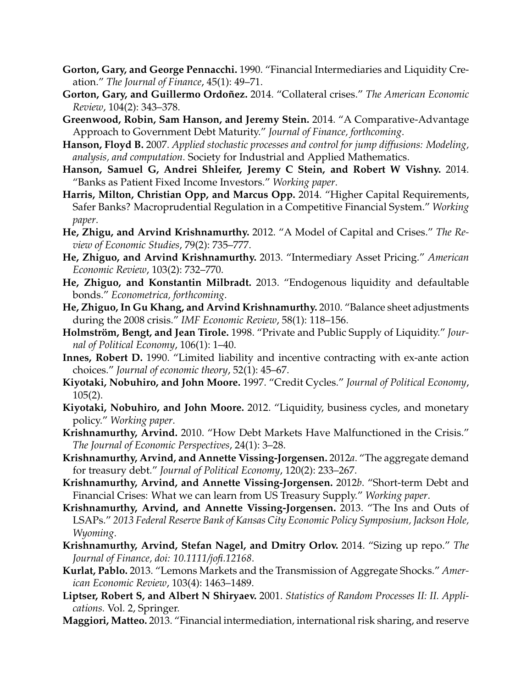- <span id="page-34-1"></span>**Gorton, Gary, and George Pennacchi.** 1990. "Financial Intermediaries and Liquidity Creation." *The Journal of Finance*, 45(1): 49–71.
- <span id="page-34-9"></span>**Gorton, Gary, and Guillermo Ordoñez.** 2014. "Collateral crises." *The American Economic Review*, 104(2): 343–378.
- <span id="page-34-5"></span>**Greenwood, Robin, Sam Hanson, and Jeremy Stein.** 2014. "A Comparative-Advantage Approach to Government Debt Maturity." *Journal of Finance, forthcoming*.
- <span id="page-34-21"></span>**Hanson, Floyd B.** 2007. *Applied stochastic processes and control for jump diffusions: Modeling, analysis, and computation.* Society for Industrial and Applied Mathematics.
- <span id="page-34-16"></span>**Hanson, Samuel G, Andrei Shleifer, Jeremy C Stein, and Robert W Vishny.** 2014. "Banks as Patient Fixed Income Investors." *Working paper*.
- <span id="page-34-17"></span>**Harris, Milton, Christian Opp, and Marcus Opp.** 2014. "Higher Capital Requirements, Safer Banks? Macroprudential Regulation in a Competitive Financial System." *Working paper*.
- <span id="page-34-10"></span>**He, Zhigu, and Arvind Krishnamurthy.** 2012. "A Model of Capital and Crises." *The Review of Economic Studies*, 79(2): 735–777.
- <span id="page-34-0"></span>**He, Zhiguo, and Arvind Krishnamurthy.** 2013. "Intermediary Asset Pricing." *American Economic Review*, 103(2): 732–770.
- <span id="page-34-18"></span>**He, Zhiguo, and Konstantin Milbradt.** 2013. "Endogenous liquidity and defaultable bonds." *Econometrica, forthcoming*.
- <span id="page-34-14"></span>**He, Zhiguo, In Gu Khang, and Arvind Krishnamurthy.** 2010. "Balance sheet adjustments during the 2008 crisis." *IMF Economic Review*, 58(1): 118–156.
- <span id="page-34-2"></span>**Holmström, Bengt, and Jean Tirole.** 1998. "Private and Public Supply of Liquidity." *Journal of Political Economy*, 106(1): 1–40.
- <span id="page-34-19"></span>**Innes, Robert D.** 1990. "Limited liability and incentive contracting with ex-ante action choices." *Journal of economic theory*, 52(1): 45–67.
- <span id="page-34-8"></span>**Kiyotaki, Nobuhiro, and John Moore.** 1997. "Credit Cycles." *Journal of Political Economy*, 105(2).
- <span id="page-34-15"></span>**Kiyotaki, Nobuhiro, and John Moore.** 2012. "Liquidity, business cycles, and monetary policy." *Working paper*.
- <span id="page-34-7"></span>**Krishnamurthy, Arvind.** 2010. "How Debt Markets Have Malfunctioned in the Crisis." *The Journal of Economic Perspectives*, 24(1): 3–28.
- <span id="page-34-3"></span>**Krishnamurthy, Arvind, and Annette Vissing-Jorgensen.** 2012*a*. "The aggregate demand for treasury debt." *Journal of Political Economy*, 120(2): 233–267.
- <span id="page-34-4"></span>**Krishnamurthy, Arvind, and Annette Vissing-Jorgensen.** 2012*b*. "Short-term Debt and Financial Crises: What we can learn from US Treasury Supply." *Working paper*.
- <span id="page-34-12"></span>**Krishnamurthy, Arvind, and Annette Vissing-Jorgensen.** 2013. "The Ins and Outs of LSAPs." *2013 Federal Reserve Bank of Kansas City Economic Policy Symposium, Jackson Hole, Wyoming*.
- <span id="page-34-6"></span>**Krishnamurthy, Arvind, Stefan Nagel, and Dmitry Orlov.** 2014. "Sizing up repo." *The Journal of Finance, doi: 10.1111/jofi.12168*.
- <span id="page-34-13"></span>**Kurlat, Pablo.** 2013. "Lemons Markets and the Transmission of Aggregate Shocks." *American Economic Review*, 103(4): 1463–1489.
- <span id="page-34-20"></span>**Liptser, Robert S, and Albert N Shiryaev.** 2001. *Statistics of Random Processes II: II. Applications.* Vol. 2, Springer.
- <span id="page-34-11"></span>**Maggiori, Matteo.** 2013. "Financial intermediation, international risk sharing, and reserve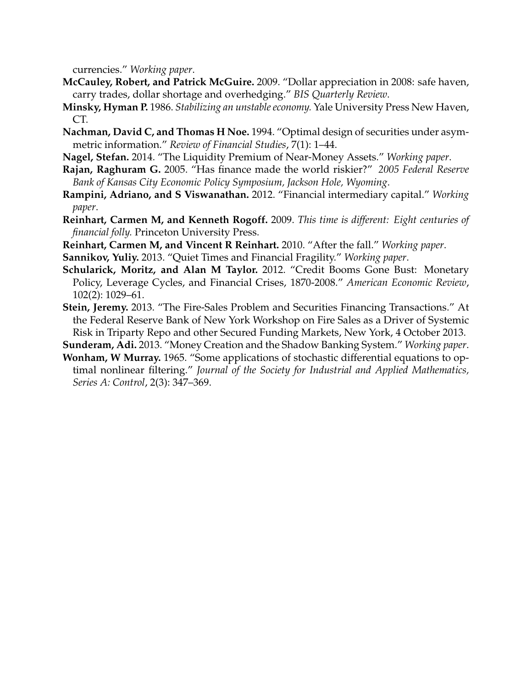currencies." *Working paper*.

- <span id="page-35-5"></span>**McCauley, Robert, and Patrick McGuire.** 2009. "Dollar appreciation in 2008: safe haven, carry trades, dollar shortage and overhedging." *BIS Quarterly Review*.
- <span id="page-35-2"></span>**Minsky, Hyman P.** 1986. *Stabilizing an unstable economy.* Yale University Press New Haven, CT.
- <span id="page-35-9"></span>**Nachman, David C, and Thomas H Noe.** 1994. "Optimal design of securities under asymmetric information." *Review of Financial Studies*, 7(1): 1–44.
- <span id="page-35-1"></span>**Nagel, Stefan.** 2014. "The Liquidity Premium of Near-Money Assets." *Working paper*.
- <span id="page-35-10"></span>**Rajan, Raghuram G.** 2005. "Has finance made the world riskier?" *2005 Federal Reserve Bank of Kansas City Economic Policy Symposium, Jackson Hole, Wyoming*.
- <span id="page-35-6"></span>**Rampini, Adriano, and S Viswanathan.** 2012. "Financial intermediary capital." *Working paper*.
- <span id="page-35-4"></span>**Reinhart, Carmen M, and Kenneth Rogoff.** 2009. *This time is different: Eight centuries of financial folly.* Princeton University Press.
- <span id="page-35-8"></span>**Reinhart, Carmen M, and Vincent R Reinhart.** 2010. "After the fall." *Working paper*.
- <span id="page-35-7"></span>**Sannikov, Yuliy.** 2013. "Quiet Times and Financial Fragility." *Working paper*.
- <span id="page-35-3"></span>**Schularick, Moritz, and Alan M Taylor.** 2012. "Credit Booms Gone Bust: Monetary Policy, Leverage Cycles, and Financial Crises, 1870-2008." *American Economic Review*, 102(2): 1029–61.
- <span id="page-35-11"></span>**Stein, Jeremy.** 2013. "The Fire-Sales Problem and Securities Financing Transactions." At the Federal Reserve Bank of New York Workshop on Fire Sales as a Driver of Systemic Risk in Triparty Repo and other Secured Funding Markets, New York, 4 October 2013.
- <span id="page-35-0"></span>**Sunderam, Adi.** 2013. "Money Creation and the Shadow Banking System." *Working paper*.
- <span id="page-35-12"></span>**Wonham, W Murray.** 1965. "Some applications of stochastic differential equations to optimal nonlinear filtering." *Journal of the Society for Industrial and Applied Mathematics, Series A: Control*, 2(3): 347–369.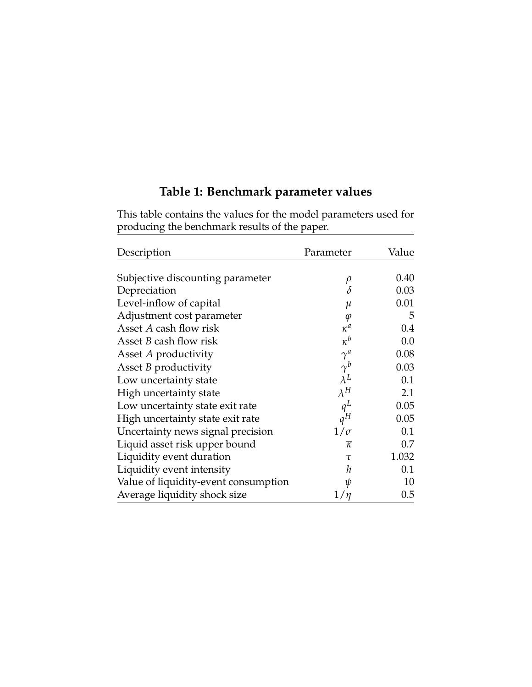# **Table 1: Benchmark parameter values**

<span id="page-36-0"></span>This table contains the values for the model parameters used for producing the benchmark results of the paper.

| Description                          | Parameter           | Value   |
|--------------------------------------|---------------------|---------|
| Subjective discounting parameter     | $\rho$              | 0.40    |
| Depreciation                         | $\delta$            | 0.03    |
| Level-inflow of capital              | $\mu$               | 0.01    |
| Adjustment cost parameter            | $\varphi$           | 5       |
| Asset A cash flow risk               | $\kappa^a$          | 0.4     |
| Asset <i>B</i> cash flow risk        | $\kappa^b$          | 0.0     |
| Asset A productivity                 | $\gamma^a$          | 0.08    |
| Asset <i>B</i> productivity          | $\gamma^b$          | 0.03    |
| Low uncertainty state                | $\lambda^L$         | 0.1     |
| High uncertainty state               | $\lambda^H$         | 2.1     |
| Low uncertainty state exit rate      | $q^L$               | 0.05    |
| High uncertainty state exit rate     | $q^H$               | 0.05    |
| Uncertainty news signal precision    | $1/\sigma$          | 0.1     |
| Liquid asset risk upper bound        | $\overline{\kappa}$ | 0.7     |
| Liquidity event duration             | $\tau$              | 1.032   |
| Liquidity event intensity            | h                   | 0.1     |
| Value of liquidity-event consumption | ψ                   | 10      |
| Average liquidity shock size         | 1/n                 | $0.5\,$ |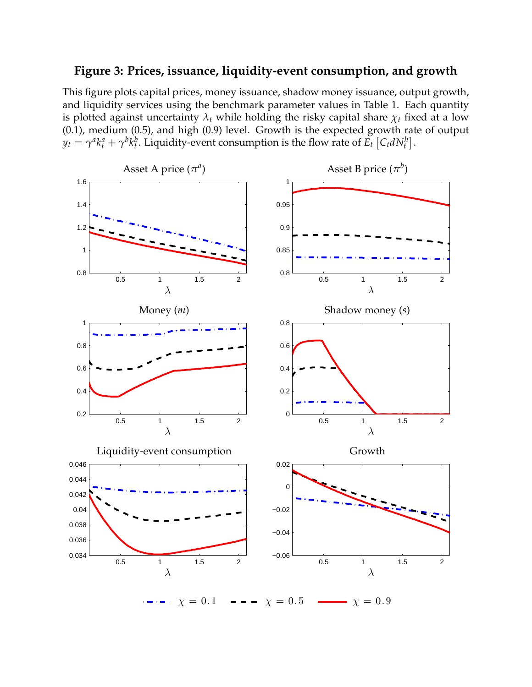# <span id="page-37-0"></span>**Figure 3: Prices, issuance, liquidity-event consumption, and growth**

This figure plots capital prices, money issuance, shadow money issuance, output growth, and liquidity services using the benchmark parameter values in Table [1.](#page-36-0) Each quantity is plotted against uncertainty  $\lambda_t$  while holding the risky capital share  $\chi_t$  fixed at a low (0.1), medium (0.5), and high (0.9) level. Growth is the expected growth rate of output  $y_t = \gamma^a k_t^a + \gamma^b k_t^b$ . Liquidity-event consumption is the flow rate of  $E_t\left[C_t dN_t^h\right]$ .

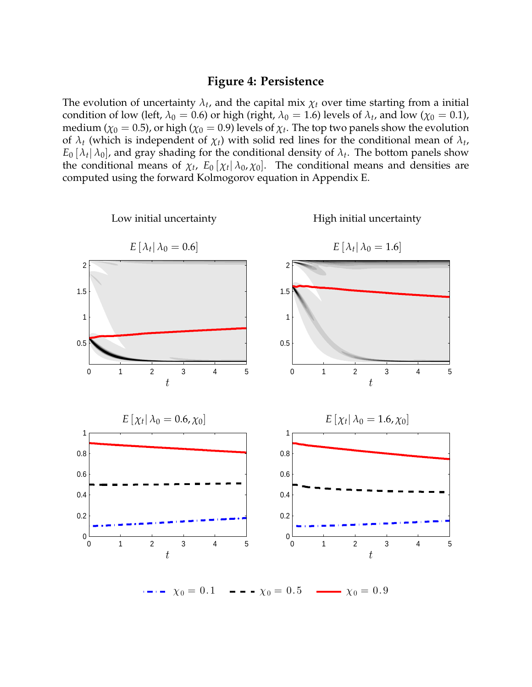### **Figure 4: Persistence**

<span id="page-38-0"></span>The evolution of uncertainty  $\lambda_t$ , and the capital mix  $\chi_t$  over time starting from a initial condition of low (left,  $\lambda_0 = 0.6$ ) or high (right,  $\lambda_0 = 1.6$ ) levels of  $\lambda_t$ , and low ( $\chi_0 = 0.1$ ), medium ( $\chi_0=0.5$ ), or high ( $\chi_0=0.9$ ) levels of  $\chi_t.$  The top two panels show the evolution of  $\lambda_t$  (which is independent of  $\chi_t$ ) with solid red lines for the conditional mean of  $\lambda_t$ ,  $E_0$   $[\lambda_t | \lambda_0]$ , and gray shading for the conditional density of  $\lambda_t$ . The bottom panels show the conditional means of  $\chi_t$ ,  $E_0[\chi_t|\lambda_0,\chi_0]$ . The conditional means and densities are computed using the forward Kolmogorov equation in Appendix [E.](#page-51-0)

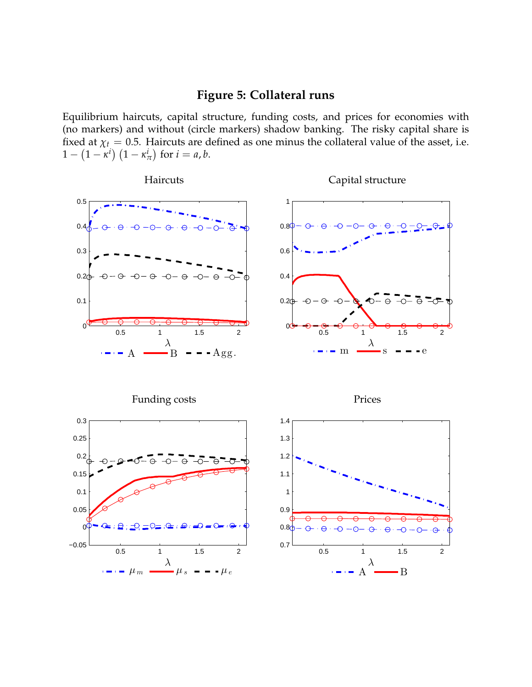# **Figure 5: Collateral runs**

<span id="page-39-0"></span>Equilibrium haircuts, capital structure, funding costs, and prices for economies with (no markers) and without (circle markers) shadow banking. The risky capital share is fixed at  $\chi_t = 0.5$ . Haircuts are defined as one minus the collateral value of the asset, i.e.  $1 - \left(1-\kappa^i\right)\left(1-\kappa^i_\tau\right)$  $\binom{i}{\pi}$  for  $i = a, b$ .

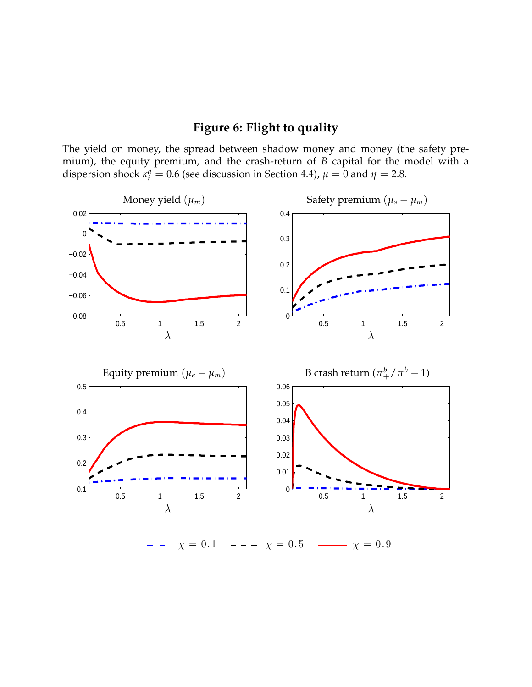# **Figure 6: Flight to quality**

<span id="page-40-0"></span>The yield on money, the spread between shadow money and money (the safety premium), the equity premium, and the crash-return of *B* capital for the model with a dispersion shock  $\kappa_i^a = 0.6$  (see discussion in Section [4.4\)](#page-23-0),  $\mu = 0$  and  $\eta = 2.8$ .



 $\cdots$   $\chi = 0.1$   $\cdots$   $\chi = 0.5$   $\cdots$   $\chi = 0.9$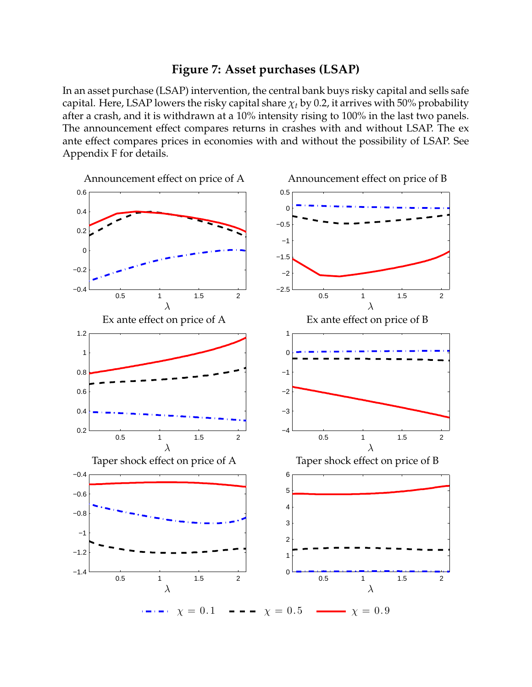# **Figure 7: Asset purchases (LSAP)**

<span id="page-41-0"></span>In an asset purchase (LSAP) intervention, the central bank buys risky capital and sells safe capital. Here, LSAP lowers the risky capital share  $\chi_t$  by 0.2, it arrives with 50% probability after a crash, and it is withdrawn at a 10% intensity rising to 100% in the last two panels. The announcement effect compares returns in crashes with and without LSAP. The ex ante effect compares prices in economies with and without the possibility of LSAP. See Appendix [F](#page-52-0) for details.

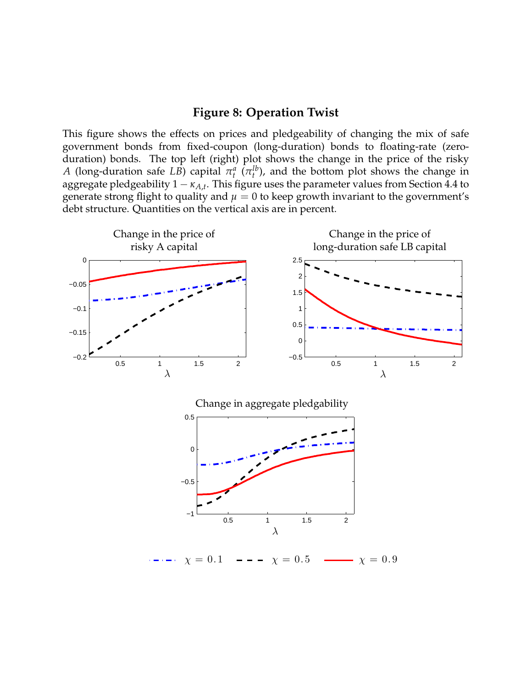# **Figure 8: Operation Twist**

<span id="page-42-0"></span>This figure shows the effects on prices and pledgeability of changing the mix of safe government bonds from fixed-coupon (long-duration) bonds to floating-rate (zeroduration) bonds. The top left (right) plot shows the change in the price of the risky *A* (long-duration safe *LB*) capital  $\pi_t^a$  ( $\pi_t^{lb}$ ), and the bottom plot shows the change in aggregate pledgeability 1 − *κA*,*<sup>t</sup>* . This figure uses the parameter values from Section [4.4](#page-23-0) to generate strong flight to quality and  $\mu = 0$  to keep growth invariant to the government's debt structure. Quantities on the vertical axis are in percent.



 $\chi = 0.1$  ---  $\chi = 0.5$  ---  $\chi = 0.9$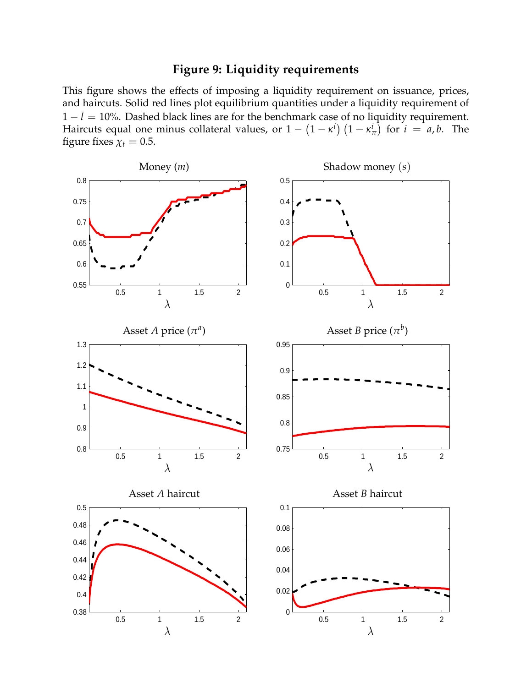# **Figure 9: Liquidity requirements**

<span id="page-43-0"></span>This figure shows the effects of imposing a liquidity requirement on issuance, prices, and haircuts. Solid red lines plot equilibrium quantities under a liquidity requirement of  $1 - \bar{l} = 10$ %. Dashed black lines are for the benchmark case of no liquidity requirement. Haircuts equal one minus collateral values, or  $1 - \left(1 - \kappa^i\right)\left(1 - \kappa^i\right)$  $\binom{i}{\pi}$  for  $i = a, b$ . The figure fixes  $\chi_t = 0.5$ .

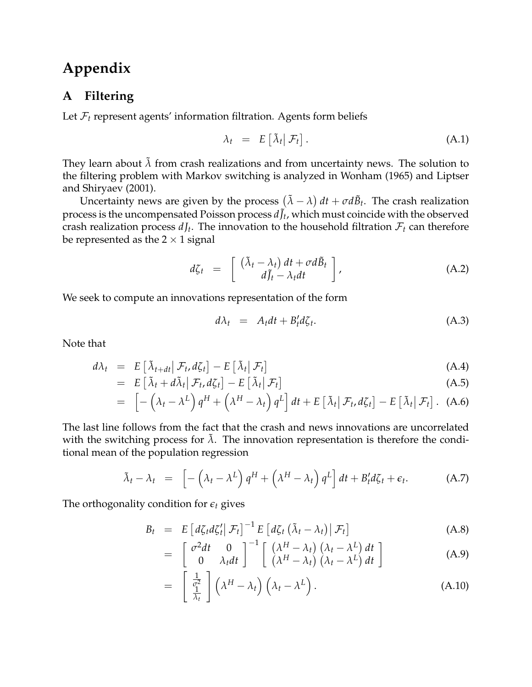# **Appendix**

# <span id="page-44-0"></span>**A Filtering**

Let  $\mathcal{F}_t$  represent agents' information filtration. Agents form beliefs

$$
\lambda_t = E\left[\tilde{\lambda}_t \middle| \mathcal{F}_t\right]. \tag{A.1}
$$

They learn about  $\tilde{\lambda}$  from crash realizations and from uncertainty news. The solution to the filtering problem with Markov switching is analyzed in [Wonham](#page-35-12) [\(1965\)](#page-35-12) and [Liptser](#page-34-20) [and Shiryaev](#page-34-20) [\(2001\)](#page-34-20).

Uncertainty news are given by the process  $(\tilde{\lambda} - \lambda) dt + \sigma d\tilde{B}_t$ . The crash realization process is the uncompensated Poisson process  $dJ_t$ , which must coincide with the observed crash realization process  $dJ_t$ . The innovation to the household filtration  $\mathcal{F}_t$  can therefore be represented as the  $2 \times 1$  signal

$$
d\zeta_t = \begin{bmatrix} (\tilde{\lambda}_t - \lambda_t) dt + \sigma d\tilde{B}_t \\ d\tilde{J}_t - \lambda_t dt \end{bmatrix}, \qquad (A.2)
$$

We seek to compute an innovations representation of the form

<span id="page-44-1"></span>
$$
d\lambda_t = A_t dt + B'_t d\zeta_t. \tag{A.3}
$$

Note that

$$
d\lambda_t = E\left[\tilde{\lambda}_{t+dt} \middle| \mathcal{F}_t, d\zeta_t\right] - E\left[\tilde{\lambda}_t \middle| \mathcal{F}_t\right] \tag{A.4}
$$

$$
= E\left[\tilde{\lambda}_t + d\tilde{\lambda}_t \middle| \mathcal{F}_t, d\zeta_t\right] - E\left[\tilde{\lambda}_t \middle| \mathcal{F}_t\right]
$$
\n(A.5)

$$
= \left[ -\left(\lambda_t - \lambda^L\right) q^H + \left(\lambda^H - \lambda_t\right) q^L \right] dt + E\left[\tilde{\lambda}_t | \mathcal{F}_t, d\zeta_t\right] - E\left[\tilde{\lambda}_t | \mathcal{F}_t\right]. \tag{A.6}
$$

The last line follows from the fact that the crash and news innovations are uncorrelated with the switching process for  $\tilde{\lambda}$ . The innovation representation is therefore the conditional mean of the population regression

$$
\tilde{\lambda}_t - \lambda_t = \left[ -\left(\lambda_t - \lambda^L\right) q^H + \left(\lambda^H - \lambda_t\right) q^L \right] dt + B'_t d\zeta_t + \epsilon_t.
$$
 (A.7)

The orthogonality condition for *e<sup>t</sup>* gives

$$
B_t = E \left[ d\zeta_t d\zeta'_t \middle| \mathcal{F}_t \right]^{-1} E \left[ d\zeta_t \left( \tilde{\lambda}_t - \lambda_t \right) \middle| \mathcal{F}_t \right]
$$
(A.8)

$$
= \begin{bmatrix} \sigma^2 dt & 0 \\ 0 & \lambda_t dt \end{bmatrix}^{-1} \begin{bmatrix} (\lambda^H - \lambda_t) (\lambda_t - \lambda^L) dt \\ (\lambda^H - \lambda_t) (\lambda_t - \lambda^L) dt \end{bmatrix}
$$
 (A.9)

$$
= \left[\begin{array}{c} \frac{1}{\sigma^2} \\ \frac{1}{\lambda_t} \end{array}\right] \left(\lambda^H - \lambda_t\right) \left(\lambda_t - \lambda^L\right). \tag{A.10}
$$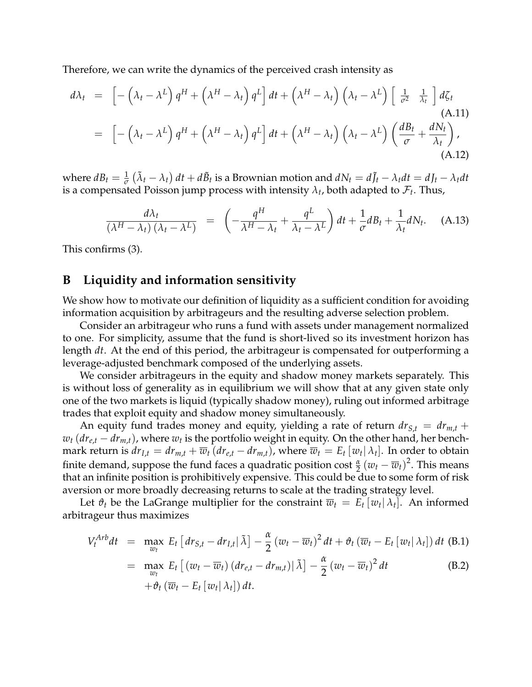Therefore, we can write the dynamics of the perceived crash intensity as

$$
d\lambda_t = \left[ -\left(\lambda_t - \lambda^L\right) q^H + \left(\lambda^H - \lambda_t\right) q^L \right] dt + \left(\lambda^H - \lambda_t\right) \left(\lambda_t - \lambda^L\right) \left[ \frac{1}{\sigma^2} \frac{1}{\lambda_t} \right] d\zeta_t
$$
\n(A.11)\n
$$
= \left[ -\left(\lambda_t - \lambda^L\right) q^H + \left(\lambda^H - \lambda_t\right) q^L \right] dt + \left(\lambda^H - \lambda_t\right) \left(\lambda_t - \lambda^L\right) \left( \frac{dB_t}{\sigma} + \frac{dN_t}{\lambda_t} \right),
$$
\n(A.12)

where  $dB_t = \frac{1}{\sigma} (\tilde{\lambda}_t - \lambda_t) dt + d\tilde{B}_t$  is a Brownian motion and  $dN_t = d\tilde{J}_t - \lambda_t dt = dJ_t - \lambda_t dt$ is a compensated Poisson jump process with intensity  $\lambda_t$ , both adapted to  $\mathcal{F}_t$ . Thus,

$$
\frac{d\lambda_t}{(\lambda^H - \lambda_t)(\lambda_t - \lambda^L)} = \left(-\frac{q^H}{\lambda^H - \lambda_t} + \frac{q^L}{\lambda_t - \lambda^L}\right)dt + \frac{1}{\sigma}dB_t + \frac{1}{\lambda_t}dN_t.
$$
 (A.13)

This confirms [\(3\)](#page-8-3).

## <span id="page-45-0"></span>**B Liquidity and information sensitivity**

We show how to motivate our definition of liquidity as a sufficient condition for avoiding information acquisition by arbitrageurs and the resulting adverse selection problem.

Consider an arbitrageur who runs a fund with assets under management normalized to one. For simplicity, assume that the fund is short-lived so its investment horizon has length *dt*. At the end of this period, the arbitrageur is compensated for outperforming a leverage-adjusted benchmark composed of the underlying assets.

We consider arbitrageurs in the equity and shadow money markets separately. This is without loss of generality as in equilibrium we will show that at any given state only one of the two markets is liquid (typically shadow money), ruling out informed arbitrage trades that exploit equity and shadow money simultaneously.

An equity fund trades money and equity, yielding a rate of return  $dr_{S,t} = dr_{m,t} +$  $w_t$  ( $dr_{e,t} - dr_{m,t}$ ), where  $w_t$  is the portfolio weight in equity. On the other hand, her benchmark return is  $dr_{I,t} = dr_{m,t} + \overline{w}_t (dr_{e,t} - dr_{m,t})$ , where  $\overline{w}_t = E_t [w_t | \lambda_t]$ . In order to obtain finite demand, suppose the fund faces a quadratic position cost  $\frac{\alpha}{2}(w_t - \overline{w}_t)^2$ . This means that an infinite position is prohibitively expensive. This could be due to some form of risk aversion or more broadly decreasing returns to scale at the trading strategy level.

Let  $\vartheta_t$  be the LaGrange multiplier for the constraint  $\overline{w}_t = E_t[w_t|\lambda_t]$ . An informed arbitrageur thus maximizes

$$
V_t^{Arb}dt = \max_{w_t} E_t \left[ dr_{S,t} - dr_{I,t} | \tilde{\lambda} \right] - \frac{\alpha}{2} \left( w_t - \overline{w}_t \right)^2 dt + \vartheta_t \left( \overline{w}_t - E_t \left[ w_t | \lambda_t \right] \right) dt \text{ (B.1)}
$$

$$
= \max_{w_t} E_t [(w_t - \overline{w}_t) (dr_{e,t} - dr_{m,t}) | \tilde{\lambda}] - \frac{\alpha}{2} (w_t - \overline{w}_t)^2 dt
$$
  
+  $\vartheta_t (\overline{w}_t - E_t [w_t | \lambda_t]) dt.$  (B.2)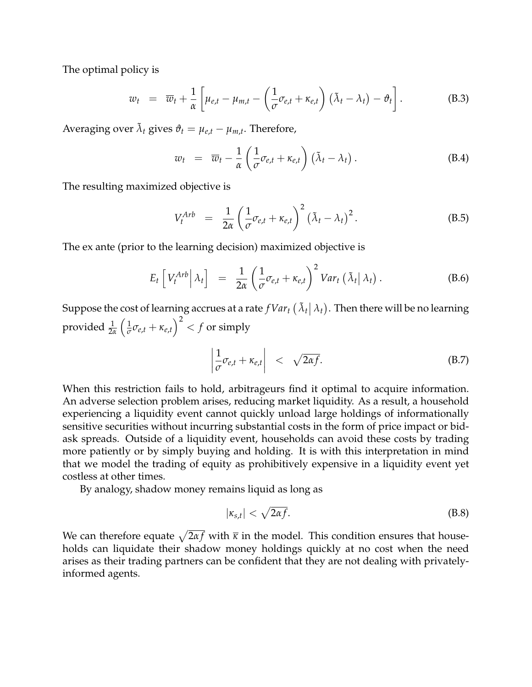The optimal policy is

$$
w_t = \overline{w}_t + \frac{1}{\alpha} \left[ \mu_{e,t} - \mu_{m,t} - \left( \frac{1}{\sigma} \sigma_{e,t} + \kappa_{e,t} \right) (\tilde{\lambda}_t - \lambda_t) - \vartheta_t \right]. \tag{B.3}
$$

Averaging over  $\tilde{\lambda}_t$  gives  $\vartheta_t = \mu_{e,t} - \mu_{m,t}$ . Therefore,

$$
w_t = \overline{w}_t - \frac{1}{\alpha} \left( \frac{1}{\sigma} \sigma_{e,t} + \kappa_{e,t} \right) (\tilde{\lambda}_t - \lambda_t).
$$
 (B.4)

The resulting maximized objective is

<span id="page-46-0"></span>
$$
V_t^{Arb} = \frac{1}{2\alpha} \left( \frac{1}{\sigma} \sigma_{e,t} + \kappa_{e,t} \right)^2 (\tilde{\lambda}_t - \lambda_t)^2.
$$
 (B.5)

The ex ante (prior to the learning decision) maximized objective is

$$
E_t \left[ V_t^{Arb} \Big| \lambda_t \right] = \frac{1}{2\alpha} \left( \frac{1}{\sigma} \sigma_{e,t} + \kappa_{e,t} \right)^2 Var_t \left( \tilde{\lambda}_t \Big| \lambda_t \right). \tag{B.6}
$$

Suppose the cost of learning accrues at a rate  $fVar_t(\tilde{\lambda}_t|\lambda_t)$ . Then there will be no learning provided <sup>1</sup> 2*α*  $\sqrt{1}$  $\frac{1}{\sigma}\sigma_{e,t} + \kappa_{e,t}\Big)^2 < f \text{ or simply}$ 

$$
\left|\frac{1}{\sigma}\sigma_{e,t} + \kappa_{e,t}\right| \quad < \quad \sqrt{2\alpha f}.\tag{B.7}
$$

When this restriction fails to hold, arbitrageurs find it optimal to acquire information. An adverse selection problem arises, reducing market liquidity. As a result, a household experiencing a liquidity event cannot quickly unload large holdings of informationally sensitive securities without incurring substantial costs in the form of price impact or bidask spreads. Outside of a liquidity event, households can avoid these costs by trading more patiently or by simply buying and holding. It is with this interpretation in mind that we model the trading of equity as prohibitively expensive in a liquidity event yet costless at other times.

By analogy, shadow money remains liquid as long as

$$
|\kappa_{s,t}| < \sqrt{2\alpha f}.\tag{B.8}
$$

We can therefore equate  $\sqrt{2\alpha f}$  with  $\overline{\kappa}$  in the model. This condition ensures that households can liquidate their shadow money holdings quickly at no cost when the need arises as their trading partners can be confident that they are not dealing with privatelyinformed agents.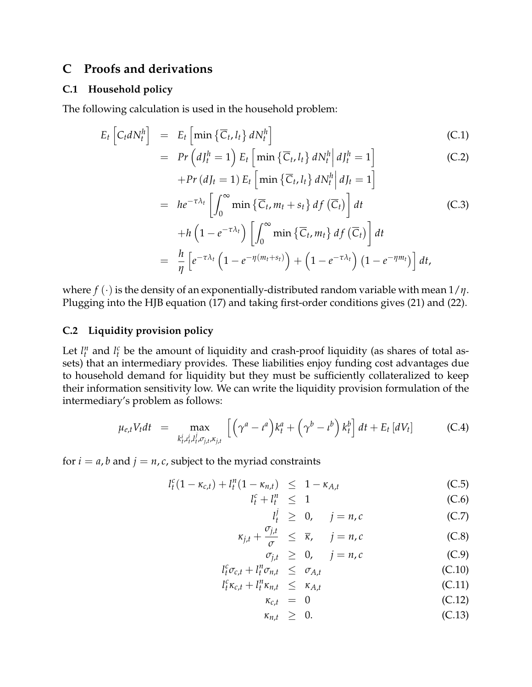# <span id="page-47-0"></span>**C Proofs and derivations**

#### **C.1 Household policy**

The following calculation is used in the household problem:

$$
E_t \left[ C_t dN_t^h \right] = E_t \left[ \min \left\{ \overline{C}_t, l_t \right\} dN_t^h \right] \tag{C.1}
$$

$$
= Pr\left(dJ_t^h = 1\right) E_t \left[\min\left\{\overline{C}_t, l_t\right\} dN_t^h \middle| dJ_t^h = 1\right]
$$
\n(C.2)

$$
+Pr\left(d_{lt}=1\right)E_{t}\left[\min\left\{\overline{C}_{t},l_{t}\right\}dN_{t}^{h}\middle|d_{lt}=1\right]
$$
\n
$$
= he^{-\tau\lambda_{t}}\left[\int_{0}^{\infty}\min\left\{\overline{C}_{t},m_{t}+s_{t}\right\}df\left(\overline{C}_{t}\right)\right]dt\tag{C.3}
$$
\n
$$
+h\left(1-e^{-\tau\lambda_{t}}\right)\left[\int_{0}^{\infty}\min\left\{\overline{C}_{t},m_{t}\right\}df\left(\overline{C}_{t}\right)\right]dt
$$
\n
$$
= \frac{h}{\eta}\left[e^{-\tau\lambda_{t}}\left(1-e^{-\eta\left(m_{t}+s_{t}\right)}\right)+\left(1-e^{-\tau\lambda_{t}}\right)\left(1-e^{-\eta m_{t}}\right)\right]dt,
$$

where *f* (·) is the density of an exponentially-distributed random variable with mean 1/*η*. Plugging into the HJB equation [\(17\)](#page-14-4) and taking first-order conditions gives [\(21\)](#page-15-1) and [\(22\)](#page-15-1).

#### **C.2 Liquidity provision policy**

Let  $l_t^n$  and  $l_t^c$  be the amount of liquidity and crash-proof liquidity (as shares of total assets) that an intermediary provides. These liabilities enjoy funding cost advantages due to household demand for liquidity but they must be sufficiently collateralized to keep their information sensitivity low. We can write the liquidity provision formulation of the intermediary's problem as follows:

$$
\mu_{e,t} V_t dt = \max_{k_t^i, \mu_t^i, l_t^j, \sigma_{j,t}, \kappa_{j,t}} \left[ \left( \gamma^a - t^a \right) k_t^a + \left( \gamma^b - t^b \right) k_t^b \right] dt + E_t \left[ dV_t \right] \tag{C.4}
$$

for  $i = a$ , *b* and  $j = n$ , *c*, subject to the myriad constraints

$$
l_t^c (1 - \kappa_{c,t}) + l_t^n (1 - \kappa_{n,t}) \leq 1 - \kappa_{A,t}
$$
 (C.5)

$$
l_t^c + l_t^n \leq 1 \tag{C.6}
$$

$$
l_t^j \geq 0, \quad j = n, c \tag{C.7}
$$

$$
\kappa_{j,t} + \frac{\sigma_{j,t}}{\sigma} \leq \overline{\kappa}, \quad j = n, c \tag{C.8}
$$

$$
\sigma_{j,t} \geq 0, \quad j = n, c \tag{C.9}
$$
\n
$$
l_t^c \sigma_{c,t} + l_t^n \sigma_{n,t} \leq \sigma_{A,t} \tag{C.10}
$$

$$
l_t^c \kappa_{c,t} + l_t^r \kappa_{n,t} \leq \kappa_{A,t} \tag{C.11}
$$

$$
\kappa_{c,t} = 0 \tag{C.12}
$$

$$
\kappa_{n,t} \geq 0. \tag{C.13}
$$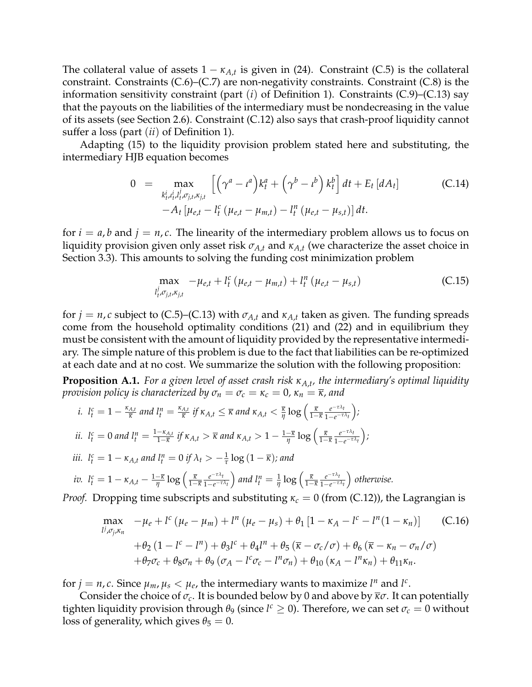The collateral value of assets  $1 - \kappa_{A,t}$  is given in [\(24\)](#page-17-0). Constraint [\(C.5\)](#page-46-0) is the collateral constraint. Constraints [\(C.6\)](#page-46-0)–[\(C.7\)](#page-46-0) are non-negativity constraints. Constraint [\(C.8\)](#page-46-0) is the information sensitivity constraint (part (*i*) of Definition [1\)](#page-10-1). Constraints [\(C.9\)](#page-46-0)–[\(C.13\)](#page-46-0) say that the payouts on the liabilities of the intermediary must be nondecreasing in the value of its assets (see Section [2.6\)](#page-12-3). Constraint [\(C.12\)](#page-46-0) also says that crash-proof liquidity cannot suffer a loss (part (*ii*) of Definition [1\)](#page-10-1).

Adapting [\(15\)](#page-13-1) to the liquidity provision problem stated here and substituting, the intermediary HJB equation becomes

$$
0 = \max_{\substack{k_t^i, \mu_t^i, l_{t'}^j, \sigma_{j,t}, \kappa_{j,t}} \left[ \left( \gamma^a - t^a \right) k_t^a + \left( \gamma^b - t^b \right) k_t^b \right] dt + E_t \left[ dA_t \right] -A_t \left[ \mu_{e,t} - l_t^c \left( \mu_{e,t} - \mu_{m,t} \right) - l_t^a \left( \mu_{e,t} - \mu_{s,t} \right) \right] dt.
$$
 (C.14)

for  $i = a$ , *b* and  $j = n$ , *c*. The linearity of the intermediary problem allows us to focus on liquidity provision given only asset risk  $\sigma_{A,t}$  and  $\kappa_{A,t}$  (we characterize the asset choice in Section [3.3\)](#page-18-2). This amounts to solving the funding cost minimization problem

$$
\max_{l_t^j, \sigma_{j,t}, \kappa_{j,t}} -\mu_{e,t} + l_t^c \left(\mu_{e,t} - \mu_{m,t}\right) + l_t^n \left(\mu_{e,t} - \mu_{s,t}\right) \tag{C.15}
$$

for  $j = n$ ,  $c$  subject to [\(C.5\)](#page-46-0)–[\(C.13\)](#page-46-0) with  $\sigma_{A,t}$  and  $\kappa_{A,t}$  taken as given. The funding spreads come from the household optimality conditions [\(21\)](#page-15-1) and [\(22\)](#page-15-1) and in equilibrium they must be consistent with the amount of liquidity provided by the representative intermediary. The simple nature of this problem is due to the fact that liabilities can be re-optimized at each date and at no cost. We summarize the solution with the following proposition:

<span id="page-48-0"></span>**Proposition A.1.** *For a given level of asset crash risk κA*,*<sup>t</sup> , the intermediary's optimal liquidity provision policy is characterized by*  $\sigma_n = \sigma_c = \kappa_c = 0$ ,  $\kappa_n = \overline{\kappa}$ , and

*i.* 
$$
l_t^c = 1 - \frac{\kappa_{A,t}}{\overline{\kappa}}
$$
 and  $l_t^n = \frac{\kappa_{A,t}}{\overline{\kappa}}$  if  $\kappa_{A,t} \leq \overline{\kappa}$  and  $\kappa_{A,t} < \frac{\overline{\kappa}}{\eta} \log \left( \frac{\overline{\kappa}}{1 - \overline{\kappa}} \frac{e^{-\tau \lambda_t}}{1 - e^{-\tau \lambda_t}} \right)$ ;  
\n*ii.*  $l_t^c = 0$  and  $l_t^n = \frac{1 - \kappa_{A,t}}{1 - \overline{\kappa}}$  if  $\kappa_{A,t} > \overline{\kappa}$  and  $\kappa_{A,t} > 1 - \frac{1 - \overline{\kappa}}{\eta} \log \left( \frac{\overline{\kappa}}{1 - \overline{\kappa}} \frac{e^{-\tau \lambda_t}}{1 - e^{-\tau \lambda_t}} \right)$ ;  
\n*iii.*  $l_t^c = 1 - \kappa_{A,t}$  and  $l_t^n = 0$  if  $\lambda_t > -\frac{1}{\tau} \log (1 - \overline{\kappa})$ ; and  
\n*iv.*  $l_t^c = 1 - \kappa_{A,t} - \frac{1 - \overline{\kappa}}{\eta} \log \left( \frac{\overline{\kappa}}{1 - \overline{\kappa}} \frac{e^{-\tau \lambda_t}}{1 - e^{-\tau \lambda_t}} \right)$  and  $l_t^n = \frac{1}{\eta} \log \left( \frac{\overline{\kappa}}{1 - \overline{\kappa}} \frac{e^{-\tau \lambda_t}}{1 - e^{-\tau \lambda_t}} \right)$  otherwise.  
\n*Proof.* Dropping time subscripts and substituting  $\kappa_c = 0$  (from (C.12)), the Lagrangian is

$$
\max_{l^{j},\sigma_{j},\kappa_{n}} -\mu_{e} + l^{c} (\mu_{e} - \mu_{m}) + l^{n} (\mu_{e} - \mu_{s}) + \theta_{1} [1 - \kappa_{A} - l^{c} - l^{n} (1 - \kappa_{n})] \tag{C.16}
$$
  
+  $\theta_{2} (1 - l^{c} - l^{n}) + \theta_{3} l^{c} + \theta_{4} l^{n} + \theta_{5} (\bar{\kappa} - \sigma_{c}/\sigma) + \theta_{6} (\bar{\kappa} - \kappa_{n} - \sigma_{n}/\sigma)$   
+  $\theta_{7}\sigma_{c} + \theta_{8}\sigma_{n} + \theta_{9} (\sigma_{A} - l^{c}\sigma_{c} - l^{n}\sigma_{n}) + \theta_{10} (\kappa_{A} - l^{n}\kappa_{n}) + \theta_{11}\kappa_{n}.$ 

for  $j = n$ ,  $c$ . Since  $\mu_m$ ,  $\mu_s < \mu_e$ , the intermediary wants to maximize  $l^n$  and  $l^c$ .

Consider the choice of  $\sigma_c$ . It is bounded below by 0 and above by  $\bar{x}\sigma$ . It can potentially tighten liquidity provision through  $\theta_9$  (since  $l^c \geq 0$ ). Therefore, we can set  $\sigma_c = 0$  without loss of generality, which gives  $\theta_5 = 0$ .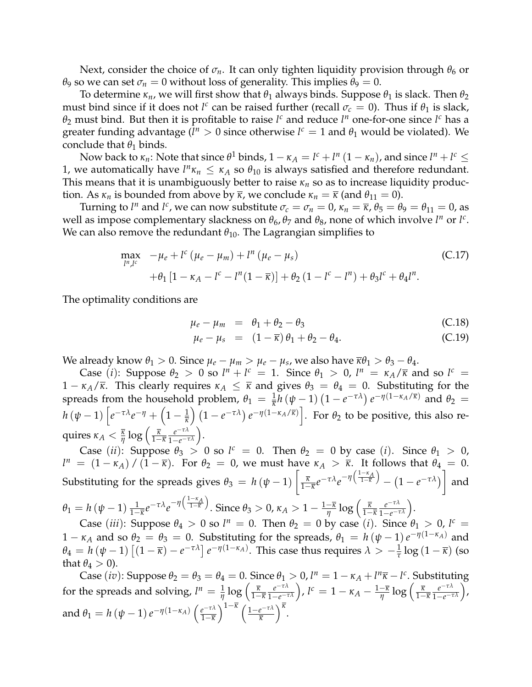Next, consider the choice of  $\sigma_n$ . It can only tighten liquidity provision through  $\theta_6$  or *θ*<sub>9</sub> so we can set  $\sigma_n = 0$  without loss of generality. This implies  $\theta_9 = 0$ .

To determine  $\kappa_n$ , we will first show that  $\theta_1$  always binds. Suppose  $\theta_1$  is slack. Then  $\theta_2$ must bind since if it does not *l<sup>c</sup>* can be raised further (recall  $\sigma_c = 0$ ). Thus if  $\theta_1$  is slack,  $\theta_2$  must bind. But then it is profitable to raise  $l^c$  and reduce  $l^n$  one-for-one since  $l^c$  has a greater funding advantage ( $l^n > 0$  since otherwise  $l^c = 1$  and  $\theta_1$  would be violated). We conclude that  $\theta_1$  binds.

Now back to  $\kappa_n$ : Note that since  $\theta^1$  binds,  $1 - \kappa_A = l^c + l^n (1 - \kappa_n)$ , and since  $l^n + l^c \leq$ 1, we automatically have  $l^n\kappa_n \leq \kappa_A$  so  $\theta_{10}$  is always satisfied and therefore redundant. This means that it is unambiguously better to raise  $\kappa_n$  so as to increase liquidity production. As  $\kappa_n$  is bounded from above by  $\bar{\kappa}$ , we conclude  $\kappa_n = \bar{\kappa}$  (and  $\theta_{11} = 0$ ).

Turning to  $l^n$  and  $l^c$ , we can now substitute  $\sigma_c = \sigma_n = 0$ ,  $\kappa_n = \overline{\kappa}$ ,  $\theta_5 = \theta_9 = \theta_{11} = 0$ , as well as impose complementary slackness on  $\theta_6$ ,  $\theta_7$  and  $\theta_8$ , none of which involve  $l^n$  or  $l^c$ . We can also remove the redundant  $\theta_{10}$ . The Lagrangian simplifies to

$$
\max_{l^{n},l^{c}} -\mu_{e} + l^{c} (\mu_{e} - \mu_{m}) + l^{n} (\mu_{e} - \mu_{s})
$$
\n
$$
+ \theta_{1} [1 - \kappa_{A} - l^{c} - l^{n} (1 - \overline{\kappa})] + \theta_{2} (1 - l^{c} - l^{n}) + \theta_{3} l^{c} + \theta_{4} l^{n}.
$$
\n(C.17)

The optimality conditions are

$$
\mu_e - \mu_m = \theta_1 + \theta_2 - \theta_3 \tag{C.18}
$$

<span id="page-49-0"></span>
$$
\mu_e - \mu_s = (1 - \overline{\kappa}) \theta_1 + \theta_2 - \theta_4. \tag{C.19}
$$

We already know  $\theta_1 > 0$ . Since  $\mu_e - \mu_m > \mu_e - \mu_s$ , we also have  $\overline{\kappa}\theta_1 > \theta_3 - \theta_4$ .

Case (*i*): Suppose  $\theta_2 > 0$  so  $l^n + l^c = 1$ . Since  $\theta_1 > 0$ ,  $l^n = \kappa_A/\overline{\kappa}$  and so  $l^c =$  $1 - \kappa_A/\overline{\kappa}$ . This clearly requires  $\kappa_A \leq \overline{\kappa}$  and gives  $\theta_3 = \theta_4 = 0$ . Substituting for the spreads from the household problem,  $\theta_1 = \frac{1}{\overline{\kappa}} h(\psi - 1)(1 - e^{-\tau \lambda}) e^{-\eta(1 - \kappa_A/\overline{\kappa})}$  and  $\theta_2 =$  $h\left(\psi-1\right)\left[e^{-\tau\lambda}e^{-\eta}+\left(1-\frac{1}{\overline{\kappa}}\right)\left(1-e^{-\tau\lambda}\right)e^{-\eta\left(1-\kappa_A/\overline{\kappa}\right)}\right].$  For  $\theta_2$  to be positive, this also re- $\text{quires } \kappa_A < \frac{\overline{\kappa}}{\eta} \log \Big( \frac{\overline{\kappa}}{1-\overline{\kappa}} \frac{e^{-\tau \lambda}}{1-e^{-\tau \lambda}} \Big).$ 

Case (*ii*): Suppose  $\theta_3 > 0$  so  $l^c = 0$ . Then  $\theta_2 = 0$  by case (*i*). Since  $\theta_1 > 0$ ,  $l^n = (1 - \kappa_A) / (1 - \overline{\kappa})$ . For  $\theta_2 = 0$ , we must have  $\kappa_A > \overline{\kappa}$ . It follows that  $\theta_4 = 0$ . Substituting for the spreads gives  $\theta_3 = h(\psi - 1) \left[ \frac{\overline{\kappa}}{1-\overline{\kappa}} e^{-\tau \lambda} e^{-\eta \left( \frac{1-\kappa_A}{1-\overline{\kappa}} \right)} - (1 - e^{-\tau \lambda}) \right]$ and  $\sqrt{ }$ <sup>1</sup>−*κ<sup>A</sup>*  $\setminus$ 

$$
\theta_1 = h(\psi - 1) \frac{1}{1 - \overline{\kappa}} e^{-\tau \lambda} e^{-\eta \left(\frac{1 - \kappa A}{1 - \overline{\kappa}}\right)}.
$$
 Since  $\theta_3 > 0$ ,  $\kappa_A > 1 - \frac{1 - \overline{\kappa}}{\eta} \log \left(\frac{\overline{\kappa}}{1 - \overline{\kappa}} \frac{e^{-\tau \lambda}}{1 - e^{-\tau \lambda}}\right).$ 

Case (*iii*): Suppose  $\theta_4 > 0$  so  $l^n = 0$ . Then  $\theta_2 = 0$  by case (*i*). Since  $\theta_1 > 0$ ,  $l^c =$  $1 - \kappa_A$  and so  $\theta_2 = \theta_3 = 0$ . Substituting for the spreads,  $\theta_1 = h(\psi - 1)e^{-\eta(1 - \kappa_A)}$  and  $\theta_4 = h(\psi - 1) \left[ (1 - \overline{\kappa}) - e^{-\tau \lambda} \right] e^{-\eta (1 - \kappa_A)}$ . This case thus requires  $\lambda > -\frac{1}{\tau} \log (1 - \overline{\kappa})$  (so that  $\theta_4 > 0$ ).

Case (*iv*): Suppose  $\theta_2 = \theta_3 = \theta_4 = 0$ . Since  $\theta_1 > 0$ ,  $l^n = 1 - \kappa_A + l^n \overline{\kappa} - l^c$ . Substituting for the spreads and solving,  $l^n = \frac{1}{\eta} \log \left( \frac{\overline{\kappa}}{1-\overline{\kappa}} \frac{e^{-\tau \lambda}}{1-e^{-\tau \lambda}} \right)$ ,  $l^c = 1 - \kappa_A - \frac{1-\overline{\kappa}}{\eta} \log \left( \frac{\overline{\kappa}}{1-\overline{\kappa}} \frac{e^{-\tau \lambda}}{1-e^{-\tau \lambda}} \right)$ , and  $\theta_1 = h\left(\psi - 1\right) e^{-\eta \left(1 - \kappa_A\right)} \left(\frac{e^{-\tau\lambda}}{1 - \overline{\kappa}}\right)$ 1−*κ*  $\int$ <sup>1- $\overline{k}$ </sup>  $\int$ <sub>1- $e^{-\tau\lambda}$ </sub> *κ κ* .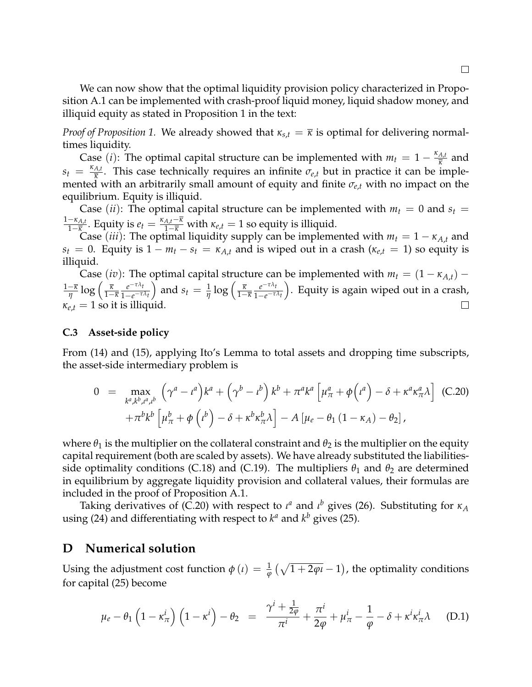We can now show that the optimal liquidity provision policy characterized in Proposition [A.1](#page-48-0) can be implemented with crash-proof liquid money, liquid shadow money, and illiquid equity as stated in Proposition [1](#page-16-0) in the text:

*Proof of Proposition* [1.](#page-16-0) We already showed that  $\kappa_{s,t} = \overline{\kappa}$  is optimal for delivering normaltimes liquidity.

Case (*i*): The optimal capital structure can be implemented with  $m_t = 1 - \frac{\kappa_{A,t}}{\overline{\kappa}}$  $\frac{A,t}{\overline{\kappa}}$  and  $s_t = \frac{\kappa_{A,t}}{\overline{\kappa}}$  $\frac{A_t}{K}$ . This case technically requires an infinite  $\sigma_{e,t}$  but in practice it can be implemented with an arbitrarily small amount of equity and finite *σe*,*<sup>t</sup>* with no impact on the equilibrium. Equity is illiquid.

Case (*ii*): The optimal capital structure can be implemented with  $m_t = 0$  and  $s_t =$ 1−*κA*,*<sup>t</sup>*  $\frac{-\kappa_{A,t}}{1-\overline{\kappa}}$ . Equity is  $e_t = \frac{\kappa_{A,t}-\overline{\kappa}}{1-\overline{\kappa}}$  with  $\kappa_{e,t} = 1$  so equity is illiquid.

Case (*iii*): The optimal liquidity supply can be implemented with  $m_t = 1 - \kappa_{A,t}$  and *s*<sub>t</sub> = 0. Equity is  $1 - m_t - s_t = \kappa_{A,t}$  and is wiped out in a crash ( $\kappa_{e,t} = 1$ ) so equity is illiquid.

Case (*iv*): The optimal capital structure can be implemented with  $m_t = (1 - \kappa_{A,t})$  –  $\frac{-\overline{\kappa}}{\eta} \log \left( \frac{\overline{\kappa}}{1-\overline{\kappa}} \frac{e^{-\tau \lambda_t}}{1-e^{-\tau \lambda_t}} \right)$  $\int$  and  $s_t = \frac{1}{\eta} \log \left( \frac{\overline{\kappa}}{1-\overline{\kappa}} \frac{e^{-\tau \lambda_t}}{1-e^{-\tau \lambda_t}} \right)$  . Equity is again wiped out in a crash, 1−*κ*  $\sqrt{1-e^{-\tau\lambda}t}$  $\sqrt{1-e^{-\tau\lambda}t}$  $\kappa_{e,t} = 1$  so it is illiquid.  $\Box$ 

#### **C.3 Asset-side policy**

From [\(14\)](#page-12-2) and [\(15\)](#page-13-1), applying Ito's Lemma to total assets and dropping time subscripts, the asset-side intermediary problem is

<span id="page-50-1"></span>
$$
0 = \max_{k^a, k^b, \mu^a, \mu^b} \left( \gamma^a - \mu^a \right) k^a + \left( \gamma^b - \mu^b \right) k^b + \pi^a k^a \left[ \mu^a_{\pi} + \phi \left( \mu^a \right) - \delta + \kappa^a \kappa^a_{\pi} \lambda \right] \tag{C.20}
$$

$$
+ \pi^b k^b \left[ \mu^b_{\pi} + \phi \left( \mu^b \right) - \delta + \kappa^b \kappa^b_{\pi} \lambda \right] - A \left[ \mu_e - \theta_1 \left( 1 - \kappa_A \right) - \theta_2 \right],
$$

where  $\theta_1$  is the multiplier on the collateral constraint and  $\theta_2$  is the multiplier on the equity capital requirement (both are scaled by assets). We have already substituted the liabilities-side optimality conditions [\(C.18\)](#page-49-0) and [\(C.19\)](#page-49-0). The multipliers  $\theta_1$  and  $\theta_2$  are determined in equilibrium by aggregate liquidity provision and collateral values, their formulas are included in the proof of Proposition [A.1.](#page-48-0)

Taking derivatives of [\(C.20\)](#page-50-1) with respect to *ι <sup>a</sup>* and *ι <sup>b</sup>* gives [\(26\)](#page-18-1). Substituting for *κ<sup>A</sup>* using [\(24\)](#page-17-0) and differentiating with respect to  $k^a$  and  $k^b$  gives [\(25\)](#page-18-0).

### <span id="page-50-0"></span>**D Numerical solution**

Using the adjustment cost function  $\phi(\iota) = \frac{1}{\phi} \left( \sqrt{1 + 2\phi \iota} - 1 \right)$ , the optimality conditions for capital [\(25\)](#page-18-0) become

$$
\mu_e - \theta_1 \left( 1 - \kappa_{\pi}^i \right) \left( 1 - \kappa^i \right) - \theta_2 = \frac{\gamma^i + \frac{1}{2\varphi}}{\pi^i} + \frac{\pi^i}{2\varphi} + \mu_{\pi}^i - \frac{1}{\varphi} - \delta + \kappa^i \kappa_{\pi}^i \lambda \quad (D.1)
$$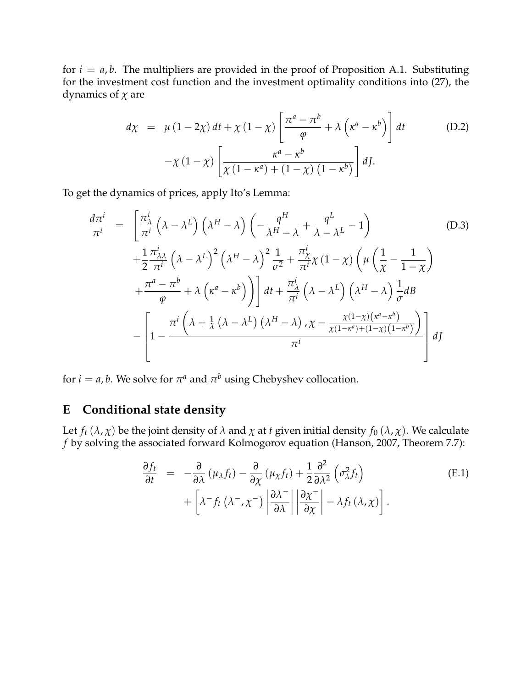for  $i = a, b$ . The multipliers are provided in the proof of Proposition [A.1.](#page-48-0) Substituting for the investment cost function and the investment optimality conditions into [\(27\)](#page-19-2), the dynamics of *χ* are

$$
d\chi = \mu (1 - 2\chi) dt + \chi (1 - \chi) \left[ \frac{\pi^a - \pi^b}{\varphi} + \lambda \left( \kappa^a - \kappa^b \right) \right] dt \qquad (D.2)
$$

$$
-\chi (1 - \chi) \left[ \frac{\kappa^a - \kappa^b}{\chi (1 - \kappa^a) + (1 - \chi) (1 - \kappa^b)} \right] dJ.
$$

To get the dynamics of prices, apply Ito's Lemma:

$$
\frac{d\pi^{i}}{\pi^{i}} = \left[\frac{\pi_{\lambda}^{i}}{\pi^{i}}\left(\lambda - \lambda^{L}\right)\left(\lambda^{H} - \lambda\right)\left(-\frac{q^{H}}{\lambda^{H} - \lambda} + \frac{q^{L}}{\lambda - \lambda^{L}} - 1\right) \qquad (D.3)
$$
\n
$$
+ \frac{1}{2}\frac{\pi_{\lambda\lambda}^{i}}{\pi^{i}}\left(\lambda - \lambda^{L}\right)^{2}\left(\lambda^{H} - \lambda\right)^{2}\frac{1}{\sigma^{2}} + \frac{\pi_{\chi}^{i}}{\pi^{i}}\chi\left(1 - \chi\right)\left(\mu\left(\frac{1}{\chi} - \frac{1}{1 - \chi}\right)\right)
$$
\n
$$
+ \frac{\pi^{a} - \pi^{b}}{\varphi} + \lambda\left(\kappa^{a} - \kappa^{b}\right)\right]dt + \frac{\pi_{\lambda}^{i}}{\pi^{i}}\left(\lambda - \lambda^{L}\right)\left(\lambda^{H} - \lambda\right)\frac{1}{\sigma}dB
$$
\n
$$
- \left[1 - \frac{\pi^{i}\left(\lambda + \frac{1}{\lambda}\left(\lambda - \lambda^{L}\right)\left(\lambda^{H} - \lambda\right),\chi - \frac{\chi(1 - \chi)\left(\kappa^{a} - \kappa^{b}\right)}{\chi\left(1 - \kappa^{a}\right) + \left(1 - \chi\right)\left(1 - \kappa^{b}\right)}\right]dJ
$$

for  $i = a$ , *b*. We solve for  $\pi^a$  and  $\pi^b$  using Chebyshev collocation.

# <span id="page-51-0"></span>**E Conditional state density**

Let  $f_t(\lambda, \chi)$  be the joint density of  $\lambda$  and  $\chi$  at *t* given initial density  $f_0(\lambda, \chi)$ . We calculate *f* by solving the associated forward Kolmogorov equation [\(Hanson,](#page-34-21) [2007,](#page-34-21) Theorem 7.7):

$$
\frac{\partial f_t}{\partial t} = -\frac{\partial}{\partial \lambda} (\mu_\lambda f_t) - \frac{\partial}{\partial \chi} (\mu_\chi f_t) + \frac{1}{2} \frac{\partial^2}{\partial \lambda^2} (\sigma_\lambda^2 f_t) + \left[ \lambda^- f_t (\lambda^- , \chi^-) \left| \frac{\partial \lambda^-}{\partial \lambda} \right| \left| \frac{\partial \chi^-}{\partial \chi} \right| - \lambda f_t (\lambda, \chi) \right].
$$
\n(E.1)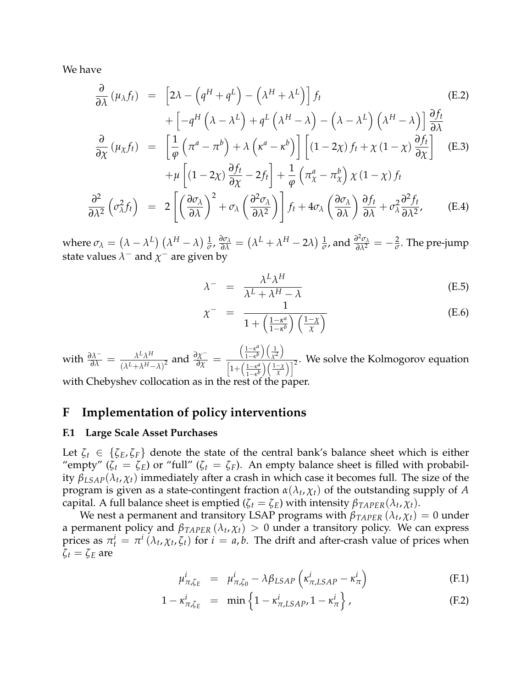We have

$$
\frac{\partial}{\partial \lambda} (\mu_{\lambda} f_t) = \left[ 2\lambda - \left( q^H + q^L \right) - \left( \lambda^H + \lambda^L \right) \right] f_t
$$
\n
$$
+ \left[ -q^H \left( \lambda - \lambda^L \right) + q^L \left( \lambda^H - \lambda \right) - \left( \lambda - \lambda^L \right) \left( \lambda^H - \lambda \right) \right] \frac{\partial f_t}{\partial \lambda}
$$
\n
$$
\frac{\partial}{\partial \chi} (\mu_{\chi} f_t) = \left[ \frac{1}{\varphi} \left( \pi^a - \pi^b \right) + \lambda \left( \kappa^a - \kappa^b \right) \right] \left[ (1 - 2\chi) f_t + \chi (1 - \chi) \frac{\partial f_t}{\partial \chi} \right] \quad \text{(E.3)}
$$
\n
$$
+ \mu \left[ (1 - 2\chi) \frac{\partial f_t}{\partial \chi} - 2f_t \right] + \frac{1}{\varphi} \left( \pi^a_{\chi} - \pi^b_{\chi} \right) \chi (1 - \chi) f_t
$$
\n
$$
\frac{\partial^2}{\partial \lambda^2} \left( \sigma_{\lambda}^2 f_t \right) = 2 \left[ \left( \frac{\partial \sigma_{\lambda}}{\partial \lambda} \right)^2 + \sigma_{\lambda} \left( \frac{\partial^2 \sigma_{\lambda}}{\partial \lambda^2} \right) \right] f_t + 4\sigma_{\lambda} \left( \frac{\partial \sigma_{\lambda}}{\partial \lambda} \right) \frac{\partial f_t}{\partial \lambda} + \sigma_{\lambda}^2 \frac{\partial^2 f_t}{\partial \lambda^2}, \qquad \text{(E.4)}
$$

where  $\sigma_{\lambda} = \left(\lambda - \lambda^{L}\right) \left(\lambda^{H} - \lambda\right) \frac{1}{\sigma}$  $\frac{1}{\sigma}$ *,*  $\frac{\partial \sigma_{\lambda}}{\partial \lambda} = (\lambda^L + \lambda^H - 2\lambda) \frac{1}{\sigma}$  $\frac{1}{\sigma}$ , and  $\frac{\partial^2 \sigma_\lambda}{\partial \lambda^2} = -\frac{2}{\sigma}$ . The pre-jump state values  $\lambda^-$  and  $\chi^+$  are given by

$$
\lambda^- = \frac{\lambda^L \lambda^H}{\lambda^L + \lambda^H - \lambda} \tag{E.5}
$$

$$
\chi^{-} = \frac{1}{1 + \left(\frac{1 - \kappa^{a}}{1 - \kappa^{b}}\right) \left(\frac{1 - \chi}{\chi}\right)}
$$
(E.6)

with  $\frac{\partial \lambda^{\text{}}}{\partial \lambda} = \frac{\lambda^L \lambda^H}{(\lambda^L + \lambda^H - \lambda^H)}$  $\frac{λ^Lλ^H}{(λ^L+λ^H−λ)^2}$  and  $\frac{∂χ^-}{∂χ}$  =  $\int \frac{1-\kappa^a}{\kappa^a}$  $\frac{1-\kappa^a}{1-\kappa^b}$ )  $\left(\frac{1}{\chi^2}\right)$ *χ*2  $\setminus$  $\left[1+\left(\frac{1-\kappa^a}{1-\mu}\right)\right]$  $\frac{1-\kappa^{\nu} \int (\chi^2)}{1-\kappa^{\nu} \mu}$ . We solve the Kolmogorov equation  $\frac{1-\kappa^{\mu}}{1-\kappa^{\nu} \mu}$ 

with Chebyshev collocation as in the rest of the paper.

# <span id="page-52-0"></span>**F Implementation of policy interventions**

#### **F.1 Large Scale Asset Purchases**

Let  $\zeta_t \in \{\zeta_E, \zeta_F\}$  denote the state of the central bank's balance sheet which is either "empty" ( $\zeta_t = \zeta_E$ ) or "full" ( $\zeta_t = \zeta_F$ ). An empty balance sheet is filled with probability *βLSAP*(*λ<sup>t</sup>* , *χt*) immediately after a crash in which case it becomes full. The size of the program is given as a state-contingent fraction  $\alpha(\lambda_t, \chi_t)$  of the outstanding supply of  $A$ capital. A full balance sheet is emptied ( $\zeta_t = \zeta_E$ ) with intensity  $\beta_{TAPER}(\lambda_t, \chi_t)$ .

We nest a permanent and transitory LSAP programs with  $\beta_{TAPER}\left(\lambda_{t},\chi_{t}\right)=0$  under a permanent policy and *βTAPER* (*λ<sup>t</sup>* , *χt*) > 0 under a transitory policy. We can express prices as  $\pi_t^i = \pi^i(\lambda_t, \chi_t, \zeta_t)$  for  $i = a, b$ . The drift and after-crash value of prices when  $ζ$ *t* =  $ζ$ *E* are

$$
\mu_{\pi,\zeta_E}^i = \mu_{\pi,\zeta_0}^i - \lambda \beta_{LSAP} \left( \kappa_{\pi,LSAP}^i - \kappa_{\pi}^i \right) \tag{F.1}
$$

$$
1 - \kappa_{\pi,\zeta_E}^i = \min \left\{ 1 - \kappa_{\pi,LSAP}^i, 1 - \kappa_{\pi}^i \right\},\tag{F.2}
$$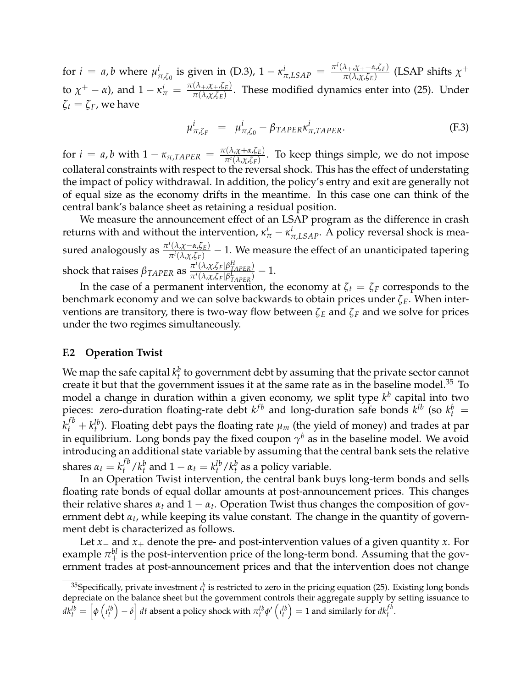for  $i = a$ , *b* where  $\mu_i^i$ *i*<sub>π,ζ0</sub> is given in [\(D.3\)](#page-44-1),  $1 - \kappa_{\pi,LSAP}^i = \frac{\pi^i(\lambda_{+}, \chi_{+} - \alpha, \zeta_F)}{\pi(\lambda_{+}, \chi_{-E})}$ *π*(*λ*,*χ*,*ζE*) (LSAP shifts *χ* + to  $\chi^+ - \alpha$ ), and  $1 - \kappa^i_{\pi} = \frac{\pi(\lambda_{+}, \chi_{+}, \zeta_E)}{\pi(\lambda_{, \chi}, \zeta_E)}$ *π*(*λ*,*χ*,*ζE*) . These modified dynamics enter into [\(25\)](#page-18-0). Under  $ζ$ <sup>*t*</sup> =  $ζ$ <sup>*F*</sup>, we have

$$
\mu_{\pi,\zeta_F}^i = \mu_{\pi,\zeta_0}^i - \beta_{TAPER} \kappa_{\pi,TAPER}^i.
$$
 (F.3)

for  $i = a$ , *b* with  $1 - \kappa_{\pi, TAPER} = \frac{\pi(\lambda, \chi + \alpha, \zeta_E)}{\pi^i(\lambda, \chi, \zeta_E)}$ *πi*(*λ*,*χ*,*ζF*) . To keep things simple, we do not impose collateral constraints with respect to the reversal shock. This has the effect of understating the impact of policy withdrawal. In addition, the policy's entry and exit are generally not of equal size as the economy drifts in the meantime. In this case one can think of the central bank's balance sheet as retaining a residual position.

We measure the announcement effect of an LSAP program as the difference in crash returns with and without the intervention,  $\kappa^i_\pi - \kappa^i_{\pi,LSAP}$ . A policy reversal shock is measured analogously as *<sup>π</sup> i* (*λ*,*χ*−*α*,*ζE*)  $\frac{\Gamma(\lambda,\chi-\alpha,\zeta_E)}{\pi^i(\lambda,\chi,\zeta_F)}$  - 1. We measure the effect of an unanticipated tapering shock that raises  $\beta_{TAPER}$  as  $\frac{\pi^i(\lambda, \chi, \zeta_F|\beta_{TAPER}^H)}{\pi^i(\lambda, \chi, \zeta_F|\beta_{TAPER}^L)}$  $\frac{\pi i}{\pi i(\lambda,\chi,\zeta_F|\beta_{TAPER}^L)}-1.$ 

In the case of a permanent intervention, the economy at  $\zeta_t = \zeta_F$  corresponds to the benchmark economy and we can solve backwards to obtain prices under *ζE*. When interventions are transitory, there is two-way flow between *ζ<sup>E</sup>* and *ζ<sup>F</sup>* and we solve for prices under the two regimes simultaneously.

#### **F.2 Operation Twist**

We map the safe capital  $k_t^b$  to government debt by assuming that the private sector cannot create it but that the government issues it at the same rate as in the baseline model.<sup>[35](#page-53-0)</sup> To model a change in duration within a given economy, we split type *k b* capital into two pieces: zero-duration floating-rate debt  $k^{fb}$  and long-duration safe bonds  $k^{lb}$  (so  $k_t^b$  =  $k_t^{fb} + k_t^{lb}$ ). Floating debt pays the floating rate  $\mu_m$  (the yield of money) and trades at par in equilibrium. Long bonds pay the fixed coupon  $\gamma^b$  as in the baseline model. We avoid introducing an additional state variable by assuming that the central bank sets the relative shares  $\alpha_t = k_t^{fb} / k_t^b$  and  $1 - \alpha_t = k_t^{lb} / k_t^b$  as a policy variable.

In an Operation Twist intervention, the central bank buys long-term bonds and sells floating rate bonds of equal dollar amounts at post-announcement prices. This changes their relative shares  $\alpha_t$  and  $1 - \alpha_t$ . Operation Twist thus changes the composition of government debt *α<sup>t</sup>* , while keeping its value constant. The change in the quantity of government debt is characterized as follows.

Let *x*− and *x*+ denote the pre- and post-intervention values of a given quantity *x*. For example  $\pi_+^{bl}$  is the post-intervention price of the long-term bond. Assuming that the government trades at post-announcement prices and that the intervention does not change

<span id="page-53-0"></span><sup>&</sup>lt;sup>35</sup>Specifically, private investment  $\iota_t^b$  is restricted to zero in the pricing equation [\(25\)](#page-18-0). Existing long bonds depreciate on the balance sheet but the government controls their aggregate supply by setting issuance to  $dk_t^{lb}=\left[\phi\left(\iota_t^{lb}\right)-\delta\right]dt$  absent a policy shock with  $\pi_t^{lb}\phi'\left(\iota_t^{lb}\right)=1$  and similarly for  $dk_t^{fb}.$